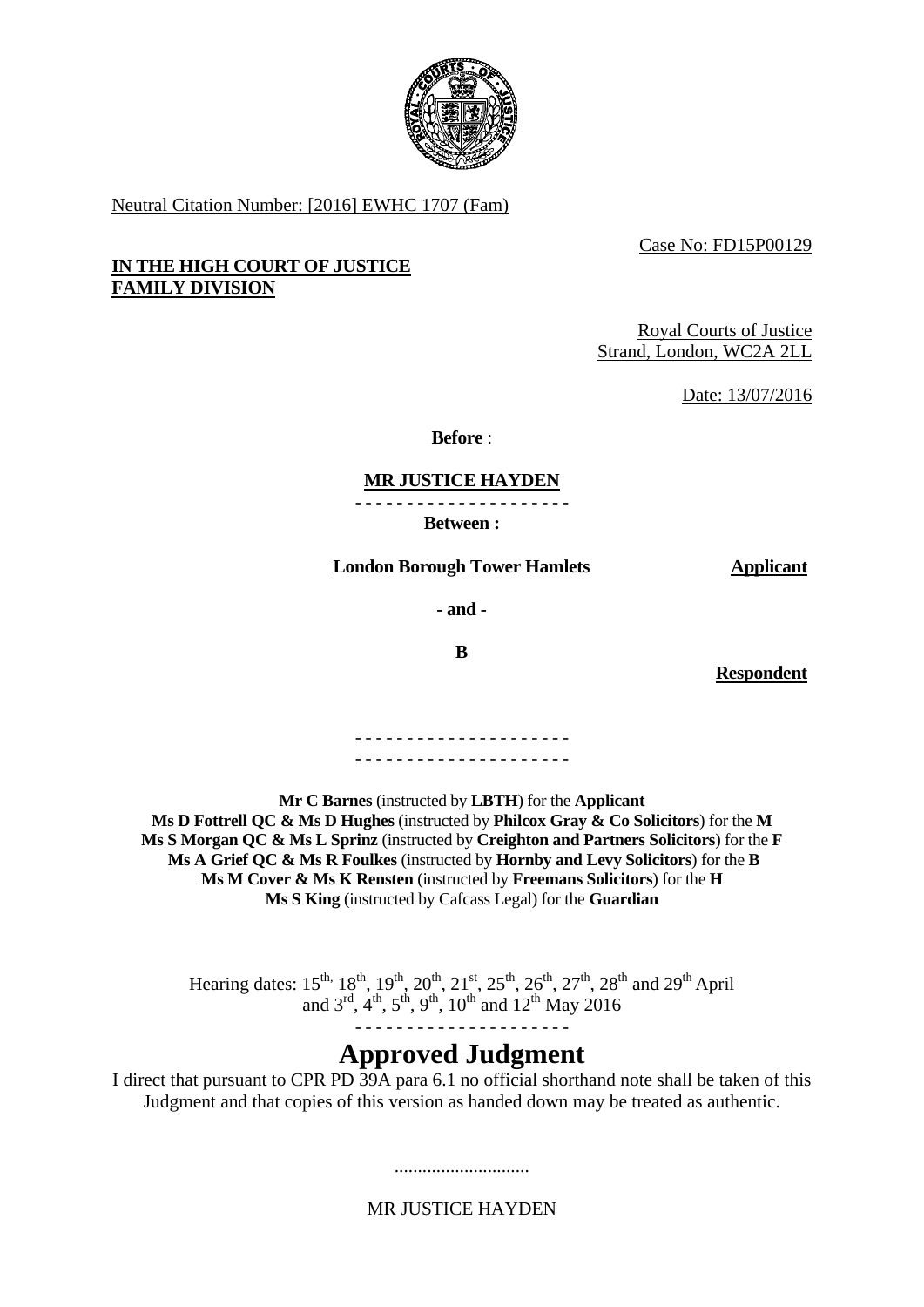

Neutral Citation Number: [2016] EWHC 1707 (Fam)

Case No: FD15P00129

# **IN THE HIGH COURT OF JUSTICE FAMILY DIVISION**

Royal Courts of Justice Strand, London, WC2A 2LL

Date: 13/07/2016

**Before** :

# **MR JUSTICE HAYDEN**

- - - - - - - - - - - - - - - - - - - - -

**Between :** 

## **London Borough Tower Hamlets Applicant**

**- and -** 

# **B**

**Respondent**

- - - - - - - - - - - - - - - - - - - - - - - - - - - - - - - - - - - - - - - - - -

**Mr C Barnes** (instructed by **LBTH**) for the **Applicant Ms D Fottrell QC & Ms D Hughes** (instructed by **Philcox Gray & Co Solicitors**) for the **M Ms S Morgan QC & Ms L Sprinz** (instructed by **Creighton and Partners Solicitors**) for the **F Ms A Grief QC & Ms R Foulkes** (instructed by **Hornby and Levy Solicitors**) for the **B Ms M Cover & Ms K Rensten** (instructed by **Freemans Solicitors**) for the **H Ms S King** (instructed by Cafcass Legal) for the **Guardian**

Hearing dates:  $15^{th}$ ,  $18^{th}$ ,  $19^{th}$ ,  $20^{th}$ ,  $21^{st}$ ,  $25^{th}$ ,  $26^{th}$ ,  $27^{th}$ ,  $28^{th}$  and  $29^{th}$  April and  $3^{\text{rd}}$ ,  $4^{\text{th}}$ ,  $5^{\text{th}}$ ,  $9^{\text{th}}$ ,  $10^{\text{th}}$  and  $12^{\text{th}}$  May 2016 - - - - - - - - - - - - - - - - - - - - -

# **Approved Judgment**

I direct that pursuant to CPR PD 39A para 6.1 no official shorthand note shall be taken of this Judgment and that copies of this version as handed down may be treated as authentic.

MR JUSTICE HAYDEN

.............................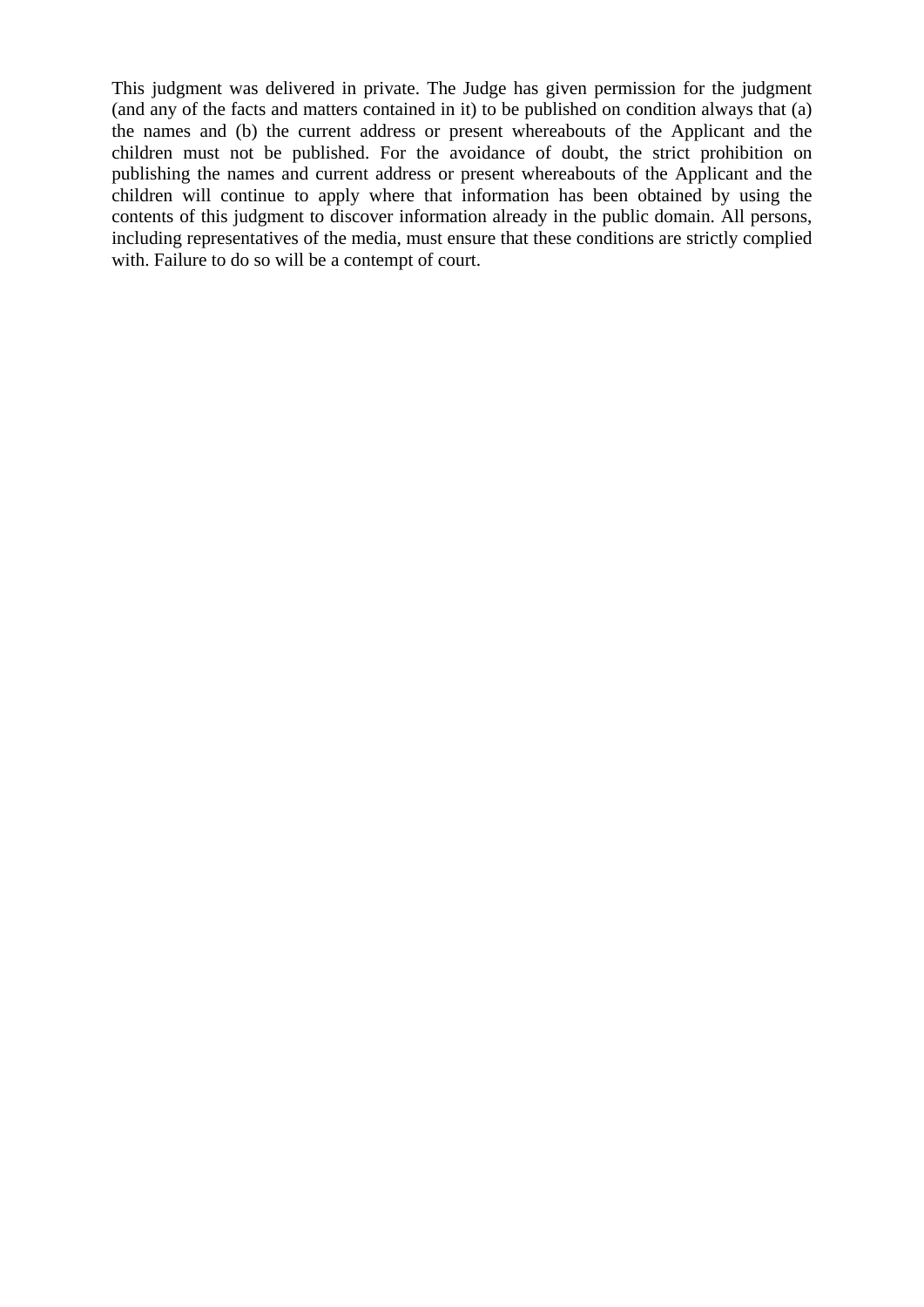This judgment was delivered in private. The Judge has given permission for the judgment (and any of the facts and matters contained in it) to be published on condition always that (a) the names and (b) the current address or present whereabouts of the Applicant and the children must not be published. For the avoidance of doubt, the strict prohibition on publishing the names and current address or present whereabouts of the Applicant and the children will continue to apply where that information has been obtained by using the contents of this judgment to discover information already in the public domain. All persons, including representatives of the media, must ensure that these conditions are strictly complied with. Failure to do so will be a contempt of court.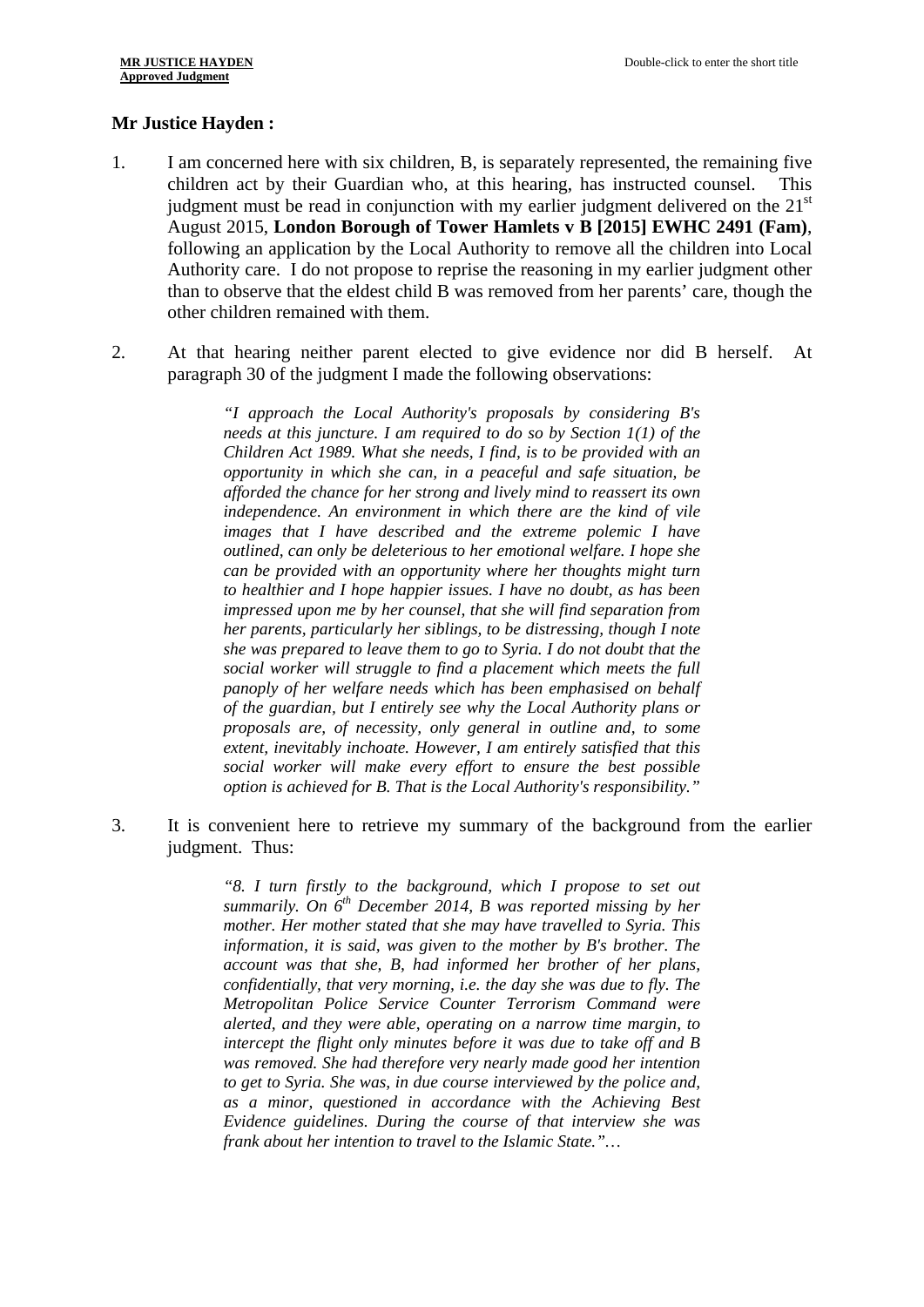## **Mr Justice Hayden :**

- 1. I am concerned here with six children, B, is separately represented, the remaining five children act by their Guardian who, at this hearing, has instructed counsel. This judgment must be read in conjunction with my earlier judgment delivered on the  $21<sup>st</sup>$ August 2015, **London Borough of Tower Hamlets v B [2015] EWHC 2491 (Fam)**, following an application by the Local Authority to remove all the children into Local Authority care. I do not propose to reprise the reasoning in my earlier judgment other than to observe that the eldest child B was removed from her parents' care, though the other children remained with them.
- 2. At that hearing neither parent elected to give evidence nor did B herself. At paragraph 30 of the judgment I made the following observations:

*"I approach the Local Authority's proposals by considering B's needs at this juncture. I am required to do so by Section 1(1) of the Children Act 1989. What she needs, I find, is to be provided with an opportunity in which she can, in a peaceful and safe situation, be afforded the chance for her strong and lively mind to reassert its own independence. An environment in which there are the kind of vile images that I have described and the extreme polemic I have outlined, can only be deleterious to her emotional welfare. I hope she can be provided with an opportunity where her thoughts might turn to healthier and I hope happier issues. I have no doubt, as has been impressed upon me by her counsel, that she will find separation from her parents, particularly her siblings, to be distressing, though I note she was prepared to leave them to go to Syria. I do not doubt that the social worker will struggle to find a placement which meets the full panoply of her welfare needs which has been emphasised on behalf of the guardian, but I entirely see why the Local Authority plans or proposals are, of necessity, only general in outline and, to some extent, inevitably inchoate. However, I am entirely satisfied that this social worker will make every effort to ensure the best possible option is achieved for B. That is the Local Authority's responsibility."* 

3. It is convenient here to retrieve my summary of the background from the earlier judgment. Thus:

> *"8. I turn firstly to the background, which I propose to set out summarily. On 6<sup>th</sup> December 2014, B was reported missing by her mother. Her mother stated that she may have travelled to Syria. This information, it is said, was given to the mother by B's brother. The account was that she, B, had informed her brother of her plans, confidentially, that very morning, i.e. the day she was due to fly. The Metropolitan Police Service Counter Terrorism Command were alerted, and they were able, operating on a narrow time margin, to intercept the flight only minutes before it was due to take off and B was removed. She had therefore very nearly made good her intention to get to Syria. She was, in due course interviewed by the police and, as a minor, questioned in accordance with the Achieving Best Evidence guidelines. During the course of that interview she was frank about her intention to travel to the Islamic State."…*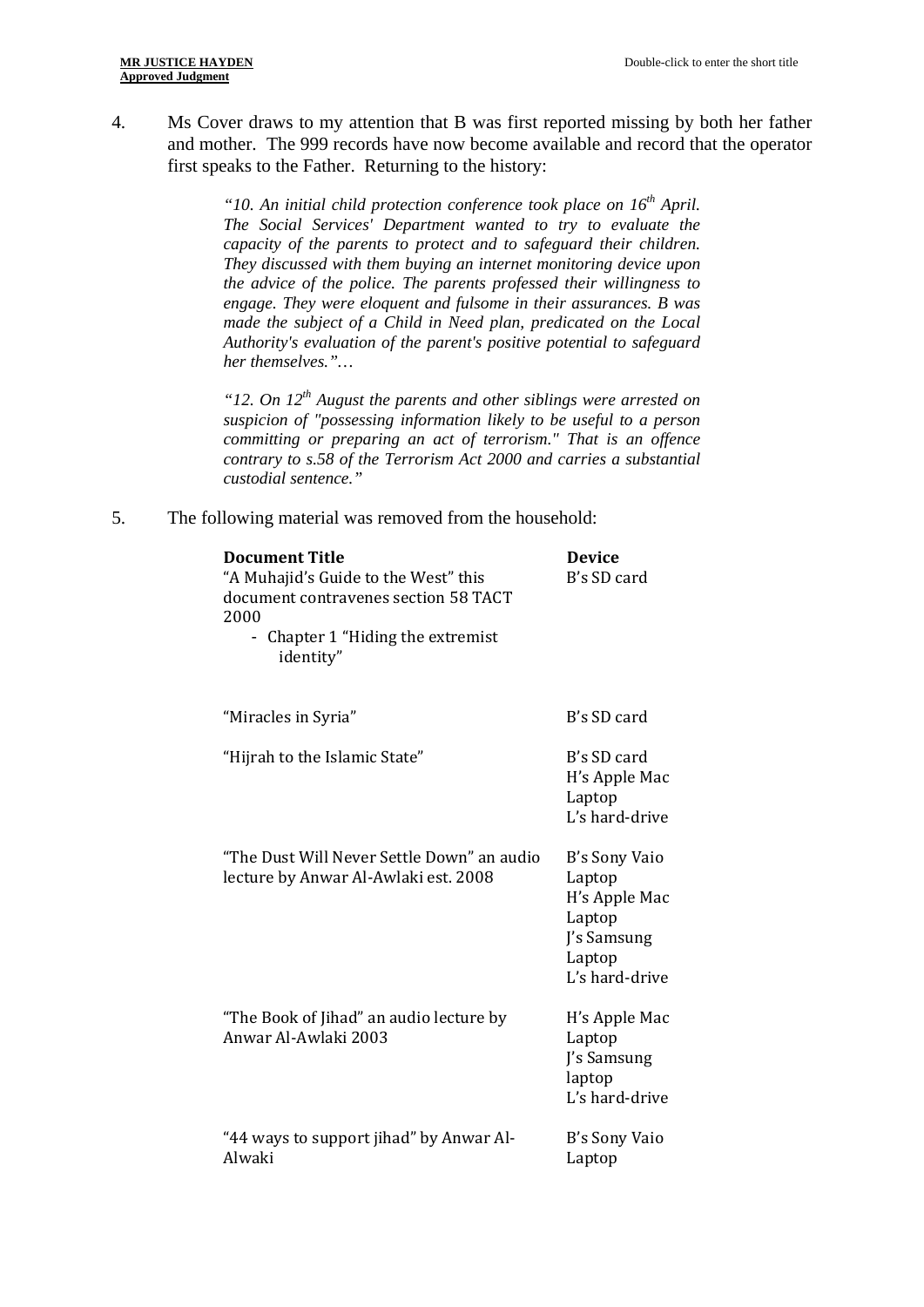4. Ms Cover draws to my attention that B was first reported missing by both her father and mother. The 999 records have now become available and record that the operator first speaks to the Father. Returning to the history:

> *"10. An initial child protection conference took place on 16th April. The Social Services' Department wanted to try to evaluate the capacity of the parents to protect and to safeguard their children. They discussed with them buying an internet monitoring device upon the advice of the police. The parents professed their willingness to engage. They were eloquent and fulsome in their assurances. B was made the subject of a Child in Need plan, predicated on the Local Authority's evaluation of the parent's positive potential to safeguard her themselves."…*

> *"12. On 12th August the parents and other siblings were arrested on suspicion of "possessing information likely to be useful to a person committing or preparing an act of terrorism." That is an offence contrary to s.58 of the Terrorism Act 2000 and carries a substantial custodial sentence."*

5. The following material was removed from the household:

| <b>Document Title</b><br>"A Muhajid's Guide to the West" this<br>document contravenes section 58 TACT<br>2000<br>- Chapter 1 "Hiding the extremist<br>identity" | <b>Device</b><br>B's SD card                                                                  |
|-----------------------------------------------------------------------------------------------------------------------------------------------------------------|-----------------------------------------------------------------------------------------------|
| "Miracles in Syria"                                                                                                                                             | B's SD card                                                                                   |
| "Hijrah to the Islamic State"                                                                                                                                   | B's SD card<br>H's Apple Mac<br>Laptop<br>L's hard-drive                                      |
| "The Dust Will Never Settle Down" an audio<br>lecture by Anwar Al-Awlaki est. 2008                                                                              | B's Sony Vaio<br>Laptop<br>H's Apple Mac<br>Laptop<br>I's Samsung<br>Laptop<br>L's hard-drive |
| "The Book of Jihad" an audio lecture by<br>Anwar Al-Awlaki 2003                                                                                                 | H's Apple Mac<br>Laptop<br>J's Samsung<br>laptop<br>L's hard-drive                            |
| "44 ways to support jihad" by Anwar Al-<br>Alwaki                                                                                                               | B's Sony Vaio<br>Laptop                                                                       |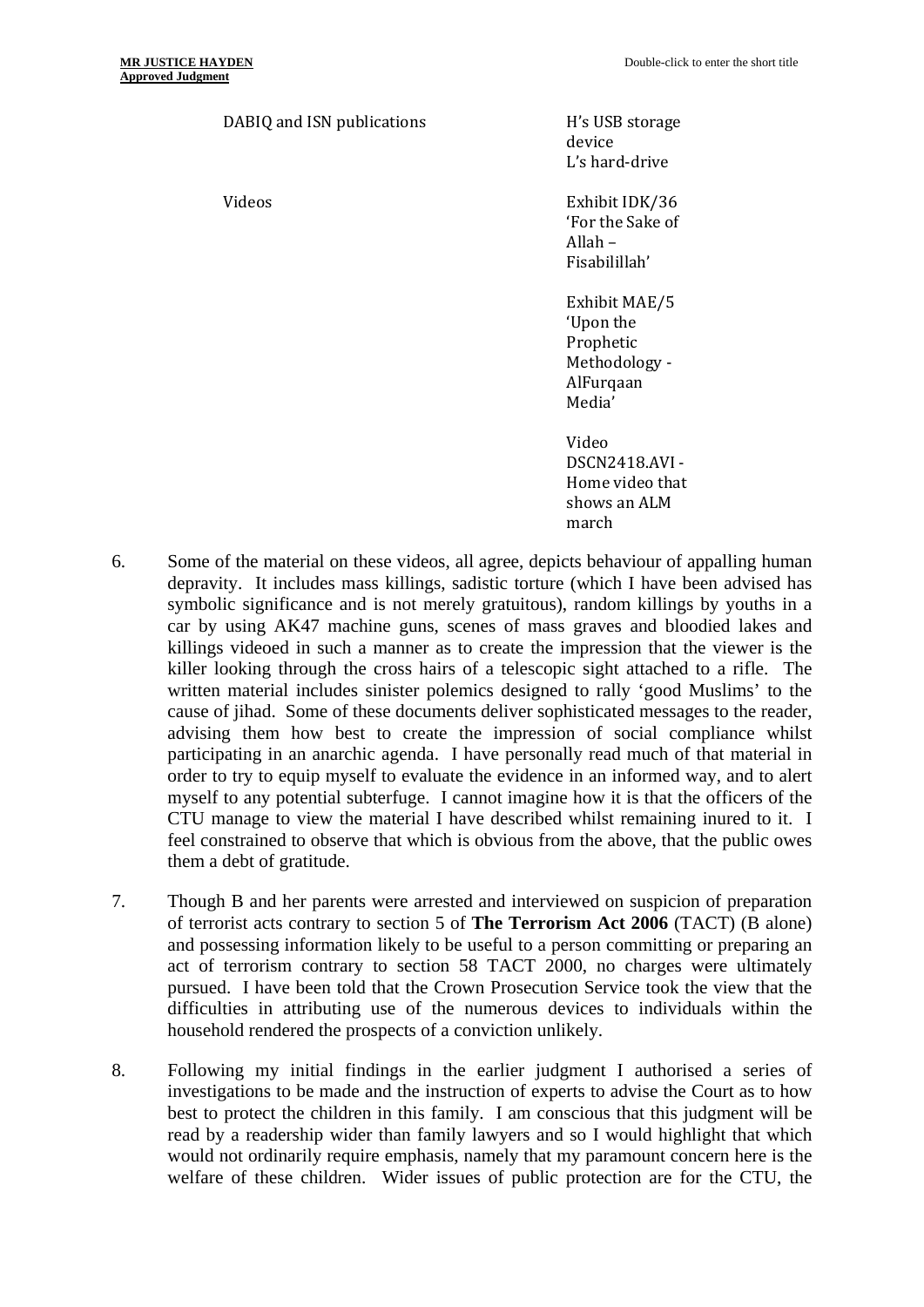Double-click to enter the short title

DABIQ and ISN publications H's USB storag e device L's hard‐drive Exhibit IDK/36 ' For the Sake of Videos Allah – Fisabilillah' Exhibit MAE/5 'Upon the Prophetic Methodology ‐ **AlFurqaan** Media' Video DSCN2418.AVI ‐ Home video that shows an ALM march

- 6. Some of the material on these videos, all agree, depicts behaviour of appalling human depravity. It includes mass killings, sadistic torture (which I have been advised has symbolic significance and is not merely gratuitous), random killings by youths in a car by using AK47 machine guns, scenes of mass graves and bloodied lakes and killings videoed in such a manner as to create the impression that the viewer is the killer looking through the cross hairs of a telescopic sight attached to a rifle. The written material includes sinister polemics designed to rally 'good Muslims' to the cause of jihad. Some of these documents deliver sophisticated messages to the reader, advising them how best to create the impression of social compliance whilst participating in an anarchic agenda. I have personally read much of that material in order to try to equip myself to evaluate the evidence in an informed way, and to alert myself to any potential subterfuge. I cannot imagine how it is that the officers of the CTU manage to view the material I have described whilst remaining inured to it. I feel constrained to observe that which is obvious from the above, that the public owes them a debt of gratitude.
- 7. Though B and her parents were arrested and interviewed on suspicion of preparation of terrorist acts contrary to section 5 of **The Terrorism Act 2006** (TACT) (B alone) and possessing information likely to be useful to a person committing or preparing an act of terrorism contrary to section 58 TACT 2000, no charges were ultimately pursued. I have been told that the Crown Prosecution Service took the view that the difficulties in attributing use of the numerous devices to individuals within the household rendered the prospects of a conviction unlikely.
- 8. Following my initial findings in the earlier judgment I authorised a series of investigations to be made and the instruction of experts to advise the Court as to how best to protect the children in this family. I am conscious that this judgment will be read by a readership wider than family lawyers and so I would highlight that which would not ordinarily require emphasis, namely that my paramount concern here is the welfare of these children. Wider issues of public protection are for the CTU, the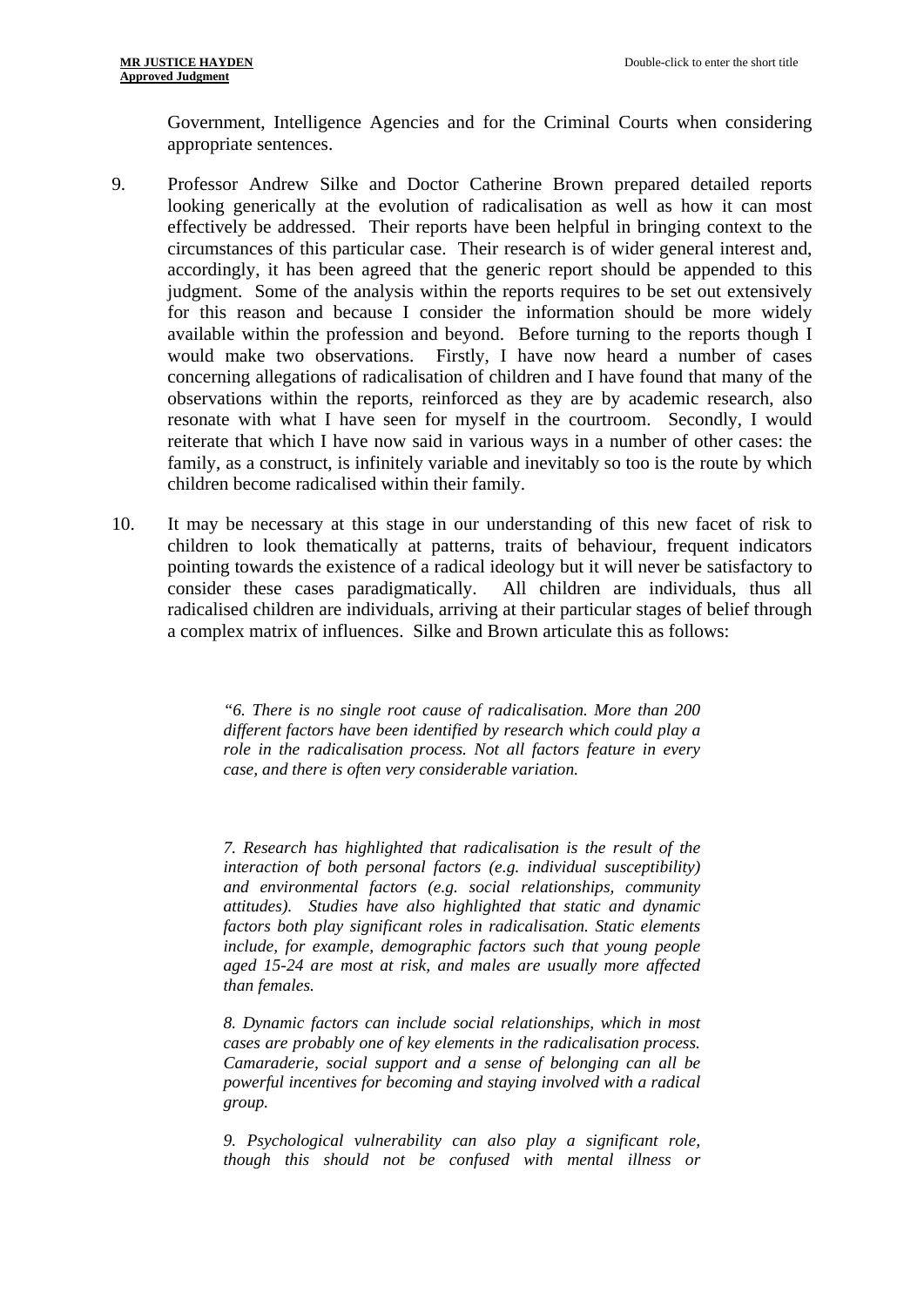Government, Intelligence Agencies and for the Criminal Courts when considering appropriate sentences.

- 9. Professor Andrew Silke and Doctor Catherine Brown prepared detailed reports looking generically at the evolution of radicalisation as well as how it can most effectively be addressed. Their reports have been helpful in bringing context to the circumstances of this particular case. Their research is of wider general interest and, accordingly, it has been agreed that the generic report should be appended to this judgment. Some of the analysis within the reports requires to be set out extensively for this reason and because I consider the information should be more widely available within the profession and beyond. Before turning to the reports though I would make two observations. Firstly, I have now heard a number of cases concerning allegations of radicalisation of children and I have found that many of the observations within the reports, reinforced as they are by academic research, also resonate with what I have seen for myself in the courtroom. Secondly, I would reiterate that which I have now said in various ways in a number of other cases: the family, as a construct, is infinitely variable and inevitably so too is the route by which children become radicalised within their family.
- 10. It may be necessary at this stage in our understanding of this new facet of risk to children to look thematically at patterns, traits of behaviour, frequent indicators pointing towards the existence of a radical ideology but it will never be satisfactory to consider these cases paradigmatically. All children are individuals, thus all radicalised children are individuals, arriving at their particular stages of belief through a complex matrix of influences. Silke and Brown articulate this as follows:

*"6. There is no single root cause of radicalisation. More than 200 different factors have been identified by research which could play a role in the radicalisation process. Not all factors feature in every case, and there is often very considerable variation.* 

*7. Research has highlighted that radicalisation is the result of the interaction of both personal factors (e.g. individual susceptibility) and environmental factors (e.g. social relationships, community attitudes). Studies have also highlighted that static and dynamic factors both play significant roles in radicalisation. Static elements include, for example, demographic factors such that young people aged 15-24 are most at risk, and males are usually more affected than females.* 

*8. Dynamic factors can include social relationships, which in most cases are probably one of key elements in the radicalisation process. Camaraderie, social support and a sense of belonging can all be powerful incentives for becoming and staying involved with a radical group.* 

*9. Psychological vulnerability can also play a significant role, though this should not be confused with mental illness or*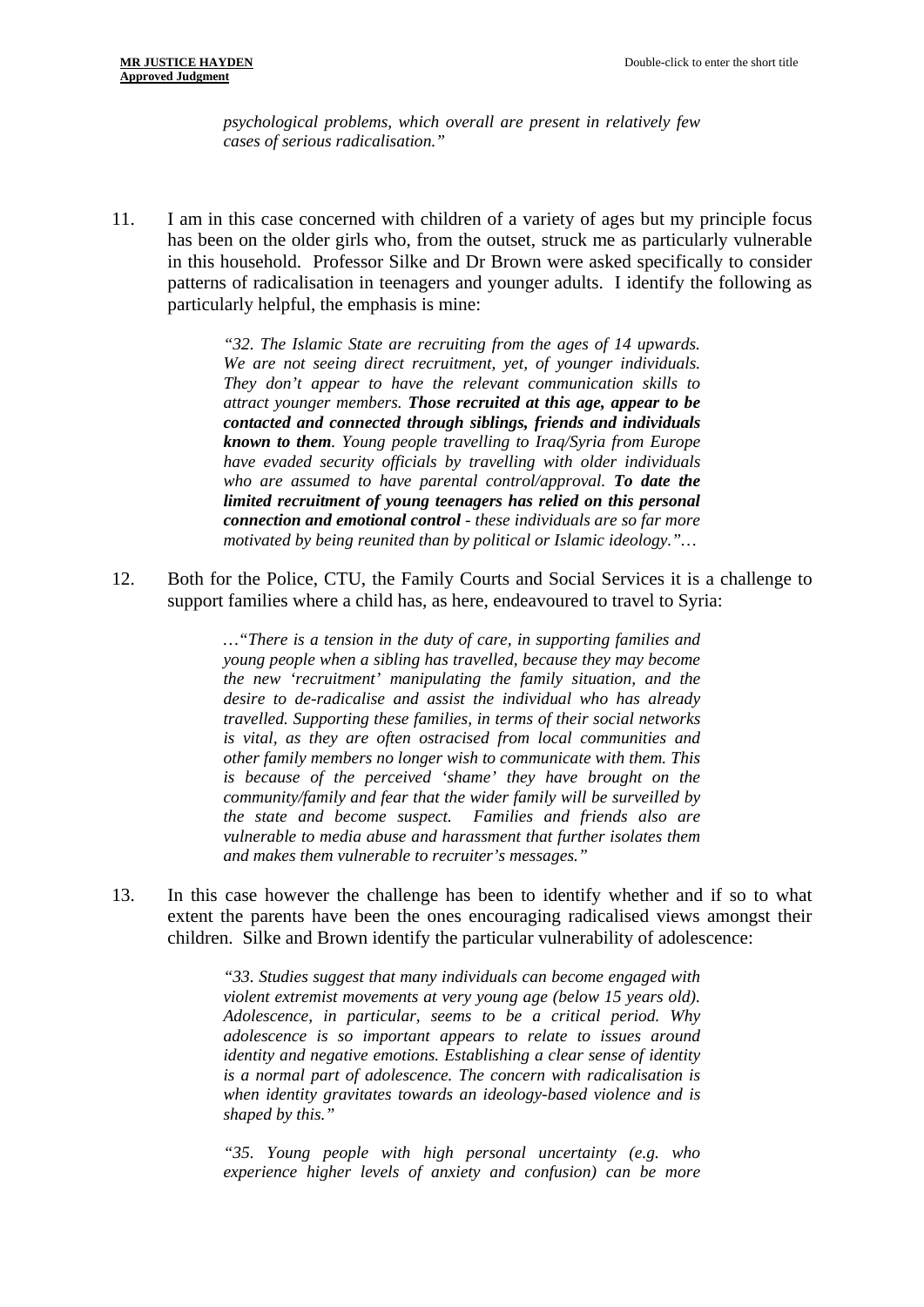*psychological problems, which overall are present in relatively few cases of serious radicalisation."* 

11. I am in this case concerned with children of a variety of ages but my principle focus has been on the older girls who, from the outset, struck me as particularly vulnerable in this household. Professor Silke and Dr Brown were asked specifically to consider patterns of radicalisation in teenagers and younger adults. I identify the following as particularly helpful, the emphasis is mine:

> *"32. The Islamic State are recruiting from the ages of 14 upwards. We are not seeing direct recruitment, yet, of younger individuals. They don't appear to have the relevant communication skills to attract younger members. Those recruited at this age, appear to be contacted and connected through siblings, friends and individuals known to them. Young people travelling to Iraq/Syria from Europe have evaded security officials by travelling with older individuals who are assumed to have parental control/approval. To date the limited recruitment of young teenagers has relied on this personal connection and emotional control - these individuals are so far more motivated by being reunited than by political or Islamic ideology."…*

12. Both for the Police, CTU, the Family Courts and Social Services it is a challenge to support families where a child has, as here, endeavoured to travel to Syria:

> *…"There is a tension in the duty of care, in supporting families and young people when a sibling has travelled, because they may become the new 'recruitment' manipulating the family situation, and the desire to de-radicalise and assist the individual who has already travelled. Supporting these families, in terms of their social networks is vital, as they are often ostracised from local communities and other family members no longer wish to communicate with them. This is because of the perceived 'shame' they have brought on the community/family and fear that the wider family will be surveilled by the state and become suspect. Families and friends also are vulnerable to media abuse and harassment that further isolates them and makes them vulnerable to recruiter's messages."*

13. In this case however the challenge has been to identify whether and if so to what extent the parents have been the ones encouraging radicalised views amongst their children. Silke and Brown identify the particular vulnerability of adolescence:

> *"33. Studies suggest that many individuals can become engaged with violent extremist movements at very young age (below 15 years old). Adolescence, in particular, seems to be a critical period. Why adolescence is so important appears to relate to issues around identity and negative emotions. Establishing a clear sense of identity is a normal part of adolescence. The concern with radicalisation is when identity gravitates towards an ideology-based violence and is shaped by this."*

> *"35. Young people with high personal uncertainty (e.g. who experience higher levels of anxiety and confusion) can be more*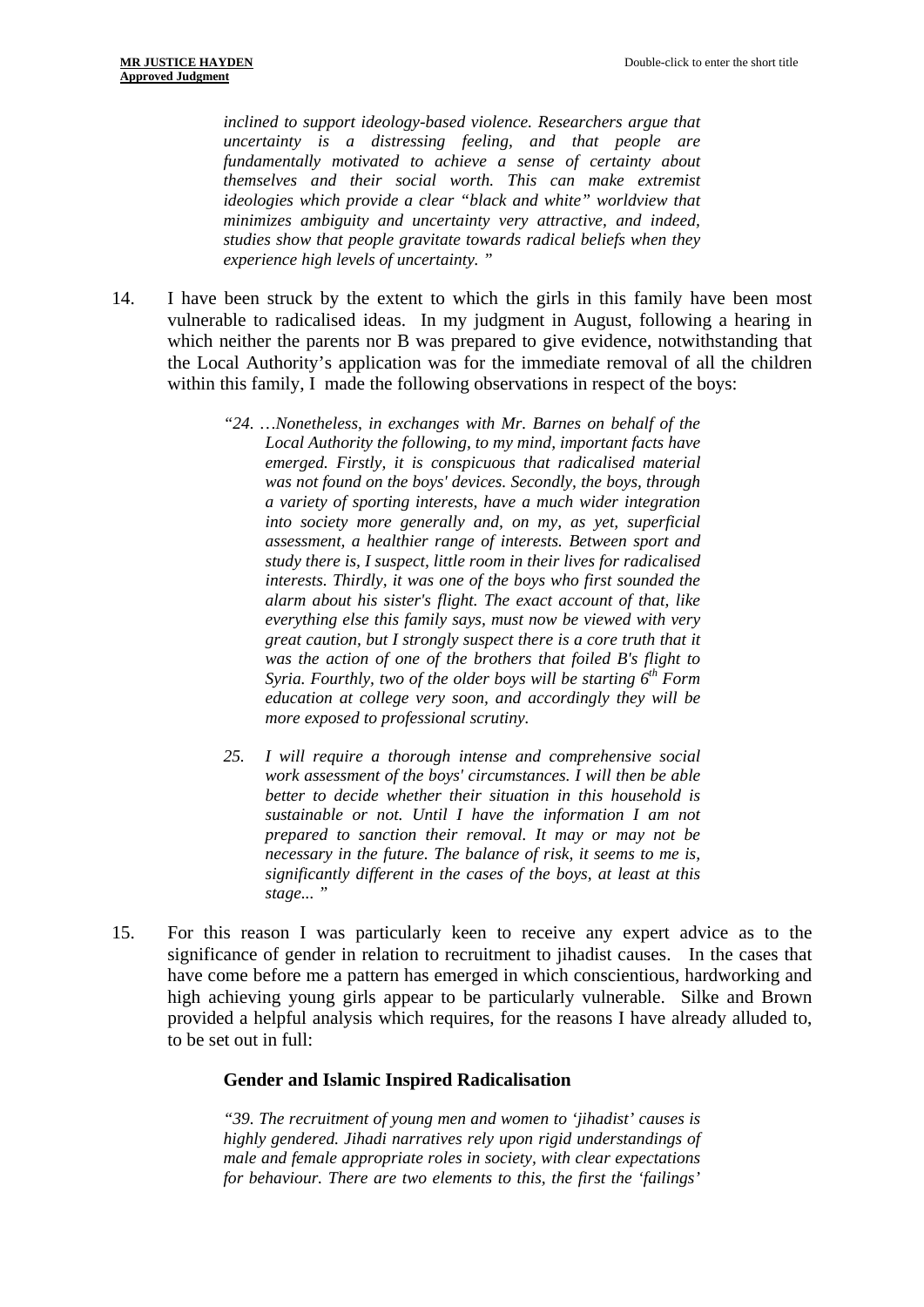*inclined to support ideology-based violence. Researchers argue that uncertainty is a distressing feeling, and that people are fundamentally motivated to achieve a sense of certainty about themselves and their social worth. This can make extremist ideologies which provide a clear "black and white" worldview that minimizes ambiguity and uncertainty very attractive, and indeed, studies show that people gravitate towards radical beliefs when they experience high levels of uncertainty. "* 

- 14. I have been struck by the extent to which the girls in this family have been most vulnerable to radicalised ideas. In my judgment in August, following a hearing in which neither the parents nor B was prepared to give evidence, notwithstanding that the Local Authority's application was for the immediate removal of all the children within this family, I made the following observations in respect of the boys:
	- *"24. …Nonetheless, in exchanges with Mr. Barnes on behalf of the Local Authority the following, to my mind, important facts have emerged. Firstly, it is conspicuous that radicalised material was not found on the boys' devices. Secondly, the boys, through a variety of sporting interests, have a much wider integration into society more generally and, on my, as yet, superficial assessment, a healthier range of interests. Between sport and study there is, I suspect, little room in their lives for radicalised interests. Thirdly, it was one of the boys who first sounded the alarm about his sister's flight. The exact account of that, like everything else this family says, must now be viewed with very great caution, but I strongly suspect there is a core truth that it was the action of one of the brothers that foiled B's flight to Syria. Fourthly, two of the older boys will be starting 6<sup>th</sup> Form education at college very soon, and accordingly they will be more exposed to professional scrutiny.*
	- *25. I will require a thorough intense and comprehensive social work assessment of the boys' circumstances. I will then be able better to decide whether their situation in this household is sustainable or not. Until I have the information I am not prepared to sanction their removal. It may or may not be necessary in the future. The balance of risk, it seems to me is, significantly different in the cases of the boys, at least at this stage... "*
- 15. For this reason I was particularly keen to receive any expert advice as to the significance of gender in relation to recruitment to jihadist causes. In the cases that have come before me a pattern has emerged in which conscientious, hardworking and high achieving young girls appear to be particularly vulnerable. Silke and Brown provided a helpful analysis which requires, for the reasons I have already alluded to, to be set out in full:

#### **Gender and Islamic Inspired Radicalisation**

*"39. The recruitment of young men and women to 'jihadist' causes is highly gendered. Jihadi narratives rely upon rigid understandings of male and female appropriate roles in society, with clear expectations for behaviour. There are two elements to this, the first the 'failings'*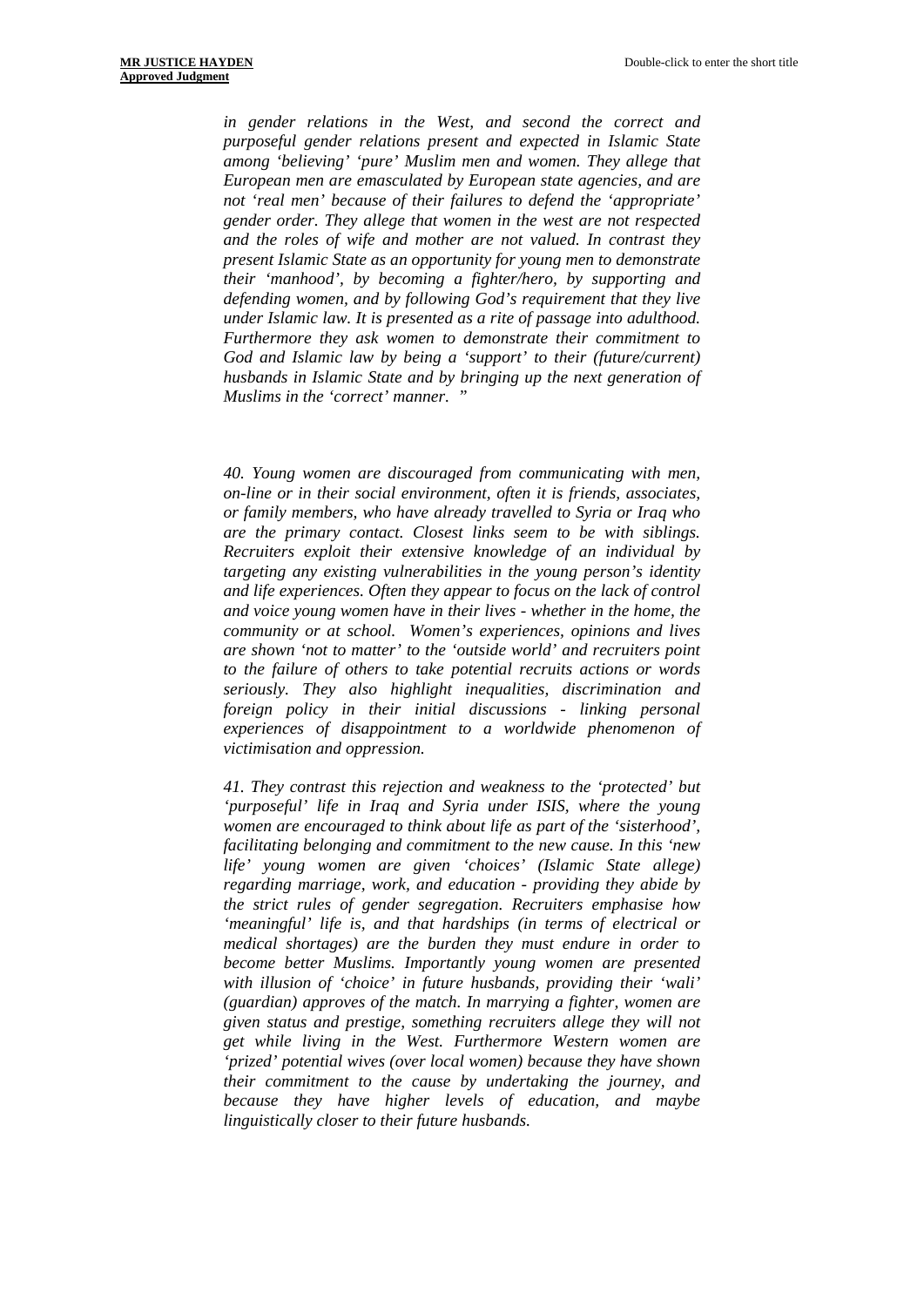*in gender relations in the West, and second the correct and purposeful gender relations present and expected in Islamic State among 'believing' 'pure' Muslim men and women. They allege that European men are emasculated by European state agencies, and are not 'real men' because of their failures to defend the 'appropriate' gender order. They allege that women in the west are not respected and the roles of wife and mother are not valued. In contrast they present Islamic State as an opportunity for young men to demonstrate their 'manhood', by becoming a fighter/hero, by supporting and defending women, and by following God's requirement that they live under Islamic law. It is presented as a rite of passage into adulthood. Furthermore they ask women to demonstrate their commitment to God and Islamic law by being a 'support' to their (future/current) husbands in Islamic State and by bringing up the next generation of Muslims in the 'correct' manner. "* 

*40. Young women are discouraged from communicating with men, on-line or in their social environment, often it is friends, associates, or family members, who have already travelled to Syria or Iraq who are the primary contact. Closest links seem to be with siblings. Recruiters exploit their extensive knowledge of an individual by targeting any existing vulnerabilities in the young person's identity and life experiences. Often they appear to focus on the lack of control and voice young women have in their lives - whether in the home, the community or at school. Women's experiences, opinions and lives are shown 'not to matter' to the 'outside world' and recruiters point to the failure of others to take potential recruits actions or words seriously. They also highlight inequalities, discrimination and foreign policy in their initial discussions - linking personal experiences of disappointment to a worldwide phenomenon of victimisation and oppression.* 

*41. They contrast this rejection and weakness to the 'protected' but 'purposeful' life in Iraq and Syria under ISIS, where the young women are encouraged to think about life as part of the 'sisterhood', facilitating belonging and commitment to the new cause. In this 'new life' young women are given 'choices' (Islamic State allege) regarding marriage, work, and education - providing they abide by the strict rules of gender segregation. Recruiters emphasise how 'meaningful' life is, and that hardships (in terms of electrical or medical shortages) are the burden they must endure in order to become better Muslims. Importantly young women are presented with illusion of 'choice' in future husbands, providing their 'wali' (guardian) approves of the match. In marrying a fighter, women are given status and prestige, something recruiters allege they will not get while living in the West. Furthermore Western women are 'prized' potential wives (over local women) because they have shown their commitment to the cause by undertaking the journey, and because they have higher levels of education, and maybe linguistically closer to their future husbands.*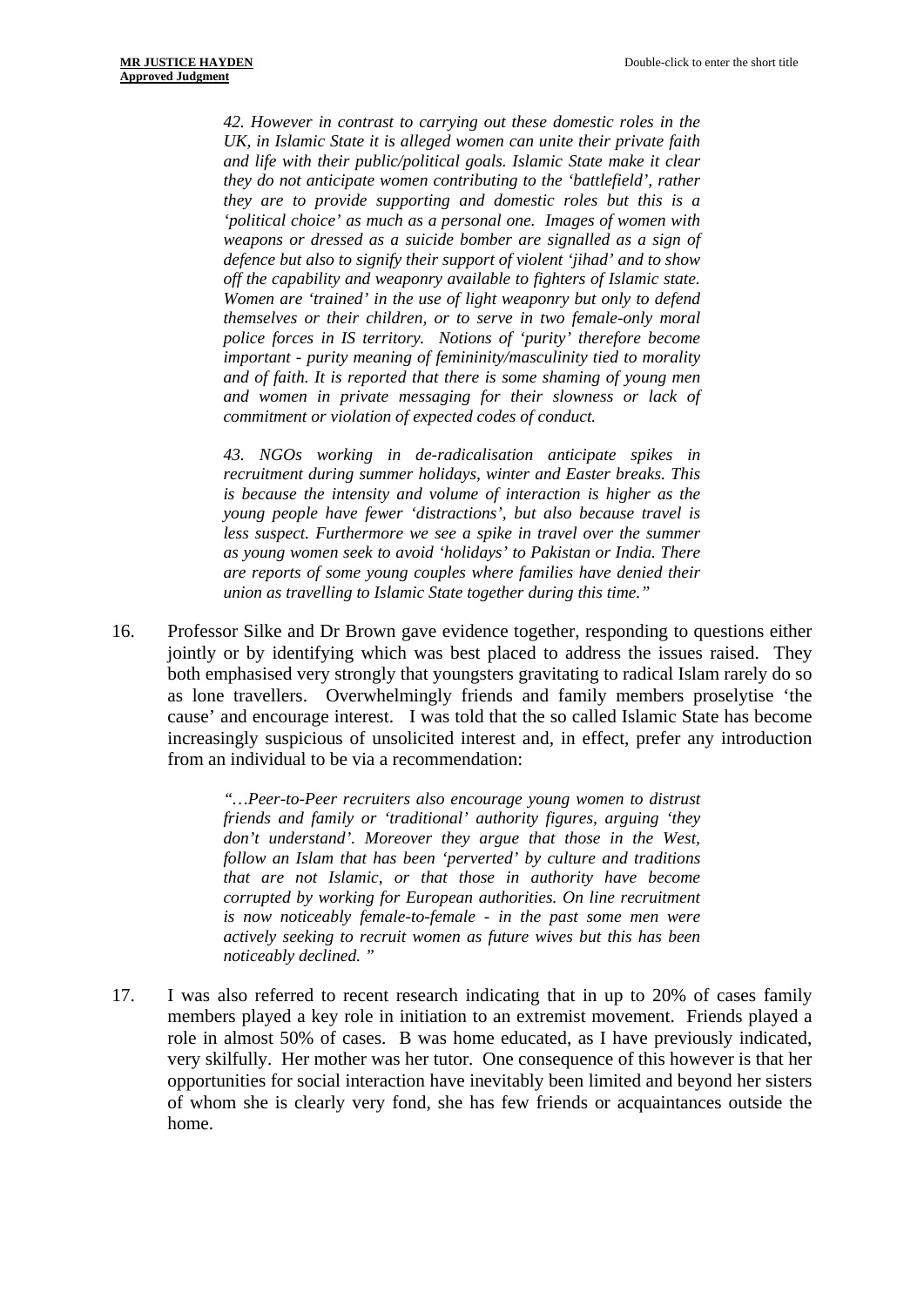*42. However in contrast to carrying out these domestic roles in the UK, in Islamic State it is alleged women can unite their private faith and life with their public/political goals. Islamic State make it clear they do not anticipate women contributing to the 'battlefield', rather they are to provide supporting and domestic roles but this is a 'political choice' as much as a personal one. Images of women with weapons or dressed as a suicide bomber are signalled as a sign of defence but also to signify their support of violent 'jihad' and to show off the capability and weaponry available to fighters of Islamic state. Women are 'trained' in the use of light weaponry but only to defend themselves or their children, or to serve in two female-only moral police forces in IS territory. Notions of 'purity' therefore become important - purity meaning of femininity/masculinity tied to morality and of faith. It is reported that there is some shaming of young men and women in private messaging for their slowness or lack of commitment or violation of expected codes of conduct.* 

*43. NGOs working in de-radicalisation anticipate spikes in recruitment during summer holidays, winter and Easter breaks. This is because the intensity and volume of interaction is higher as the young people have fewer 'distractions', but also because travel is*  less suspect. Furthermore we see a spike in travel over the summer *as young women seek to avoid 'holidays' to Pakistan or India. There are reports of some young couples where families have denied their union as travelling to Islamic State together during this time."* 

16. Professor Silke and Dr Brown gave evidence together, responding to questions either jointly or by identifying which was best placed to address the issues raised. They both emphasised very strongly that youngsters gravitating to radical Islam rarely do so as lone travellers. Overwhelmingly friends and family members proselytise 'the cause' and encourage interest. I was told that the so called Islamic State has become increasingly suspicious of unsolicited interest and, in effect, prefer any introduction from an individual to be via a recommendation:

> *"…Peer-to-Peer recruiters also encourage young women to distrust friends and family or 'traditional' authority figures, arguing 'they don't understand'. Moreover they argue that those in the West, follow an Islam that has been 'perverted' by culture and traditions that are not Islamic, or that those in authority have become corrupted by working for European authorities. On line recruitment is now noticeably female-to-female - in the past some men were actively seeking to recruit women as future wives but this has been noticeably declined. "*

17. I was also referred to recent research indicating that in up to 20% of cases family members played a key role in initiation to an extremist movement. Friends played a role in almost 50% of cases. B was home educated, as I have previously indicated, very skilfully. Her mother was her tutor. One consequence of this however is that her opportunities for social interaction have inevitably been limited and beyond her sisters of whom she is clearly very fond, she has few friends or acquaintances outside the home.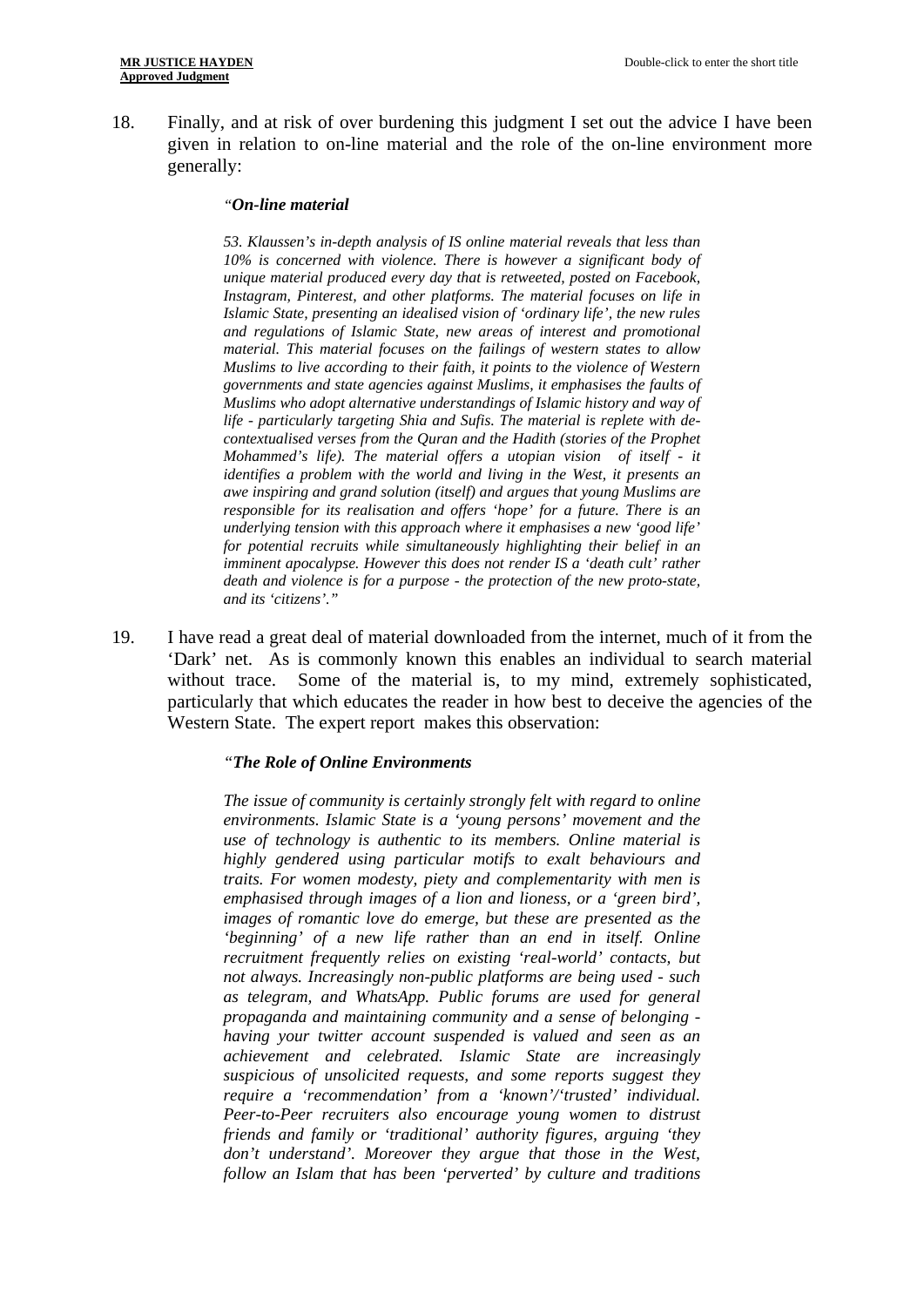18. Finally, and at risk of over burdening this judgment I set out the advice I have been given in relation to on-line material and the role of the on-line environment more generally:

#### *"On-line material*

*53. Klaussen's in-depth analysis of IS online material reveals that less than 10% is concerned with violence. There is however a significant body of unique material produced every day that is retweeted, posted on Facebook, Instagram, Pinterest, and other platforms. The material focuses on life in Islamic State, presenting an idealised vision of 'ordinary life', the new rules and regulations of Islamic State, new areas of interest and promotional material. This material focuses on the failings of western states to allow Muslims to live according to their faith, it points to the violence of Western governments and state agencies against Muslims, it emphasises the faults of Muslims who adopt alternative understandings of Islamic history and way of life - particularly targeting Shia and Sufis. The material is replete with decontextualised verses from the Quran and the Hadith (stories of the Prophet Mohammed's life). The material offers a utopian vision of itself - it identifies a problem with the world and living in the West, it presents an awe inspiring and grand solution (itself) and argues that young Muslims are responsible for its realisation and offers 'hope' for a future. There is an underlying tension with this approach where it emphasises a new 'good life' for potential recruits while simultaneously highlighting their belief in an imminent apocalypse. However this does not render IS a 'death cult' rather death and violence is for a purpose - the protection of the new proto-state, and its 'citizens'."* 

19. I have read a great deal of material downloaded from the internet, much of it from the 'Dark' net. As is commonly known this enables an individual to search material without trace. Some of the material is, to my mind, extremely sophisticated, particularly that which educates the reader in how best to deceive the agencies of the Western State. The expert report makes this observation:

## *"The Role of Online Environments*

*The issue of community is certainly strongly felt with regard to online environments. Islamic State is a 'young persons' movement and the use of technology is authentic to its members. Online material is highly gendered using particular motifs to exalt behaviours and traits. For women modesty, piety and complementarity with men is emphasised through images of a lion and lioness, or a 'green bird', images of romantic love do emerge, but these are presented as the 'beginning' of a new life rather than an end in itself. Online recruitment frequently relies on existing 'real-world' contacts, but not always. Increasingly non-public platforms are being used - such as telegram, and WhatsApp. Public forums are used for general propaganda and maintaining community and a sense of belonging having your twitter account suspended is valued and seen as an achievement and celebrated. Islamic State are increasingly suspicious of unsolicited requests, and some reports suggest they require a 'recommendation' from a 'known'/'trusted' individual. Peer-to-Peer recruiters also encourage young women to distrust friends and family or 'traditional' authority figures, arguing 'they don't understand'. Moreover they argue that those in the West, follow an Islam that has been 'perverted' by culture and traditions*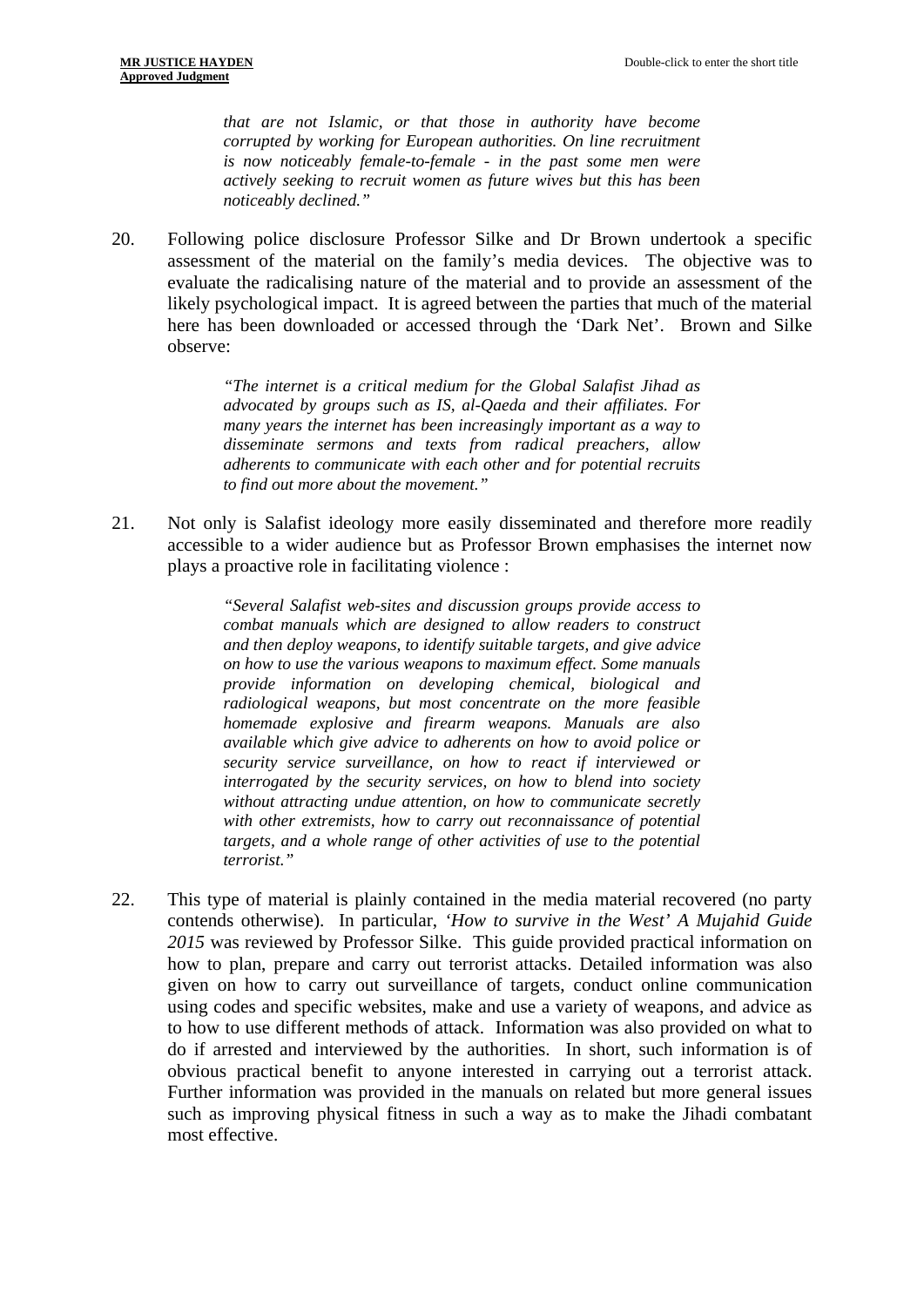*that are not Islamic, or that those in authority have become corrupted by working for European authorities. On line recruitment is now noticeably female-to-female - in the past some men were actively seeking to recruit women as future wives but this has been noticeably declined."* 

20. Following police disclosure Professor Silke and Dr Brown undertook a specific assessment of the material on the family's media devices. The objective was to evaluate the radicalising nature of the material and to provide an assessment of the likely psychological impact. It is agreed between the parties that much of the material here has been downloaded or accessed through the 'Dark Net'. Brown and Silke observe:

> *"The internet is a critical medium for the Global Salafist Jihad as advocated by groups such as IS, al-Qaeda and their affiliates. For many years the internet has been increasingly important as a way to disseminate sermons and texts from radical preachers, allow adherents to communicate with each other and for potential recruits to find out more about the movement."*

21. Not only is Salafist ideology more easily disseminated and therefore more readily accessible to a wider audience but as Professor Brown emphasises the internet now plays a proactive role in facilitating violence :

> *"Several Salafist web-sites and discussion groups provide access to combat manuals which are designed to allow readers to construct and then deploy weapons, to identify suitable targets, and give advice on how to use the various weapons to maximum effect. Some manuals provide information on developing chemical, biological and radiological weapons, but most concentrate on the more feasible homemade explosive and firearm weapons. Manuals are also available which give advice to adherents on how to avoid police or security service surveillance, on how to react if interviewed or interrogated by the security services, on how to blend into society without attracting undue attention, on how to communicate secretly with other extremists, how to carry out reconnaissance of potential targets, and a whole range of other activities of use to the potential terrorist."*

22. This type of material is plainly contained in the media material recovered (no party contends otherwise). In particular, *'How to survive in the West' A Mujahid Guide 2015* was reviewed by Professor Silke. This guide provided practical information on how to plan, prepare and carry out terrorist attacks. Detailed information was also given on how to carry out surveillance of targets, conduct online communication using codes and specific websites, make and use a variety of weapons, and advice as to how to use different methods of attack. Information was also provided on what to do if arrested and interviewed by the authorities. In short, such information is of obvious practical benefit to anyone interested in carrying out a terrorist attack. Further information was provided in the manuals on related but more general issues such as improving physical fitness in such a way as to make the Jihadi combatant most effective.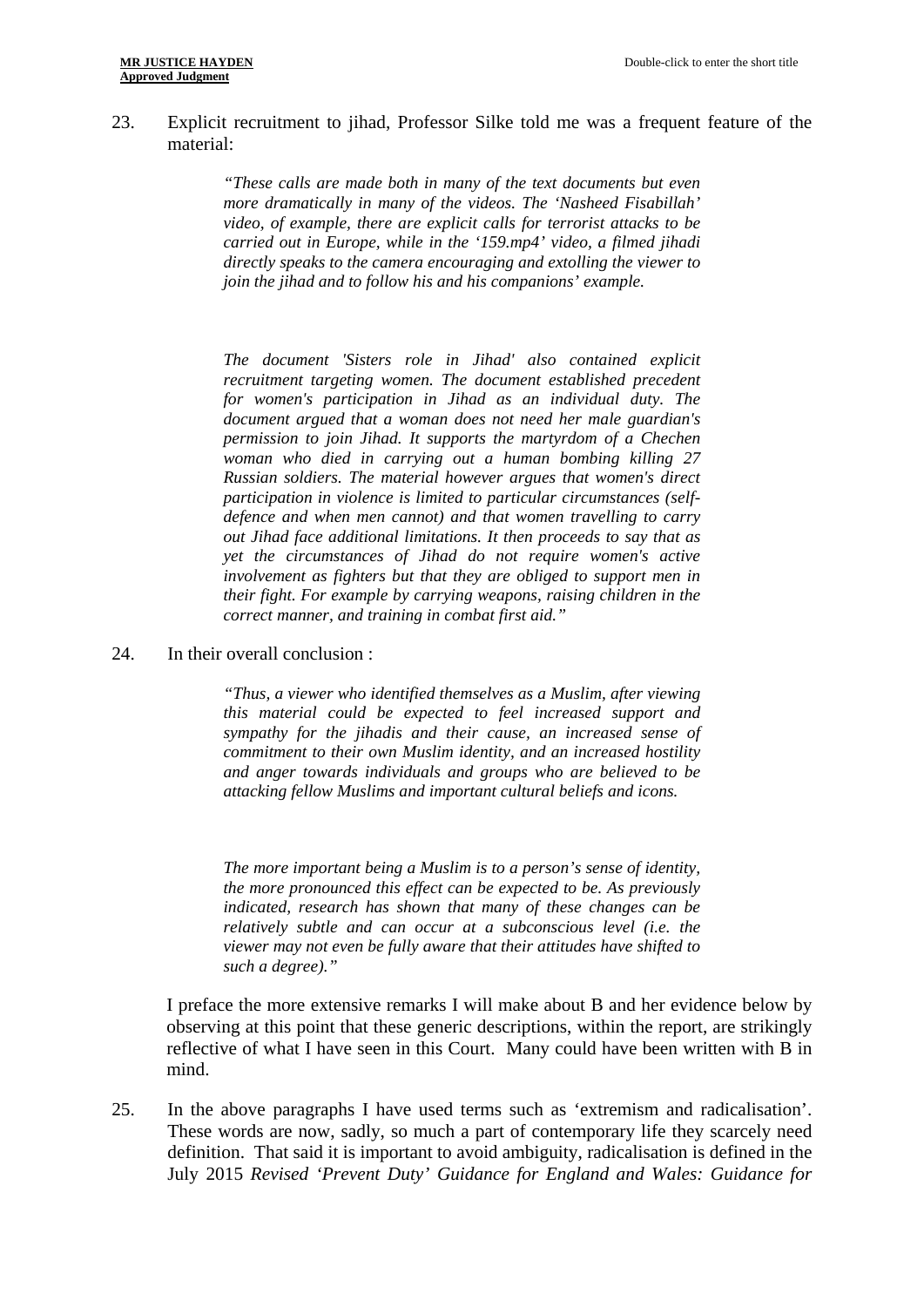23. Explicit recruitment to jihad, Professor Silke told me was a frequent feature of the material:

> *"These calls are made both in many of the text documents but even more dramatically in many of the videos. The 'Nasheed Fisabillah' video, of example, there are explicit calls for terrorist attacks to be carried out in Europe, while in the '159.mp4' video, a filmed jihadi directly speaks to the camera encouraging and extolling the viewer to join the jihad and to follow his and his companions' example.*

> *The document 'Sisters role in Jihad' also contained explicit recruitment targeting women. The document established precedent for women's participation in Jihad as an individual duty. The document argued that a woman does not need her male guardian's permission to join Jihad. It supports the martyrdom of a Chechen woman who died in carrying out a human bombing killing 27 Russian soldiers. The material however argues that women's direct participation in violence is limited to particular circumstances (selfdefence and when men cannot) and that women travelling to carry out Jihad face additional limitations. It then proceeds to say that as yet the circumstances of Jihad do not require women's active involvement as fighters but that they are obliged to support men in their fight. For example by carrying weapons, raising children in the correct manner, and training in combat first aid."*

24. In their overall conclusion :

*"Thus, a viewer who identified themselves as a Muslim, after viewing this material could be expected to feel increased support and sympathy for the jihadis and their cause, an increased sense of commitment to their own Muslim identity, and an increased hostility and anger towards individuals and groups who are believed to be attacking fellow Muslims and important cultural beliefs and icons.* 

*The more important being a Muslim is to a person's sense of identity, the more pronounced this effect can be expected to be. As previously indicated, research has shown that many of these changes can be relatively subtle and can occur at a subconscious level (i.e. the viewer may not even be fully aware that their attitudes have shifted to such a degree)."* 

I preface the more extensive remarks I will make about B and her evidence below by observing at this point that these generic descriptions, within the report, are strikingly reflective of what I have seen in this Court. Many could have been written with B in mind.

25. In the above paragraphs I have used terms such as 'extremism and radicalisation'. These words are now, sadly, so much a part of contemporary life they scarcely need definition. That said it is important to avoid ambiguity, radicalisation is defined in the July 2015 *Revised 'Prevent Duty' Guidance for England and Wales: Guidance for*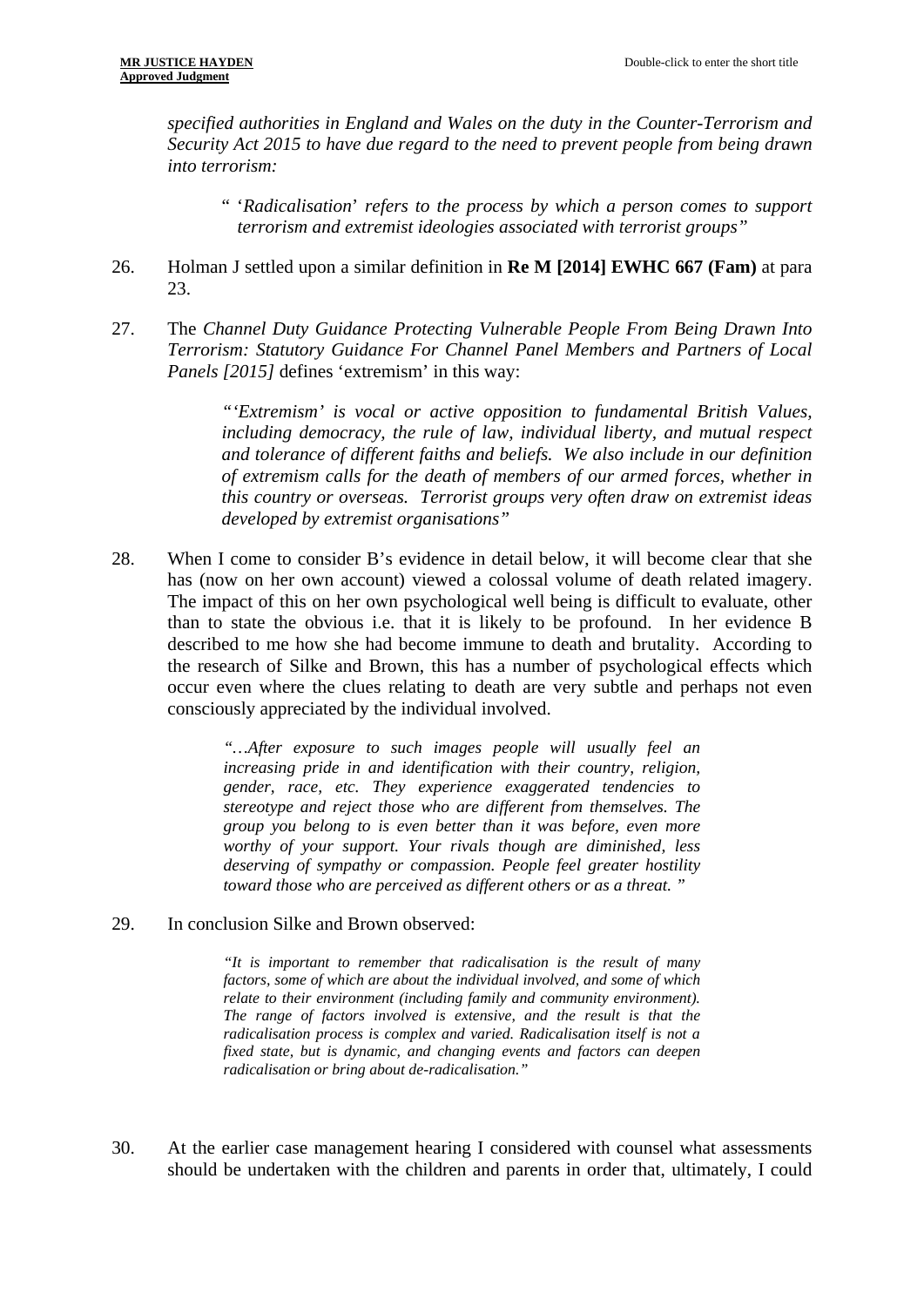*specified authorities in England and Wales on the duty in the Counter-Terrorism and Security Act 2015 to have due regard to the need to prevent people from being drawn into terrorism:* 

" '*Radicalisation*' *refers to the process by which a person comes to support terrorism and extremist ideologies associated with terrorist groups"* 

- 26. Holman J settled upon a similar definition in **Re M [2014] EWHC 667 (Fam)** at para 23.
- 27. The *Channel Duty Guidance Protecting Vulnerable People From Being Drawn Into Terrorism: Statutory Guidance For Channel Panel Members and Partners of Local Panels [2015]* defines 'extremism' in this way:

*"'Extremism' is vocal or active opposition to fundamental British Values, including democracy, the rule of law, individual liberty, and mutual respect and tolerance of different faiths and beliefs. We also include in our definition of extremism calls for the death of members of our armed forces, whether in this country or overseas. Terrorist groups very often draw on extremist ideas developed by extremist organisations"* 

28. When I come to consider B's evidence in detail below, it will become clear that she has (now on her own account) viewed a colossal volume of death related imagery. The impact of this on her own psychological well being is difficult to evaluate, other than to state the obvious i.e. that it is likely to be profound. In her evidence B described to me how she had become immune to death and brutality. According to the research of Silke and Brown, this has a number of psychological effects which occur even where the clues relating to death are very subtle and perhaps not even consciously appreciated by the individual involved.

> *"…After exposure to such images people will usually feel an increasing pride in and identification with their country, religion, gender, race, etc. They experience exaggerated tendencies to stereotype and reject those who are different from themselves. The group you belong to is even better than it was before, even more worthy of your support. Your rivals though are diminished, less deserving of sympathy or compassion. People feel greater hostility toward those who are perceived as different others or as a threat. "*

29. In conclusion Silke and Brown observed:

*"It is important to remember that radicalisation is the result of many factors, some of which are about the individual involved, and some of which relate to their environment (including family and community environment). The range of factors involved is extensive, and the result is that the radicalisation process is complex and varied. Radicalisation itself is not a fixed state, but is dynamic, and changing events and factors can deepen radicalisation or bring about de-radicalisation."* 

30. At the earlier case management hearing I considered with counsel what assessments should be undertaken with the children and parents in order that, ultimately, I could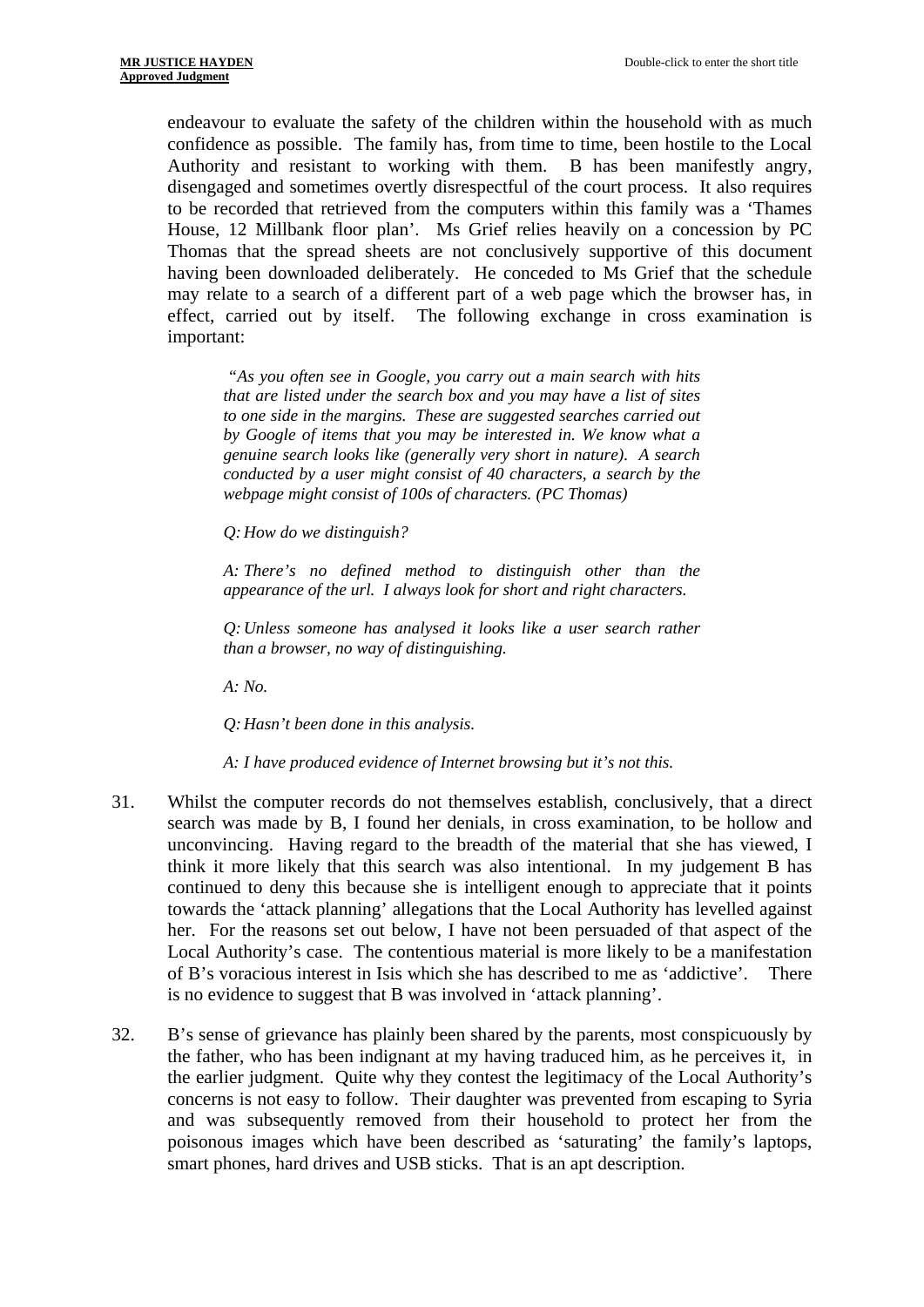endeavour to evaluate the safety of the children within the household with as much confidence as possible. The family has, from time to time, been hostile to the Local Authority and resistant to working with them. B has been manifestly angry, disengaged and sometimes overtly disrespectful of the court process. It also requires to be recorded that retrieved from the computers within this family was a 'Thames House, 12 Millbank floor plan'. Ms Grief relies heavily on a concession by PC Thomas that the spread sheets are not conclusively supportive of this document having been downloaded deliberately. He conceded to Ms Grief that the schedule may relate to a search of a different part of a web page which the browser has, in effect, carried out by itself. The following exchange in cross examination is important:

 *"As you often see in Google, you carry out a main search with hits that are listed under the search box and you may have a list of sites to one side in the margins. These are suggested searches carried out by Google of items that you may be interested in. We know what a genuine search looks like (generally very short in nature). A search conducted by a user might consist of 40 characters, a search by the webpage might consist of 100s of characters. (PC Thomas)* 

*Q: How do we distinguish?* 

*A: There's no defined method to distinguish other than the appearance of the url. I always look for short and right characters.* 

*Q: Unless someone has analysed it looks like a user search rather than a browser, no way of distinguishing.* 

*A: No.* 

*Q: Hasn't been done in this analysis.* 

*A: I have produced evidence of Internet browsing but it's not this.* 

- 31. Whilst the computer records do not themselves establish, conclusively, that a direct search was made by B, I found her denials, in cross examination, to be hollow and unconvincing. Having regard to the breadth of the material that she has viewed, I think it more likely that this search was also intentional. In my judgement B has continued to deny this because she is intelligent enough to appreciate that it points towards the 'attack planning' allegations that the Local Authority has levelled against her. For the reasons set out below, I have not been persuaded of that aspect of the Local Authority's case. The contentious material is more likely to be a manifestation of B's voracious interest in Isis which she has described to me as 'addictive'. There is no evidence to suggest that B was involved in 'attack planning'.
- 32. B's sense of grievance has plainly been shared by the parents, most conspicuously by the father, who has been indignant at my having traduced him, as he perceives it, in the earlier judgment. Quite why they contest the legitimacy of the Local Authority's concerns is not easy to follow. Their daughter was prevented from escaping to Syria and was subsequently removed from their household to protect her from the poisonous images which have been described as 'saturating' the family's laptops, smart phones, hard drives and USB sticks. That is an apt description.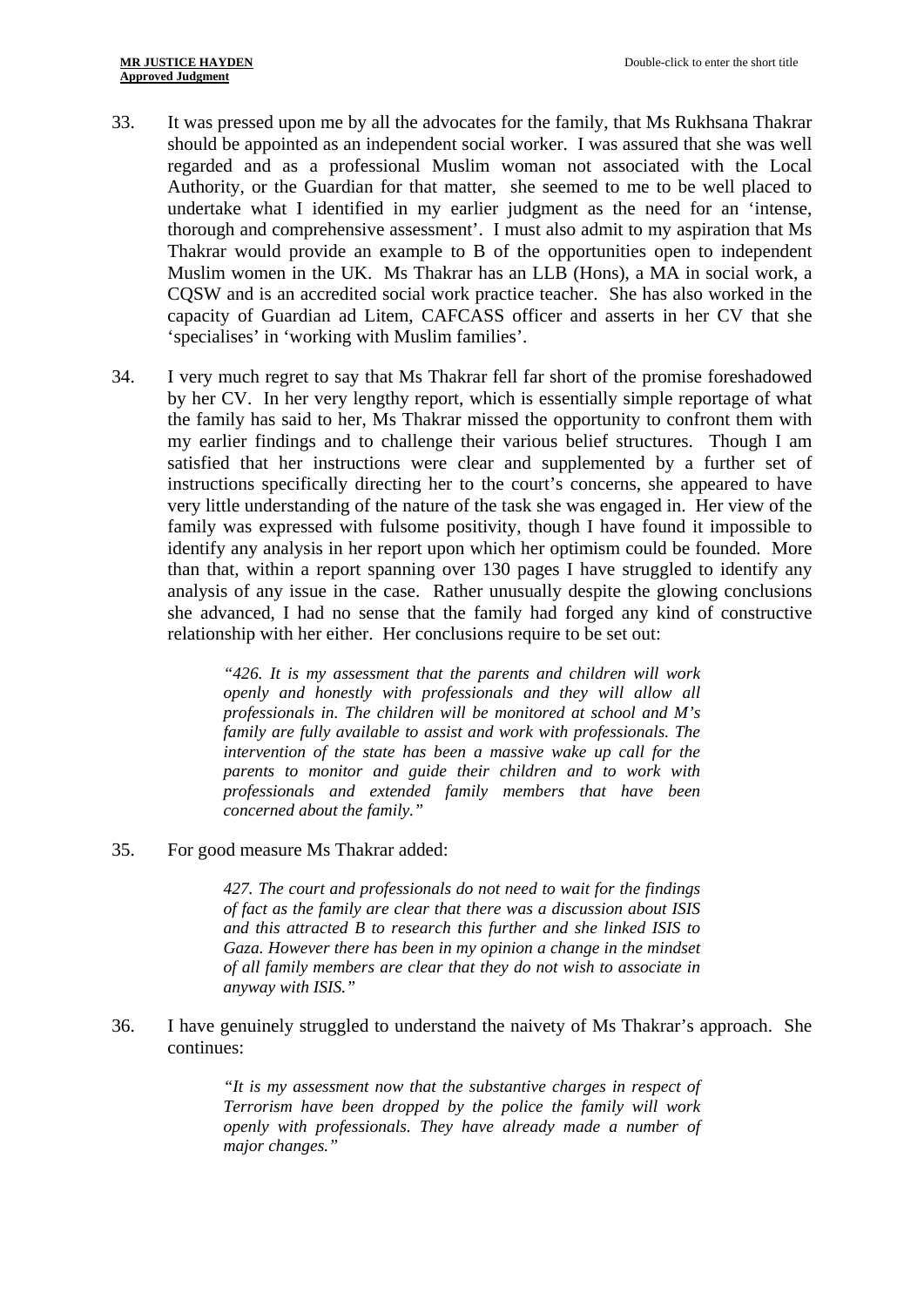- 33. It was pressed upon me by all the advocates for the family, that Ms Rukhsana Thakrar should be appointed as an independent social worker. I was assured that she was well regarded and as a professional Muslim woman not associated with the Local Authority, or the Guardian for that matter, she seemed to me to be well placed to undertake what I identified in my earlier judgment as the need for an 'intense, thorough and comprehensive assessment'. I must also admit to my aspiration that Ms Thakrar would provide an example to B of the opportunities open to independent Muslim women in the UK. Ms Thakrar has an LLB (Hons), a MA in social work, a CQSW and is an accredited social work practice teacher. She has also worked in the capacity of Guardian ad Litem, CAFCASS officer and asserts in her CV that she 'specialises' in 'working with Muslim families'.
- 34. I very much regret to say that Ms Thakrar fell far short of the promise foreshadowed by her CV. In her very lengthy report, which is essentially simple reportage of what the family has said to her, Ms Thakrar missed the opportunity to confront them with my earlier findings and to challenge their various belief structures. Though I am satisfied that her instructions were clear and supplemented by a further set of instructions specifically directing her to the court's concerns, she appeared to have very little understanding of the nature of the task she was engaged in. Her view of the family was expressed with fulsome positivity, though I have found it impossible to identify any analysis in her report upon which her optimism could be founded. More than that, within a report spanning over 130 pages I have struggled to identify any analysis of any issue in the case. Rather unusually despite the glowing conclusions she advanced, I had no sense that the family had forged any kind of constructive relationship with her either. Her conclusions require to be set out:

*"426. It is my assessment that the parents and children will work openly and honestly with professionals and they will allow all professionals in. The children will be monitored at school and M's family are fully available to assist and work with professionals. The intervention of the state has been a massive wake up call for the parents to monitor and guide their children and to work with professionals and extended family members that have been concerned about the family."* 

35. For good measure Ms Thakrar added:

*427. The court and professionals do not need to wait for the findings of fact as the family are clear that there was a discussion about ISIS and this attracted B to research this further and she linked ISIS to Gaza. However there has been in my opinion a change in the mindset of all family members are clear that they do not wish to associate in anyway with ISIS."*

36. I have genuinely struggled to understand the naivety of Ms Thakrar's approach. She continues:

> *"It is my assessment now that the substantive charges in respect of Terrorism have been dropped by the police the family will work openly with professionals. They have already made a number of major changes."*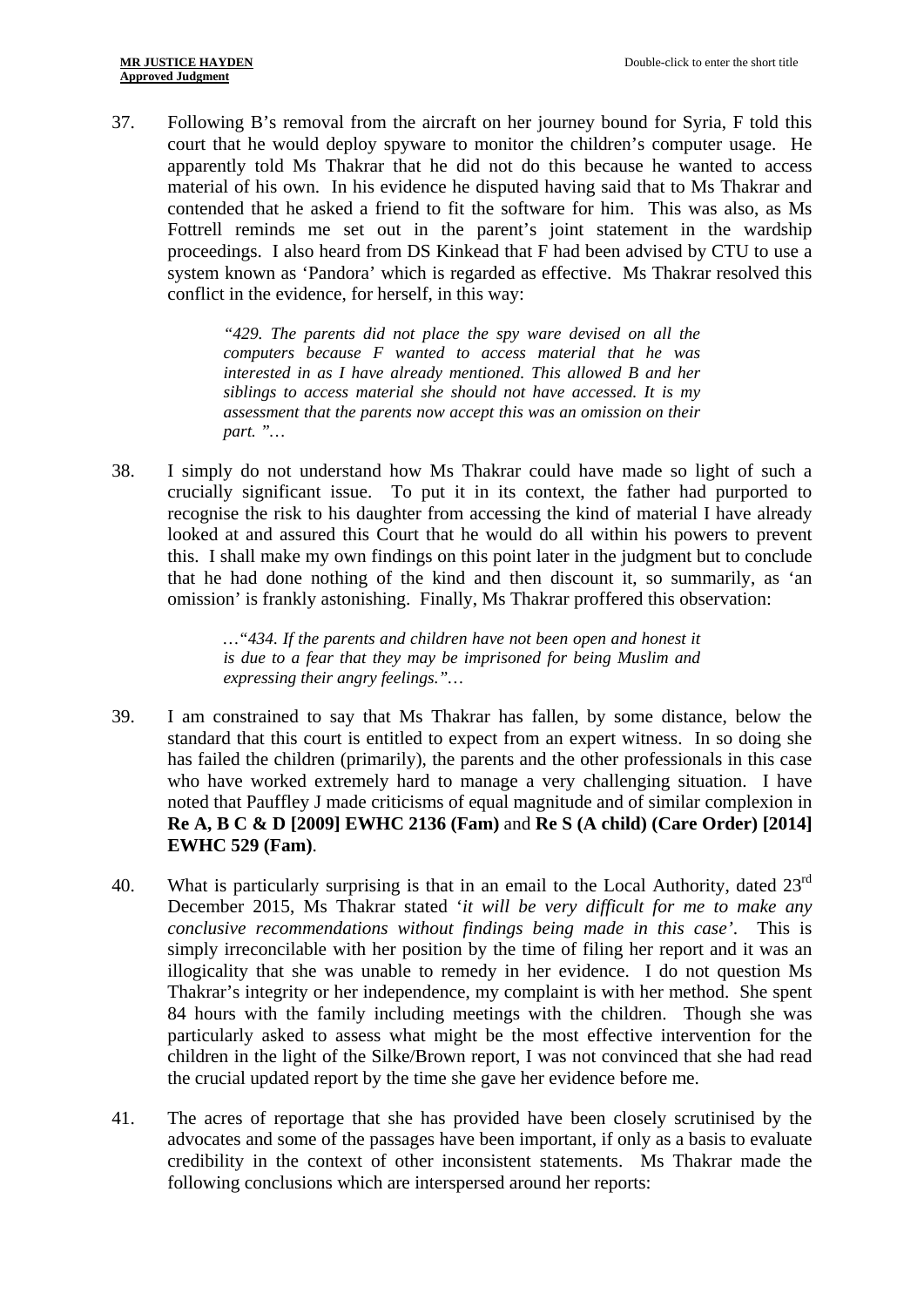37. Following B's removal from the aircraft on her journey bound for Syria, F told this court that he would deploy spyware to monitor the children's computer usage. He apparently told Ms Thakrar that he did not do this because he wanted to access material of his own. In his evidence he disputed having said that to Ms Thakrar and contended that he asked a friend to fit the software for him. This was also, as Ms Fottrell reminds me set out in the parent's joint statement in the wardship proceedings. I also heard from DS Kinkead that F had been advised by CTU to use a system known as 'Pandora' which is regarded as effective. Ms Thakrar resolved this conflict in the evidence, for herself, in this way:

> *"429. The parents did not place the spy ware devised on all the computers because F wanted to access material that he was interested in as I have already mentioned. This allowed B and her siblings to access material she should not have accessed. It is my assessment that the parents now accept this was an omission on their part. "…*

38. I simply do not understand how Ms Thakrar could have made so light of such a crucially significant issue. To put it in its context, the father had purported to recognise the risk to his daughter from accessing the kind of material I have already looked at and assured this Court that he would do all within his powers to prevent this. I shall make my own findings on this point later in the judgment but to conclude that he had done nothing of the kind and then discount it, so summarily, as 'an omission' is frankly astonishing. Finally, Ms Thakrar proffered this observation:

> *…"434. If the parents and children have not been open and honest it is due to a fear that they may be imprisoned for being Muslim and expressing their angry feelings."…*

- 39. I am constrained to say that Ms Thakrar has fallen, by some distance, below the standard that this court is entitled to expect from an expert witness. In so doing she has failed the children (primarily), the parents and the other professionals in this case who have worked extremely hard to manage a very challenging situation. I have noted that Pauffley J made criticisms of equal magnitude and of similar complexion in **Re A, B C & D [2009] EWHC 2136 (Fam)** and **Re S (A child) (Care Order) [2014] EWHC 529 (Fam)**.
- 40. What is particularly surprising is that in an email to the Local Authority, dated  $23<sup>rd</sup>$ December 2015, Ms Thakrar stated '*it will be very difficult for me to make any conclusive recommendations without findings being made in this case'*. This is simply irreconcilable with her position by the time of filing her report and it was an illogicality that she was unable to remedy in her evidence. I do not question Ms Thakrar's integrity or her independence, my complaint is with her method. She spent 84 hours with the family including meetings with the children. Though she was particularly asked to assess what might be the most effective intervention for the children in the light of the Silke/Brown report, I was not convinced that she had read the crucial updated report by the time she gave her evidence before me.
- 41. The acres of reportage that she has provided have been closely scrutinised by the advocates and some of the passages have been important, if only as a basis to evaluate credibility in the context of other inconsistent statements. Ms Thakrar made the following conclusions which are interspersed around her reports: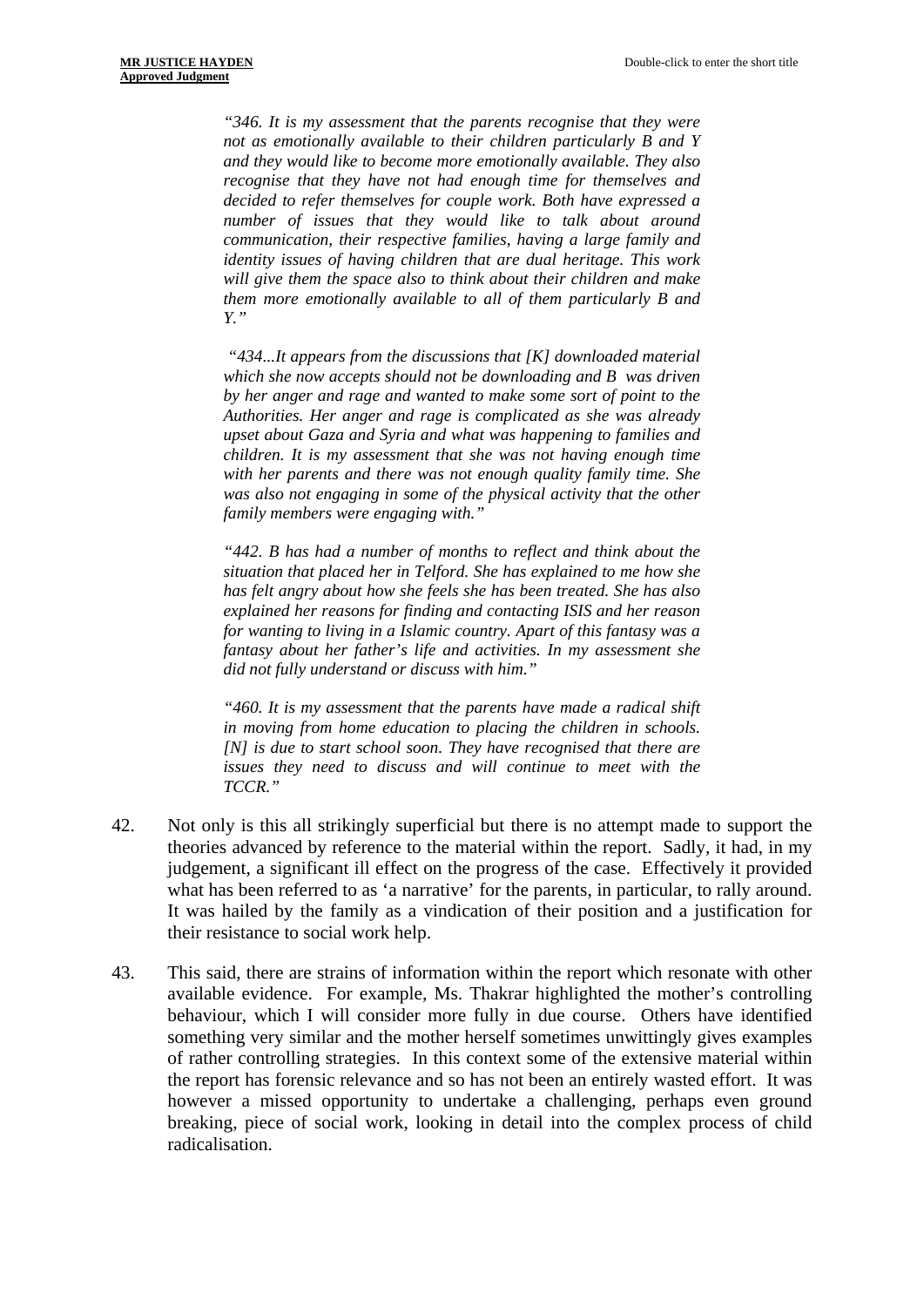*"346. It is my assessment that the parents recognise that they were not as emotionally available to their children particularly B and Y and they would like to become more emotionally available. They also recognise that they have not had enough time for themselves and decided to refer themselves for couple work. Both have expressed a number of issues that they would like to talk about around communication, their respective families, having a large family and identity issues of having children that are dual heritage. This work will give them the space also to think about their children and make them more emotionally available to all of them particularly B and Y."* 

 *"434...It appears from the discussions that [K] downloaded material which she now accepts should not be downloading and B was driven by her anger and rage and wanted to make some sort of point to the Authorities. Her anger and rage is complicated as she was already upset about Gaza and Syria and what was happening to families and children. It is my assessment that she was not having enough time with her parents and there was not enough quality family time. She was also not engaging in some of the physical activity that the other family members were engaging with."* 

*"442. B has had a number of months to reflect and think about the situation that placed her in Telford. She has explained to me how she has felt angry about how she feels she has been treated. She has also explained her reasons for finding and contacting ISIS and her reason for wanting to living in a Islamic country. Apart of this fantasy was a fantasy about her father's life and activities. In my assessment she did not fully understand or discuss with him."* 

*"460. It is my assessment that the parents have made a radical shift in moving from home education to placing the children in schools. [N] is due to start school soon. They have recognised that there are issues they need to discuss and will continue to meet with the TCCR."* 

- 42. Not only is this all strikingly superficial but there is no attempt made to support the theories advanced by reference to the material within the report. Sadly, it had, in my judgement, a significant ill effect on the progress of the case. Effectively it provided what has been referred to as 'a narrative' for the parents, in particular, to rally around. It was hailed by the family as a vindication of their position and a justification for their resistance to social work help.
- 43. This said, there are strains of information within the report which resonate with other available evidence. For example, Ms. Thakrar highlighted the mother's controlling behaviour, which I will consider more fully in due course. Others have identified something very similar and the mother herself sometimes unwittingly gives examples of rather controlling strategies. In this context some of the extensive material within the report has forensic relevance and so has not been an entirely wasted effort. It was however a missed opportunity to undertake a challenging, perhaps even ground breaking, piece of social work, looking in detail into the complex process of child radicalisation.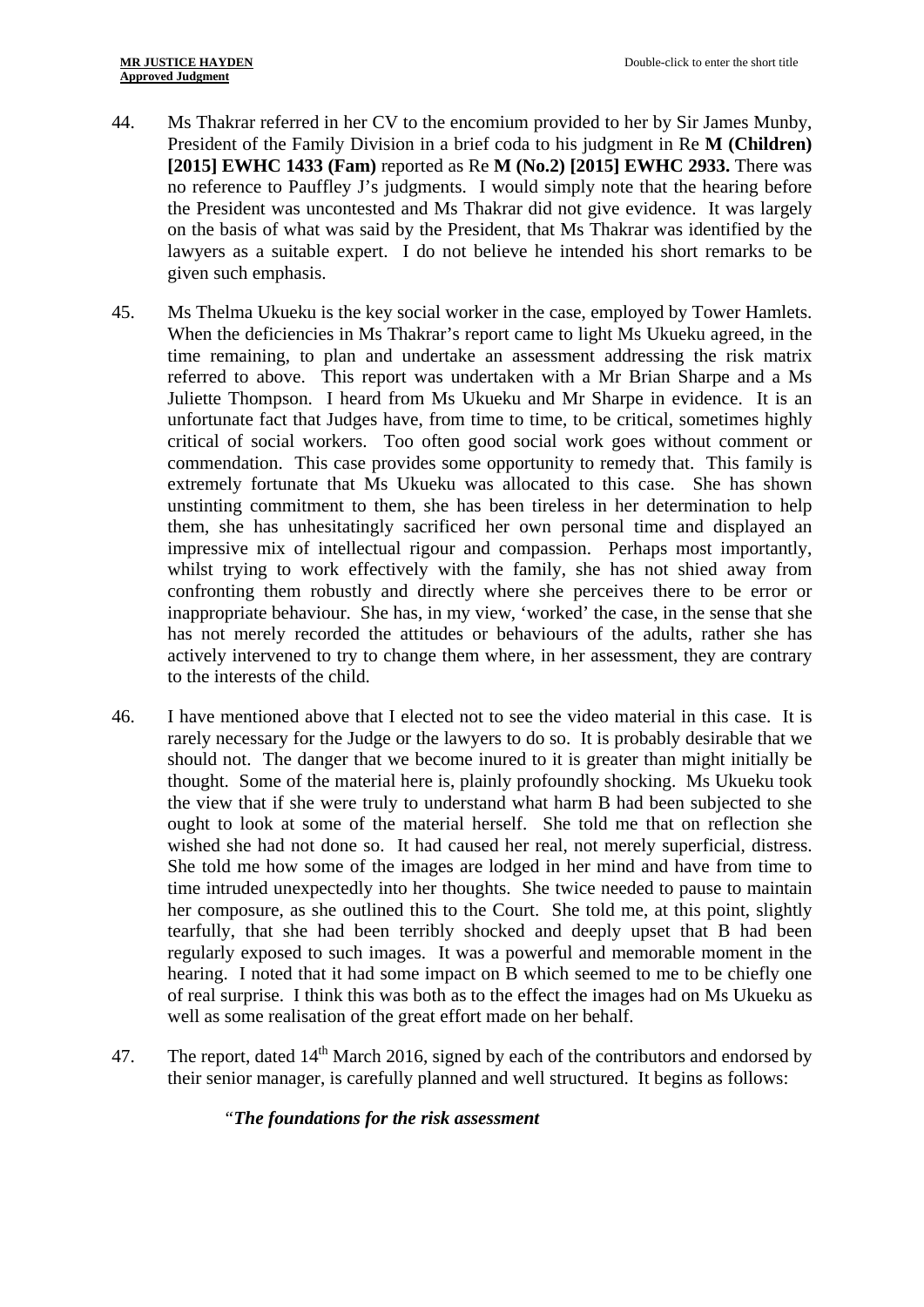- 44. Ms Thakrar referred in her CV to the encomium provided to her by Sir James Munby, President of the Family Division in a brief coda to his judgment in Re **M (Children) [2015] EWHC 1433 (Fam)** reported as Re **M (No.2) [2015] EWHC 2933.** There was no reference to Pauffley J's judgments. I would simply note that the hearing before the President was uncontested and Ms Thakrar did not give evidence. It was largely on the basis of what was said by the President, that Ms Thakrar was identified by the lawyers as a suitable expert. I do not believe he intended his short remarks to be given such emphasis.
- 45. Ms Thelma Ukueku is the key social worker in the case, employed by Tower Hamlets. When the deficiencies in Ms Thakrar's report came to light Ms Ukueku agreed, in the time remaining, to plan and undertake an assessment addressing the risk matrix referred to above. This report was undertaken with a Mr Brian Sharpe and a Ms Juliette Thompson. I heard from Ms Ukueku and Mr Sharpe in evidence. It is an unfortunate fact that Judges have, from time to time, to be critical, sometimes highly critical of social workers. Too often good social work goes without comment or commendation. This case provides some opportunity to remedy that. This family is extremely fortunate that Ms Ukueku was allocated to this case. She has shown unstinting commitment to them, she has been tireless in her determination to help them, she has unhesitatingly sacrificed her own personal time and displayed an impressive mix of intellectual rigour and compassion. Perhaps most importantly, whilst trying to work effectively with the family, she has not shied away from confronting them robustly and directly where she perceives there to be error or inappropriate behaviour. She has, in my view, 'worked' the case, in the sense that she has not merely recorded the attitudes or behaviours of the adults, rather she has actively intervened to try to change them where, in her assessment, they are contrary to the interests of the child.
- 46. I have mentioned above that I elected not to see the video material in this case. It is rarely necessary for the Judge or the lawyers to do so. It is probably desirable that we should not. The danger that we become inured to it is greater than might initially be thought. Some of the material here is, plainly profoundly shocking. Ms Ukueku took the view that if she were truly to understand what harm B had been subjected to she ought to look at some of the material herself. She told me that on reflection she wished she had not done so. It had caused her real, not merely superficial, distress. She told me how some of the images are lodged in her mind and have from time to time intruded unexpectedly into her thoughts. She twice needed to pause to maintain her composure, as she outlined this to the Court. She told me, at this point, slightly tearfully, that she had been terribly shocked and deeply upset that B had been regularly exposed to such images. It was a powerful and memorable moment in the hearing. I noted that it had some impact on B which seemed to me to be chiefly one of real surprise. I think this was both as to the effect the images had on Ms Ukueku as well as some realisation of the great effort made on her behalf.
- 47. The report, dated  $14<sup>th</sup>$  March 2016, signed by each of the contributors and endorsed by their senior manager, is carefully planned and well structured. It begins as follows:

## *"The foundations for the risk assessment*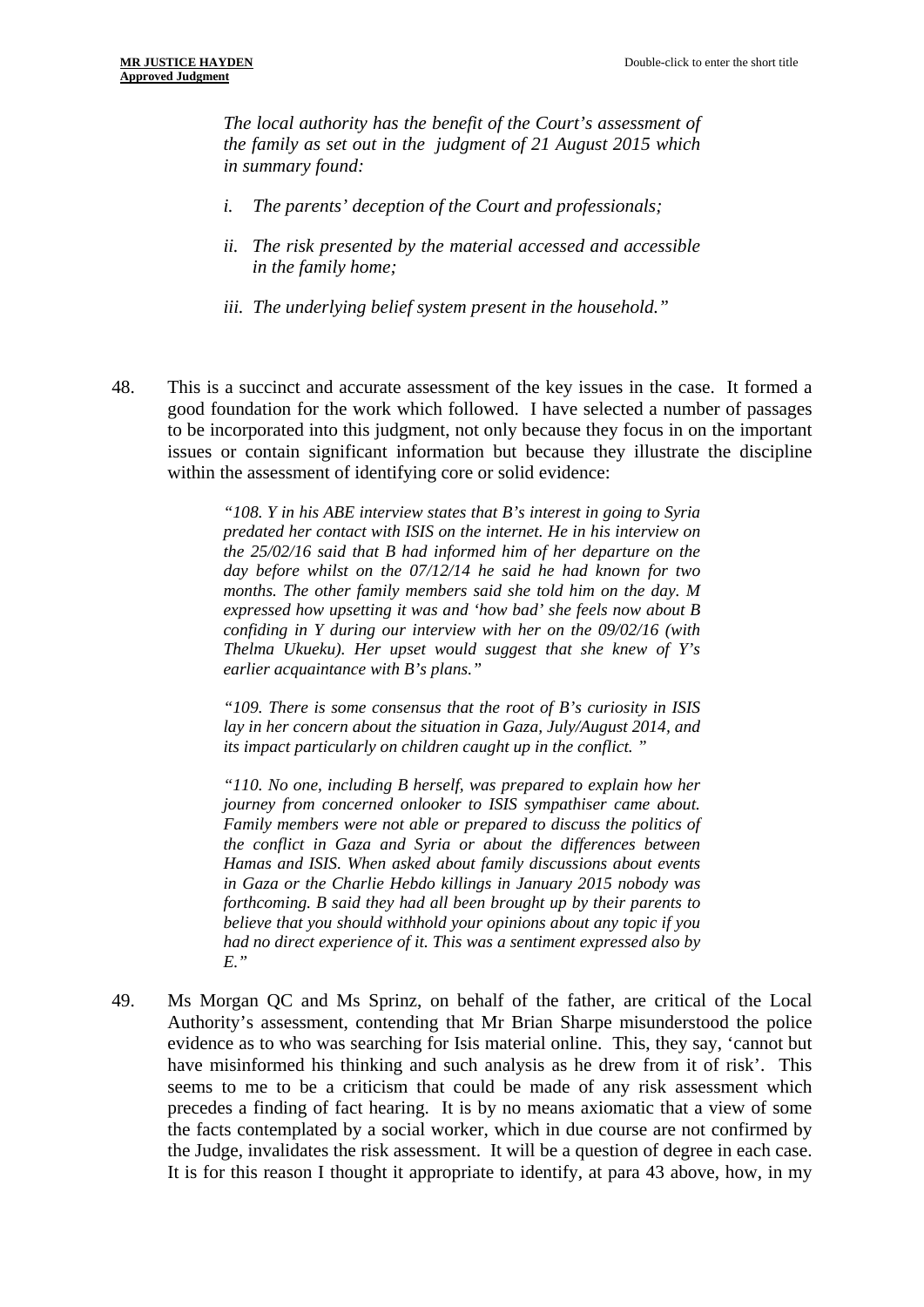*The local authority has the benefit of the Court's assessment of the family as set out in the judgment of 21 August 2015 which in summary found:* 

- *i. The parents' deception of the Court and professionals;*
- *ii. The risk presented by the material accessed and accessible in the family home;*
- *iii. The underlying belief system present in the household."*
- 48. This is a succinct and accurate assessment of the key issues in the case. It formed a good foundation for the work which followed. I have selected a number of passages to be incorporated into this judgment, not only because they focus in on the important issues or contain significant information but because they illustrate the discipline within the assessment of identifying core or solid evidence:

*"108. Y in his ABE interview states that B's interest in going to Syria predated her contact with ISIS on the internet. He in his interview on the 25/02/16 said that B had informed him of her departure on the day before whilst on the 07/12/14 he said he had known for two months. The other family members said she told him on the day. M expressed how upsetting it was and 'how bad' she feels now about B confiding in Y during our interview with her on the 09/02/16 (with Thelma Ukueku). Her upset would suggest that she knew of Y's earlier acquaintance with B's plans."* 

*"109. There is some consensus that the root of B's curiosity in ISIS lay in her concern about the situation in Gaza, July/August 2014, and its impact particularly on children caught up in the conflict. "* 

*"110. No one, including B herself, was prepared to explain how her journey from concerned onlooker to ISIS sympathiser came about. Family members were not able or prepared to discuss the politics of the conflict in Gaza and Syria or about the differences between Hamas and ISIS. When asked about family discussions about events in Gaza or the Charlie Hebdo killings in January 2015 nobody was forthcoming. B said they had all been brought up by their parents to believe that you should withhold your opinions about any topic if you had no direct experience of it. This was a sentiment expressed also by E."* 

49. Ms Morgan QC and Ms Sprinz, on behalf of the father, are critical of the Local Authority's assessment, contending that Mr Brian Sharpe misunderstood the police evidence as to who was searching for Isis material online. This, they say, 'cannot but have misinformed his thinking and such analysis as he drew from it of risk'. This seems to me to be a criticism that could be made of any risk assessment which precedes a finding of fact hearing. It is by no means axiomatic that a view of some the facts contemplated by a social worker, which in due course are not confirmed by the Judge, invalidates the risk assessment. It will be a question of degree in each case. It is for this reason I thought it appropriate to identify, at para 43 above, how, in my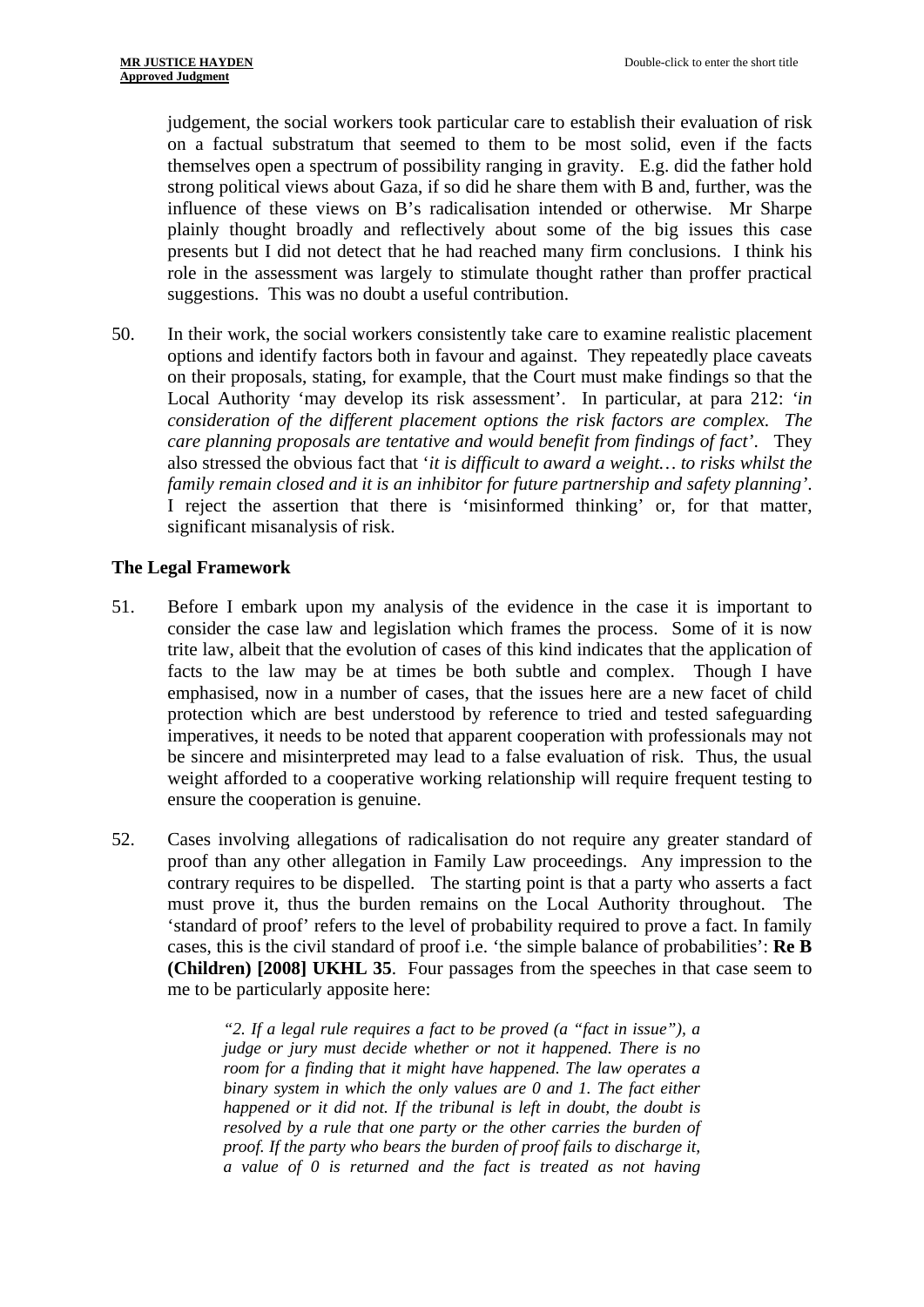judgement, the social workers took particular care to establish their evaluation of risk on a factual substratum that seemed to them to be most solid, even if the facts themselves open a spectrum of possibility ranging in gravity. E.g. did the father hold strong political views about Gaza, if so did he share them with B and, further, was the influence of these views on B's radicalisation intended or otherwise. Mr Sharpe plainly thought broadly and reflectively about some of the big issues this case presents but I did not detect that he had reached many firm conclusions. I think his role in the assessment was largely to stimulate thought rather than proffer practical suggestions. This was no doubt a useful contribution.

50. In their work, the social workers consistently take care to examine realistic placement options and identify factors both in favour and against. They repeatedly place caveats on their proposals, stating, for example, that the Court must make findings so that the Local Authority 'may develop its risk assessment'. In particular, at para 212: *'in consideration of the different placement options the risk factors are complex. The care planning proposals are tentative and would benefit from findings of fact'*. They also stressed the obvious fact that '*it is difficult to award a weight… to risks whilst the family remain closed and it is an inhibitor for future partnership and safety planning'*. I reject the assertion that there is 'misinformed thinking' or, for that matter, significant misanalysis of risk.

## **The Legal Framework**

- 51. Before I embark upon my analysis of the evidence in the case it is important to consider the case law and legislation which frames the process. Some of it is now trite law, albeit that the evolution of cases of this kind indicates that the application of facts to the law may be at times be both subtle and complex. Though I have emphasised, now in a number of cases, that the issues here are a new facet of child protection which are best understood by reference to tried and tested safeguarding imperatives, it needs to be noted that apparent cooperation with professionals may not be sincere and misinterpreted may lead to a false evaluation of risk. Thus, the usual weight afforded to a cooperative working relationship will require frequent testing to ensure the cooperation is genuine.
- 52. Cases involving allegations of radicalisation do not require any greater standard of proof than any other allegation in Family Law proceedings. Any impression to the contrary requires to be dispelled. The starting point is that a party who asserts a fact must prove it, thus the burden remains on the Local Authority throughout. The 'standard of proof' refers to the level of probability required to prove a fact. In family cases, this is the civil standard of proof i.e. 'the simple balance of probabilities': **Re B (Children) [2008] UKHL 35**. Four passages from the speeches in that case seem to me to be particularly apposite here:

*"2. If a legal rule requires a fact to be proved (a "fact in issue"), a judge or jury must decide whether or not it happened. There is no room for a finding that it might have happened. The law operates a binary system in which the only values are 0 and 1. The fact either happened or it did not. If the tribunal is left in doubt, the doubt is resolved by a rule that one party or the other carries the burden of proof. If the party who bears the burden of proof fails to discharge it, a value of 0 is returned and the fact is treated as not having*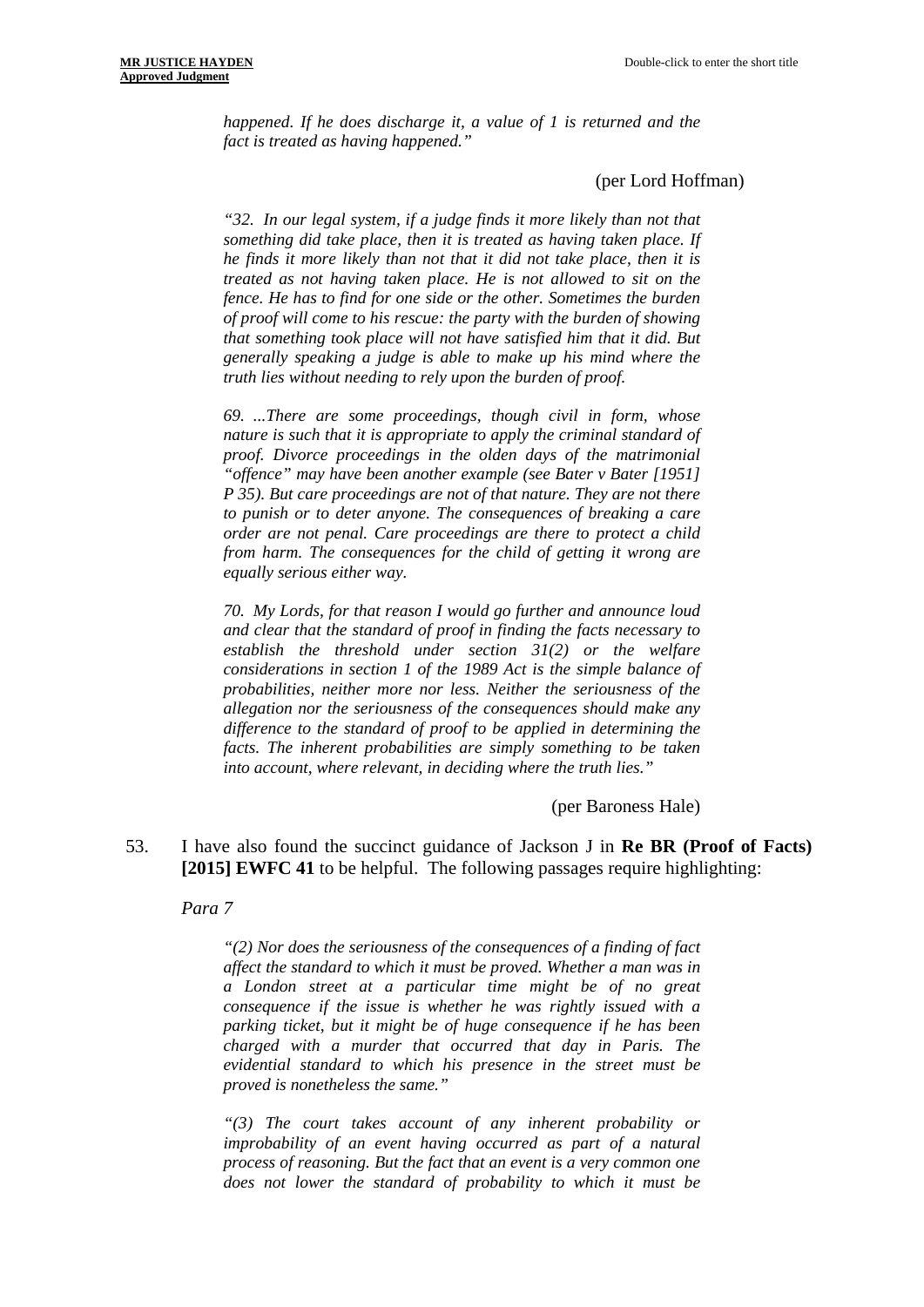*happened. If he does discharge it, a value of 1 is returned and the fact is treated as having happened."* 

#### (per Lord Hoffman)

*"32. In our legal system, if a judge finds it more likely than not that something did take place, then it is treated as having taken place. If he finds it more likely than not that it did not take place, then it is treated as not having taken place. He is not allowed to sit on the fence. He has to find for one side or the other. Sometimes the burden of proof will come to his rescue: the party with the burden of showing that something took place will not have satisfied him that it did. But generally speaking a judge is able to make up his mind where the truth lies without needing to rely upon the burden of proof.* 

*69. ...There are some proceedings, though civil in form, whose nature is such that it is appropriate to apply the criminal standard of proof. Divorce proceedings in the olden days of the matrimonial "offence" may have been another example (see Bater v Bater [1951] P 35). But care proceedings are not of that nature. They are not there to punish or to deter anyone. The consequences of breaking a care order are not penal. Care proceedings are there to protect a child from harm. The consequences for the child of getting it wrong are equally serious either way.* 

*70. My Lords, for that reason I would go further and announce loud and clear that the standard of proof in finding the facts necessary to establish the threshold under section 31(2) or the welfare considerations in section 1 of the 1989 Act is the simple balance of probabilities, neither more nor less. Neither the seriousness of the allegation nor the seriousness of the consequences should make any difference to the standard of proof to be applied in determining the facts. The inherent probabilities are simply something to be taken into account, where relevant, in deciding where the truth lies."* 

(per Baroness Hale)

53. I have also found the succinct guidance of Jackson J in **Re BR (Proof of Facts) [2015] EWFC 41** to be helpful. The following passages require highlighting:

#### *Para 7*

*"(2) Nor does the seriousness of the consequences of a finding of fact affect the standard to which it must be proved. Whether a man was in a London street at a particular time might be of no great consequence if the issue is whether he was rightly issued with a parking ticket, but it might be of huge consequence if he has been charged with a murder that occurred that day in Paris. The evidential standard to which his presence in the street must be proved is nonetheless the same."* 

*"(3) The court takes account of any inherent probability or improbability of an event having occurred as part of a natural process of reasoning. But the fact that an event is a very common one does not lower the standard of probability to which it must be*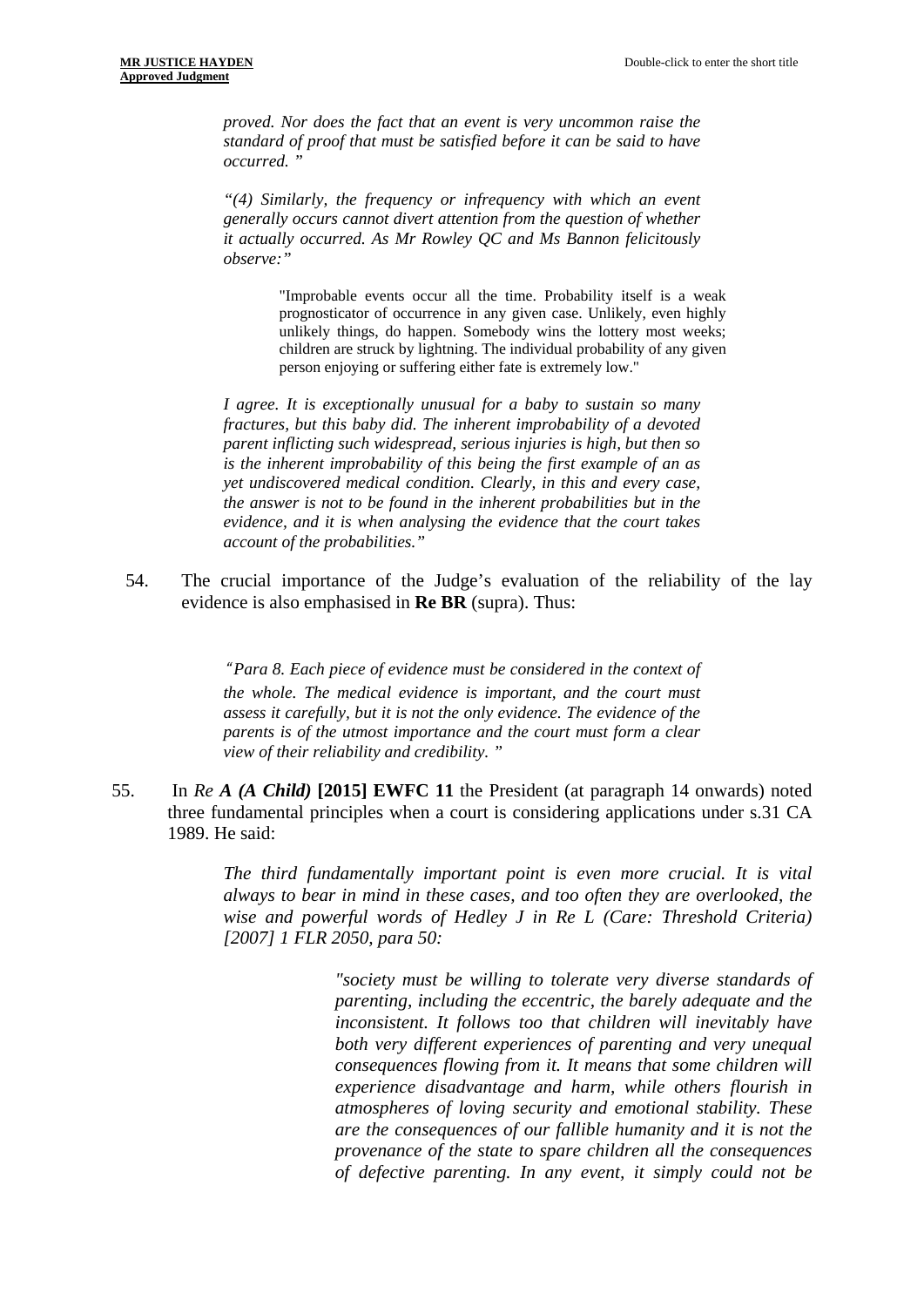*proved. Nor does the fact that an event is very uncommon raise the standard of proof that must be satisfied before it can be said to have occurred. "* 

*"(4) Similarly, the frequency or infrequency with which an event generally occurs cannot divert attention from the question of whether it actually occurred. As Mr Rowley QC and Ms Bannon felicitously observe:"* 

> "Improbable events occur all the time. Probability itself is a weak prognosticator of occurrence in any given case. Unlikely, even highly unlikely things, do happen. Somebody wins the lottery most weeks; children are struck by lightning. The individual probability of any given person enjoying or suffering either fate is extremely low."

*I agree. It is exceptionally unusual for a baby to sustain so many fractures, but this baby did. The inherent improbability of a devoted parent inflicting such widespread, serious injuries is high, but then so is the inherent improbability of this being the first example of an as yet undiscovered medical condition. Clearly, in this and every case, the answer is not to be found in the inherent probabilities but in the evidence, and it is when analysing the evidence that the court takes account of the probabilities."* 

54. The crucial importance of the Judge's evaluation of the reliability of the lay evidence is also emphasised in **Re BR** (supra). Thus:

> " *Para 8. Each piece of evidence must be considered in the context of the whole. The medical evidence is important, and the court must assess it carefully, but it is not the only evidence. The evidence of the parents is of the utmost importance and the court must form a clear view of their reliability and credibility. "*

55. In *Re A (A Child)* **[2015] EWFC 11** the President (at paragraph 14 onwards) noted three fundamental principles when a court is considering applications under s.31 CA 1989. He said:

> *The third fundamentally important point is even more crucial. It is vital always to bear in mind in these cases, and too often they are overlooked, the wise and powerful words of Hedley J in Re L (Care: Threshold Criteria) [2007] 1 FLR 2050, para 50:*

> > *"society must be willing to tolerate very diverse standards of parenting, including the eccentric, the barely adequate and the inconsistent. It follows too that children will inevitably have both very different experiences of parenting and very unequal consequences flowing from it. It means that some children will experience disadvantage and harm, while others flourish in atmospheres of loving security and emotional stability. These are the consequences of our fallible humanity and it is not the provenance of the state to spare children all the consequences of defective parenting. In any event, it simply could not be*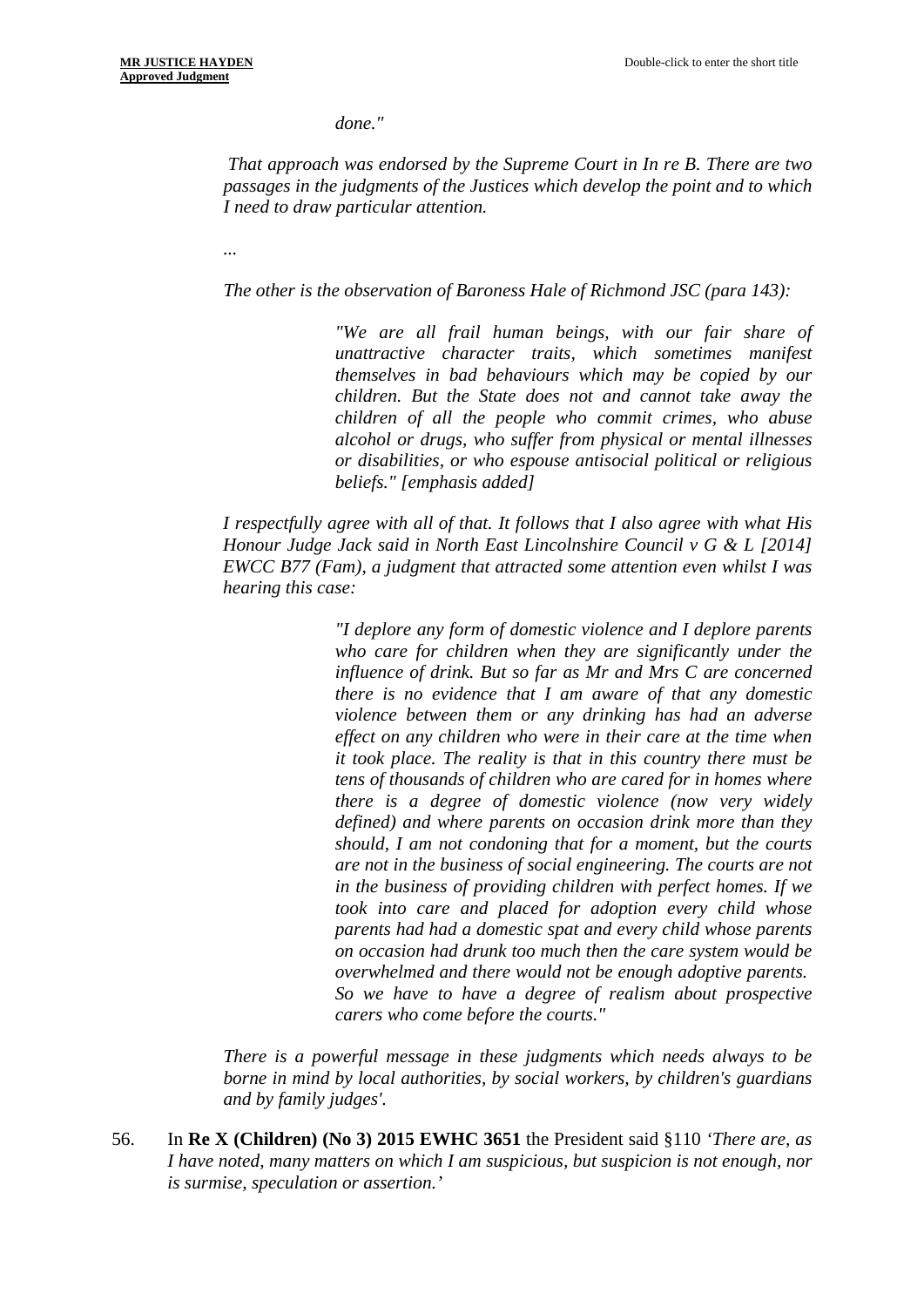*done."* 

*That approach was endorsed by the Supreme Court in In re B. There are two passages in the judgments of the Justices which develop the point and to which I need to draw particular attention.* 

*...* 

*The other is the observation of Baroness Hale of Richmond JSC (para 143):* 

*"We are all frail human beings, with our fair share of unattractive character traits, which sometimes manifest themselves in bad behaviours which may be copied by our children. But the State does not and cannot take away the children of all the people who commit crimes, who abuse alcohol or drugs, who suffer from physical or mental illnesses or disabilities, or who espouse antisocial political or religious beliefs." [emphasis added]* 

*I respectfully agree with all of that. It follows that I also agree with what His Honour Judge Jack said in North East Lincolnshire Council v G & L [2014] EWCC B77 (Fam), a judgment that attracted some attention even whilst I was hearing this case:* 

> *"I deplore any form of domestic violence and I deplore parents who care for children when they are significantly under the influence of drink. But so far as Mr and Mrs C are concerned there is no evidence that I am aware of that any domestic violence between them or any drinking has had an adverse effect on any children who were in their care at the time when it took place. The reality is that in this country there must be tens of thousands of children who are cared for in homes where there is a degree of domestic violence (now very widely defined) and where parents on occasion drink more than they should, I am not condoning that for a moment, but the courts are not in the business of social engineering. The courts are not in the business of providing children with perfect homes. If we took into care and placed for adoption every child whose parents had had a domestic spat and every child whose parents on occasion had drunk too much then the care system would be overwhelmed and there would not be enough adoptive parents. So we have to have a degree of realism about prospective carers who come before the courts."*

*There is a powerful message in these judgments which needs always to be borne in mind by local authorities, by social workers, by children's guardians and by family judges'.* 

56. In **Re X (Children) (No 3) 2015 EWHC 3651** the President said §110 *'There are, as I have noted, many matters on which I am suspicious, but suspicion is not enough, nor is surmise, speculation or assertion.'*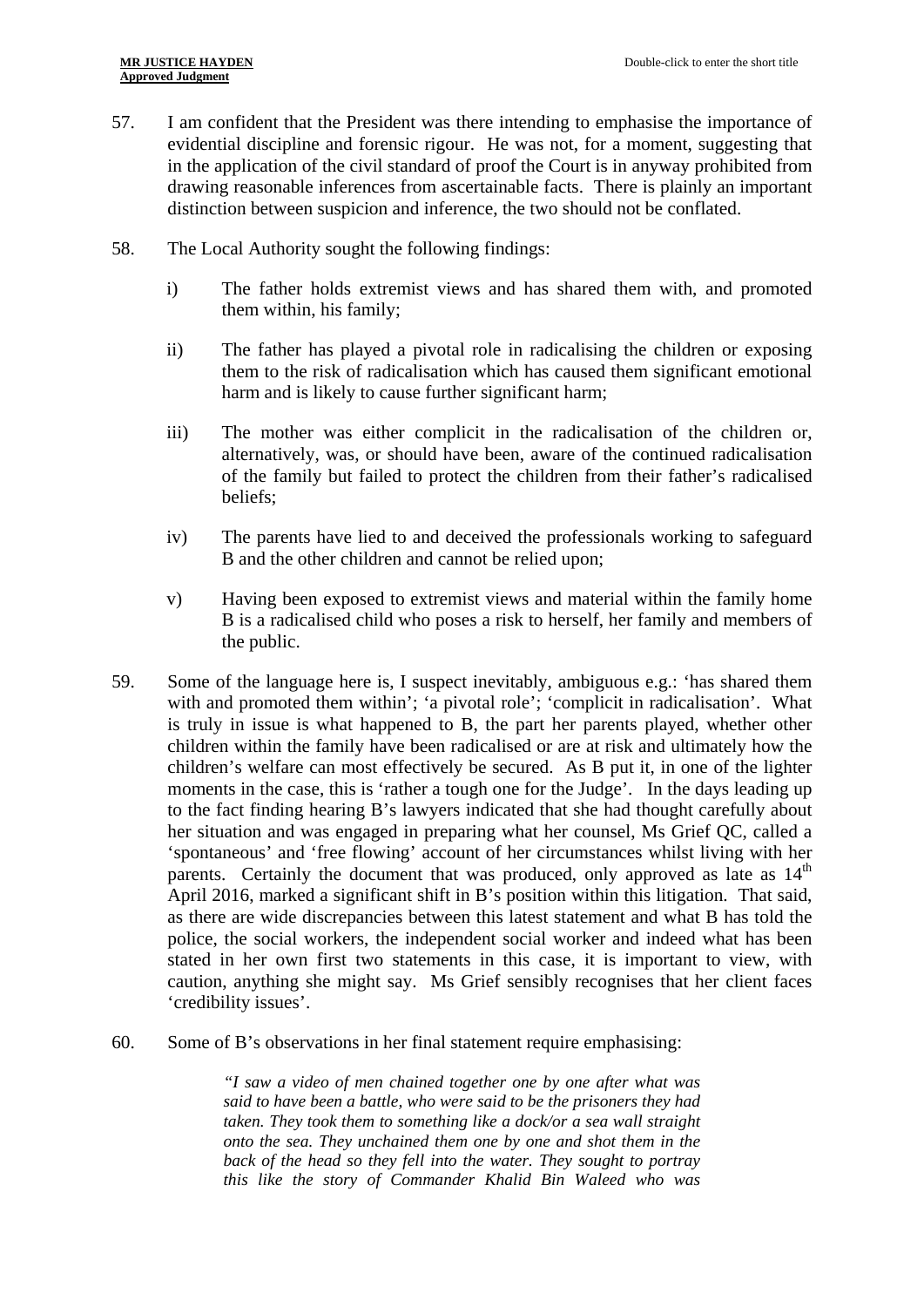- 57. I am confident that the President was there intending to emphasise the importance of evidential discipline and forensic rigour. He was not, for a moment, suggesting that in the application of the civil standard of proof the Court is in anyway prohibited from drawing reasonable inferences from ascertainable facts. There is plainly an important distinction between suspicion and inference, the two should not be conflated.
- 58. The Local Authority sought the following findings:
	- i) The father holds extremist views and has shared them with, and promoted them within, his family;
	- ii) The father has played a pivotal role in radicalising the children or exposing them to the risk of radicalisation which has caused them significant emotional harm and is likely to cause further significant harm;
	- iii) The mother was either complicit in the radicalisation of the children or, alternatively, was, or should have been, aware of the continued radicalisation of the family but failed to protect the children from their father's radicalised beliefs;
	- iv) The parents have lied to and deceived the professionals working to safeguard B and the other children and cannot be relied upon;
	- v) Having been exposed to extremist views and material within the family home B is a radicalised child who poses a risk to herself, her family and members of the public.
- 59. Some of the language here is, I suspect inevitably, ambiguous e.g.: 'has shared them with and promoted them within'; 'a pivotal role'; 'complicit in radicalisation'. What is truly in issue is what happened to B, the part her parents played, whether other children within the family have been radicalised or are at risk and ultimately how the children's welfare can most effectively be secured. As B put it, in one of the lighter moments in the case, this is 'rather a tough one for the Judge'. In the days leading up to the fact finding hearing B's lawyers indicated that she had thought carefully about her situation and was engaged in preparing what her counsel, Ms Grief QC, called a 'spontaneous' and 'free flowing' account of her circumstances whilst living with her parents. Certainly the document that was produced, only approved as late as  $14<sup>th</sup>$ April 2016, marked a significant shift in B's position within this litigation. That said, as there are wide discrepancies between this latest statement and what B has told the police, the social workers, the independent social worker and indeed what has been stated in her own first two statements in this case, it is important to view, with caution, anything she might say. Ms Grief sensibly recognises that her client faces 'credibility issues'.
- 60. Some of B's observations in her final statement require emphasising:

*"I saw a video of men chained together one by one after what was said to have been a battle, who were said to be the prisoners they had taken. They took them to something like a dock/or a sea wall straight onto the sea. They unchained them one by one and shot them in the back of the head so they fell into the water. They sought to portray this like the story of Commander Khalid Bin Waleed who was*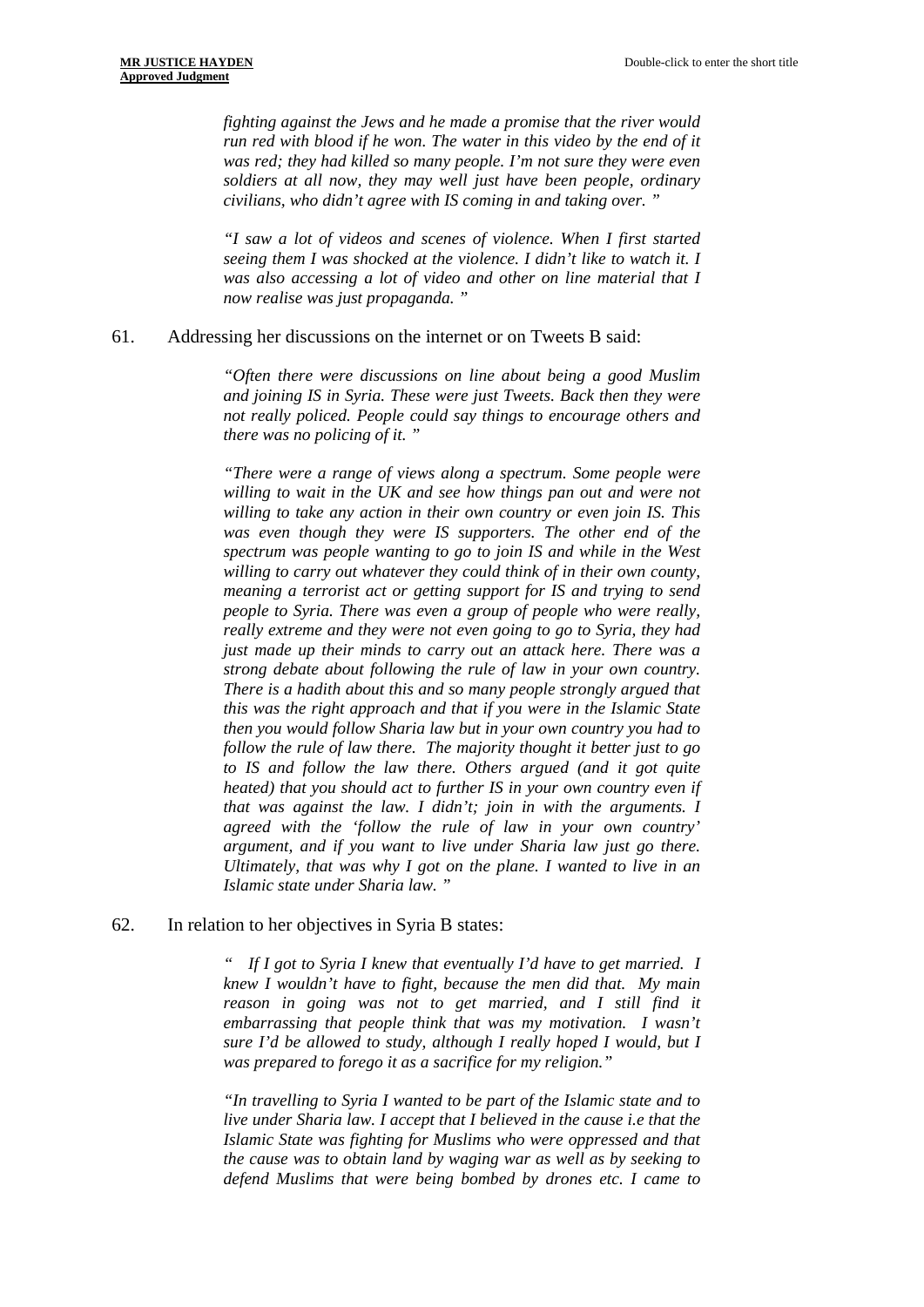*fighting against the Jews and he made a promise that the river would run red with blood if he won. The water in this video by the end of it was red; they had killed so many people. I'm not sure they were even soldiers at all now, they may well just have been people, ordinary civilians, who didn't agree with IS coming in and taking over. "* 

*"I saw a lot of videos and scenes of violence. When I first started seeing them I was shocked at the violence. I didn't like to watch it. I was also accessing a lot of video and other on line material that I now realise was just propaganda. "* 

#### 61. Addressing her discussions on the internet or on Tweets B said:

*"Often there were discussions on line about being a good Muslim and joining IS in Syria. These were just Tweets. Back then they were not really policed. People could say things to encourage others and there was no policing of it. "* 

*"There were a range of views along a spectrum. Some people were willing to wait in the UK and see how things pan out and were not willing to take any action in their own country or even join IS. This was even though they were IS supporters. The other end of the spectrum was people wanting to go to join IS and while in the West willing to carry out whatever they could think of in their own county, meaning a terrorist act or getting support for IS and trying to send people to Syria. There was even a group of people who were really, really extreme and they were not even going to go to Syria, they had just made up their minds to carry out an attack here. There was a strong debate about following the rule of law in your own country. There is a hadith about this and so many people strongly argued that this was the right approach and that if you were in the Islamic State then you would follow Sharia law but in your own country you had to follow the rule of law there. The majority thought it better just to go to IS and follow the law there. Others argued (and it got quite heated) that you should act to further IS in your own country even if that was against the law. I didn't; join in with the arguments. I agreed with the 'follow the rule of law in your own country' argument, and if you want to live under Sharia law just go there. Ultimately, that was why I got on the plane. I wanted to live in an Islamic state under Sharia law. "* 

## 62. In relation to her objectives in Syria B states:

*" If I got to Syria I knew that eventually I'd have to get married. I knew I wouldn't have to fight, because the men did that. My main*  reason in going was not to get married, and I still find it *embarrassing that people think that was my motivation. I wasn't sure I'd be allowed to study, although I really hoped I would, but I was prepared to forego it as a sacrifice for my religion."* 

*"In travelling to Syria I wanted to be part of the Islamic state and to live under Sharia law. I accept that I believed in the cause i.e that the Islamic State was fighting for Muslims who were oppressed and that the cause was to obtain land by waging war as well as by seeking to defend Muslims that were being bombed by drones etc. I came to*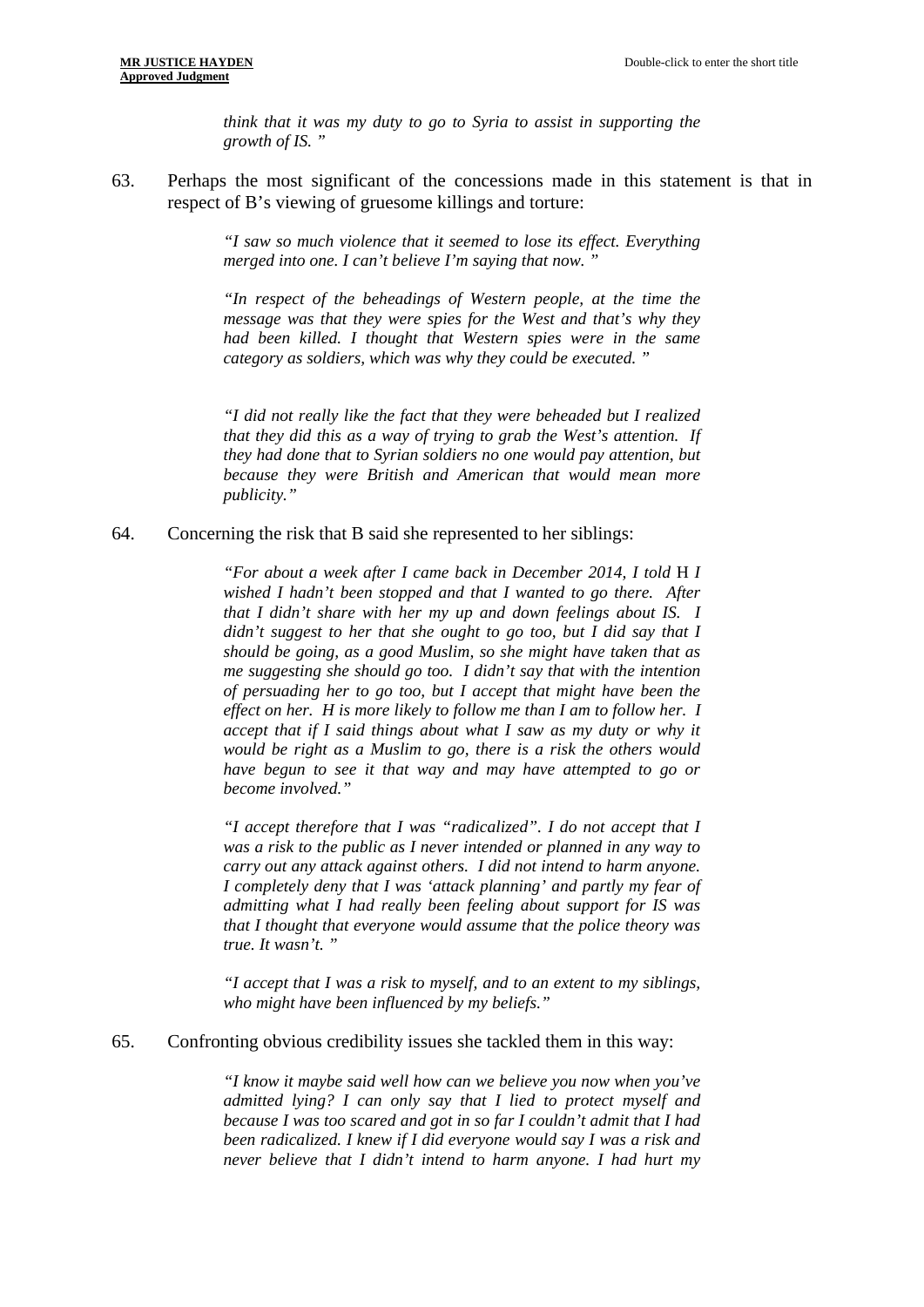*think that it was my duty to go to Syria to assist in supporting the growth of IS. "* 

63. Perhaps the most significant of the concessions made in this statement is that in respect of B's viewing of gruesome killings and torture:

> *"I saw so much violence that it seemed to lose its effect. Everything merged into one. I can't believe I'm saying that now. "*

> *"In respect of the beheadings of Western people, at the time the message was that they were spies for the West and that's why they had been killed. I thought that Western spies were in the same category as soldiers, which was why they could be executed. "*

> *"I did not really like the fact that they were beheaded but I realized that they did this as a way of trying to grab the West's attention. If they had done that to Syrian soldiers no one would pay attention, but because they were British and American that would mean more publicity."*

64. Concerning the risk that B said she represented to her siblings:

*"For about a week after I came back in December 2014, I told* H *I wished I hadn't been stopped and that I wanted to go there. After that I didn't share with her my up and down feelings about IS. I didn't suggest to her that she ought to go too, but I did say that I should be going, as a good Muslim, so she might have taken that as me suggesting she should go too. I didn't say that with the intention of persuading her to go too, but I accept that might have been the effect on her. H is more likely to follow me than I am to follow her. I accept that if I said things about what I saw as my duty or why it would be right as a Muslim to go, there is a risk the others would have begun to see it that way and may have attempted to go or become involved."* 

*"I accept therefore that I was "radicalized". I do not accept that I was a risk to the public as I never intended or planned in any way to carry out any attack against others. I did not intend to harm anyone. I completely deny that I was 'attack planning' and partly my fear of admitting what I had really been feeling about support for IS was that I thought that everyone would assume that the police theory was true. It wasn't. "* 

*"I accept that I was a risk to myself, and to an extent to my siblings, who might have been influenced by my beliefs."* 

65. Confronting obvious credibility issues she tackled them in this way:

*"I know it maybe said well how can we believe you now when you've admitted lying? I can only say that I lied to protect myself and because I was too scared and got in so far I couldn't admit that I had been radicalized. I knew if I did everyone would say I was a risk and never believe that I didn't intend to harm anyone. I had hurt my*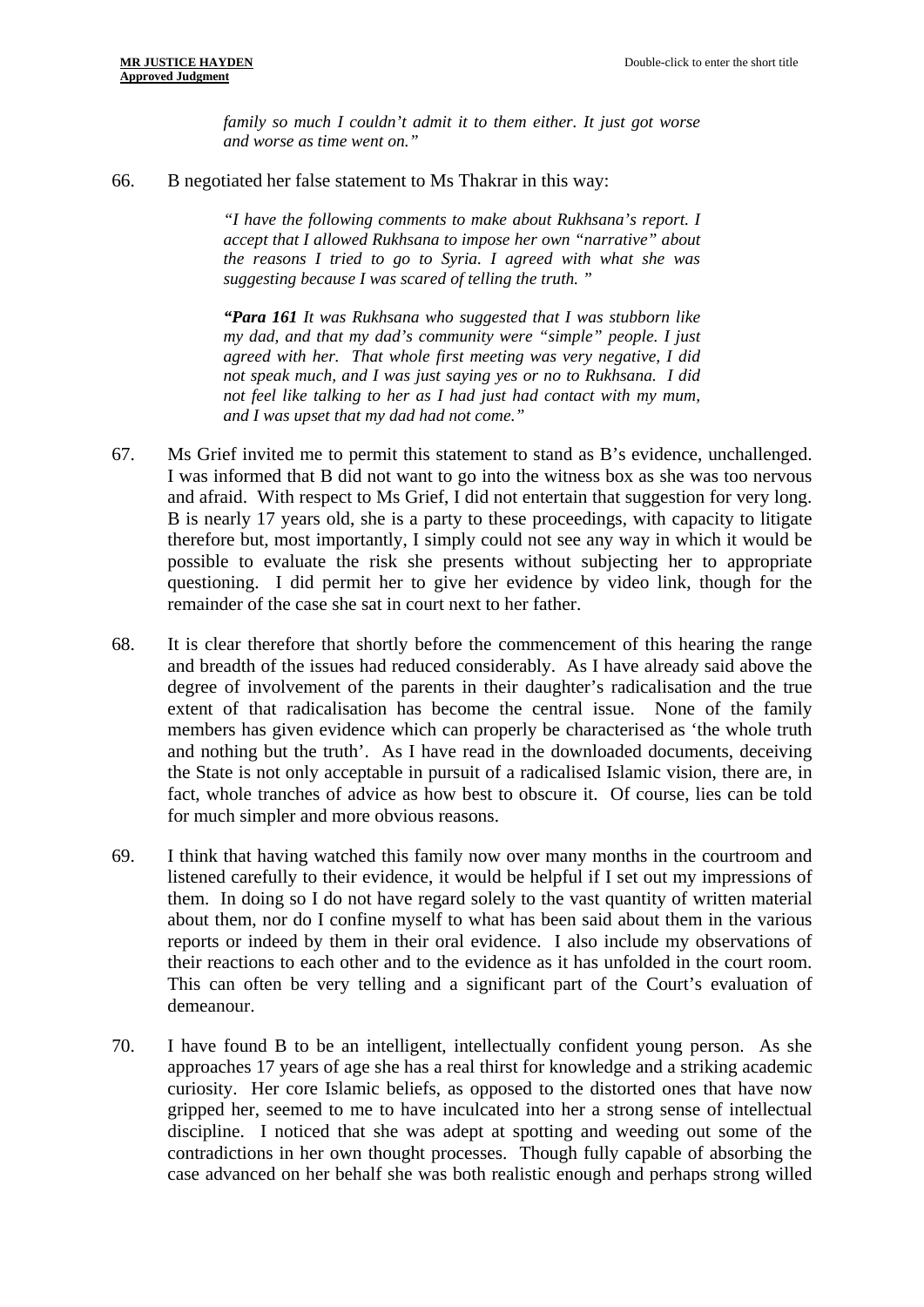*family so much I couldn't admit it to them either. It just got worse and worse as time went on."* 

66. B negotiated her false statement to Ms Thakrar in this way:

*"I have the following comments to make about Rukhsana's report. I accept that I allowed Rukhsana to impose her own "narrative" about the reasons I tried to go to Syria. I agreed with what she was suggesting because I was scared of telling the truth. "* 

*"Para 161 It was Rukhsana who suggested that I was stubborn like my dad, and that my dad's community were "simple" people. I just agreed with her. That whole first meeting was very negative, I did not speak much, and I was just saying yes or no to Rukhsana. I did not feel like talking to her as I had just had contact with my mum, and I was upset that my dad had not come."* 

- 67. Ms Grief invited me to permit this statement to stand as B's evidence, unchallenged. I was informed that B did not want to go into the witness box as she was too nervous and afraid. With respect to Ms Grief, I did not entertain that suggestion for very long. B is nearly 17 years old, she is a party to these proceedings, with capacity to litigate therefore but, most importantly, I simply could not see any way in which it would be possible to evaluate the risk she presents without subjecting her to appropriate questioning. I did permit her to give her evidence by video link, though for the remainder of the case she sat in court next to her father.
- 68. It is clear therefore that shortly before the commencement of this hearing the range and breadth of the issues had reduced considerably. As I have already said above the degree of involvement of the parents in their daughter's radicalisation and the true extent of that radicalisation has become the central issue. None of the family members has given evidence which can properly be characterised as 'the whole truth and nothing but the truth'. As I have read in the downloaded documents, deceiving the State is not only acceptable in pursuit of a radicalised Islamic vision, there are, in fact, whole tranches of advice as how best to obscure it. Of course, lies can be told for much simpler and more obvious reasons.
- 69. I think that having watched this family now over many months in the courtroom and listened carefully to their evidence, it would be helpful if I set out my impressions of them. In doing so I do not have regard solely to the vast quantity of written material about them, nor do I confine myself to what has been said about them in the various reports or indeed by them in their oral evidence. I also include my observations of their reactions to each other and to the evidence as it has unfolded in the court room. This can often be very telling and a significant part of the Court's evaluation of demeanour.
- 70. I have found B to be an intelligent, intellectually confident young person. As she approaches 17 years of age she has a real thirst for knowledge and a striking academic curiosity. Her core Islamic beliefs, as opposed to the distorted ones that have now gripped her, seemed to me to have inculcated into her a strong sense of intellectual discipline. I noticed that she was adept at spotting and weeding out some of the contradictions in her own thought processes. Though fully capable of absorbing the case advanced on her behalf she was both realistic enough and perhaps strong willed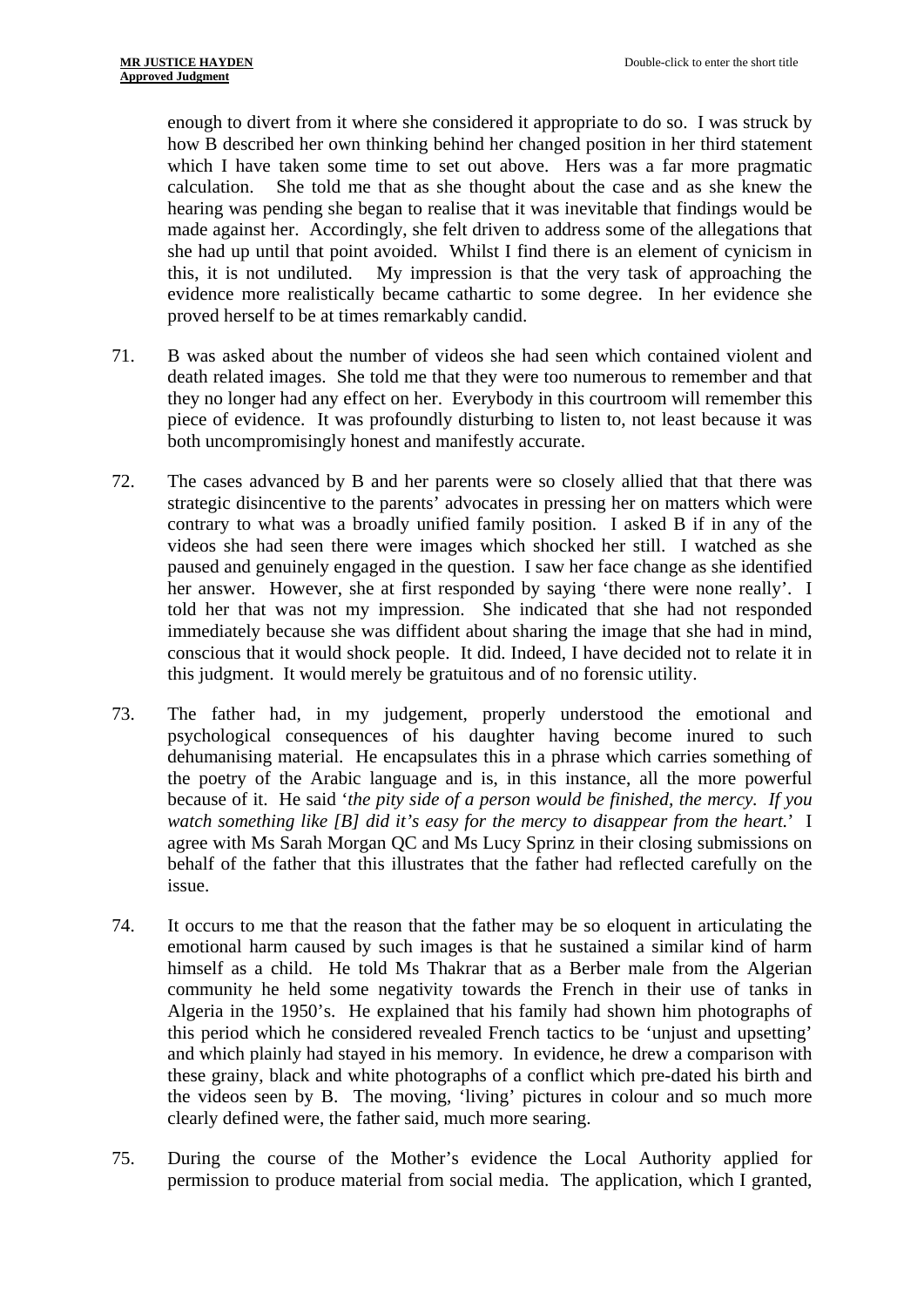enough to divert from it where she considered it appropriate to do so. I was struck by how B described her own thinking behind her changed position in her third statement which I have taken some time to set out above. Hers was a far more pragmatic calculation. She told me that as she thought about the case and as she knew the hearing was pending she began to realise that it was inevitable that findings would be made against her. Accordingly, she felt driven to address some of the allegations that she had up until that point avoided. Whilst I find there is an element of cynicism in this, it is not undiluted. My impression is that the very task of approaching the evidence more realistically became cathartic to some degree. In her evidence she proved herself to be at times remarkably candid.

- 71. B was asked about the number of videos she had seen which contained violent and death related images. She told me that they were too numerous to remember and that they no longer had any effect on her. Everybody in this courtroom will remember this piece of evidence. It was profoundly disturbing to listen to, not least because it was both uncompromisingly honest and manifestly accurate.
- 72. The cases advanced by B and her parents were so closely allied that that there was strategic disincentive to the parents' advocates in pressing her on matters which were contrary to what was a broadly unified family position. I asked B if in any of the videos she had seen there were images which shocked her still. I watched as she paused and genuinely engaged in the question. I saw her face change as she identified her answer. However, she at first responded by saying 'there were none really'. I told her that was not my impression. She indicated that she had not responded immediately because she was diffident about sharing the image that she had in mind, conscious that it would shock people. It did. Indeed, I have decided not to relate it in this judgment. It would merely be gratuitous and of no forensic utility.
- 73. The father had, in my judgement, properly understood the emotional and psychological consequences of his daughter having become inured to such dehumanising material. He encapsulates this in a phrase which carries something of the poetry of the Arabic language and is, in this instance, all the more powerful because of it. He said '*the pity side of a person would be finished, the mercy. If you watch something like [B] did it's easy for the mercy to disappear from the heart.*' I agree with Ms Sarah Morgan QC and Ms Lucy Sprinz in their closing submissions on behalf of the father that this illustrates that the father had reflected carefully on the issue.
- 74. It occurs to me that the reason that the father may be so eloquent in articulating the emotional harm caused by such images is that he sustained a similar kind of harm himself as a child. He told Ms Thakrar that as a Berber male from the Algerian community he held some negativity towards the French in their use of tanks in Algeria in the 1950's. He explained that his family had shown him photographs of this period which he considered revealed French tactics to be 'unjust and upsetting' and which plainly had stayed in his memory. In evidence, he drew a comparison with these grainy, black and white photographs of a conflict which pre-dated his birth and the videos seen by B. The moving, 'living' pictures in colour and so much more clearly defined were, the father said, much more searing.
- 75. During the course of the Mother's evidence the Local Authority applied for permission to produce material from social media. The application, which I granted,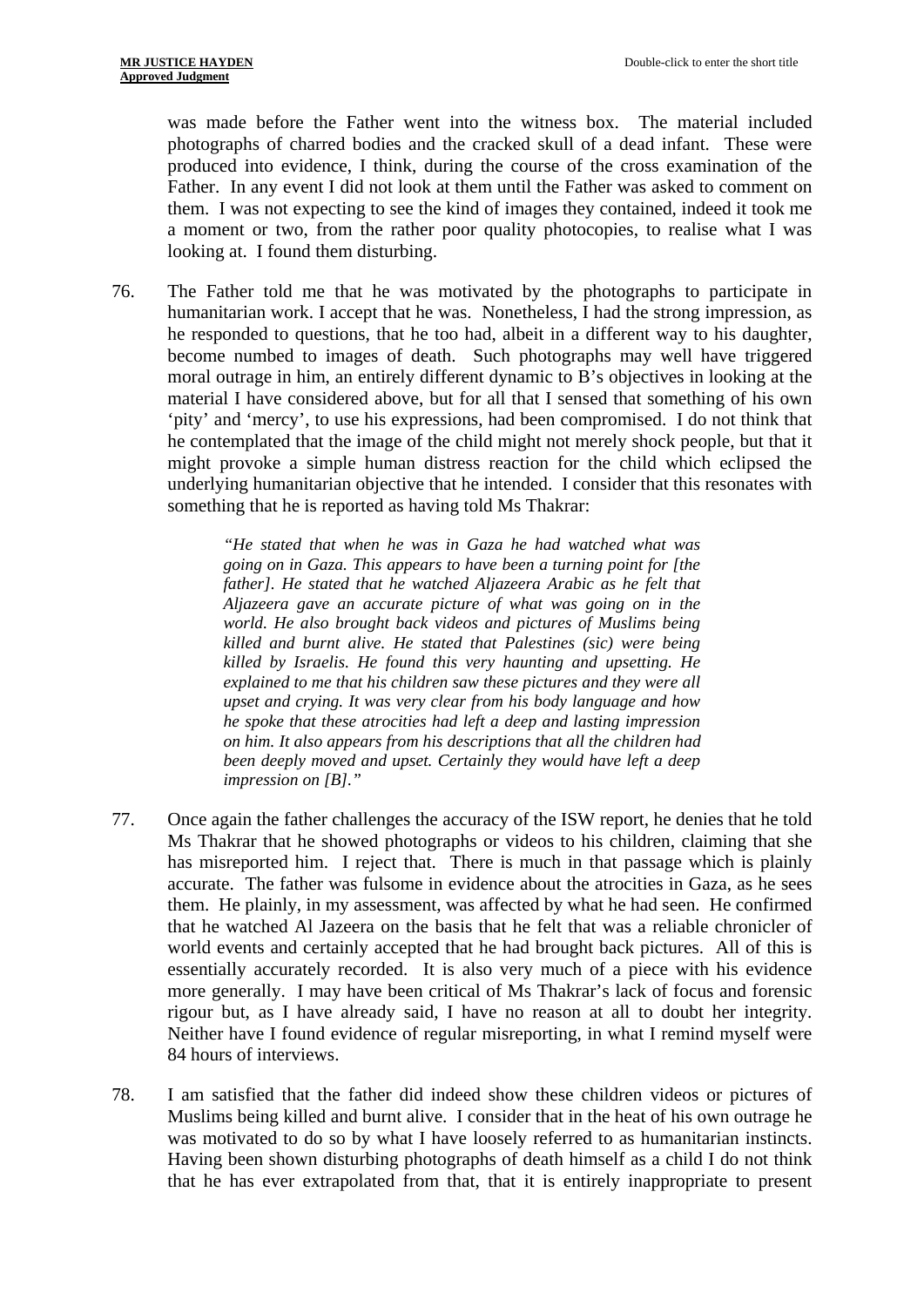was made before the Father went into the witness box. The material included photographs of charred bodies and the cracked skull of a dead infant. These were produced into evidence, I think, during the course of the cross examination of the Father. In any event I did not look at them until the Father was asked to comment on them. I was not expecting to see the kind of images they contained, indeed it took me a moment or two, from the rather poor quality photocopies, to realise what I was looking at. I found them disturbing.

76. The Father told me that he was motivated by the photographs to participate in humanitarian work. I accept that he was. Nonetheless, I had the strong impression, as he responded to questions, that he too had, albeit in a different way to his daughter, become numbed to images of death. Such photographs may well have triggered moral outrage in him, an entirely different dynamic to B's objectives in looking at the material I have considered above, but for all that I sensed that something of his own 'pity' and 'mercy', to use his expressions, had been compromised. I do not think that he contemplated that the image of the child might not merely shock people, but that it might provoke a simple human distress reaction for the child which eclipsed the underlying humanitarian objective that he intended. I consider that this resonates with something that he is reported as having told Ms Thakrar:

> *"He stated that when he was in Gaza he had watched what was going on in Gaza. This appears to have been a turning point for [the*  father]. He stated that he watched Aljazeera Arabic as he felt that *Aljazeera gave an accurate picture of what was going on in the world. He also brought back videos and pictures of Muslims being killed and burnt alive. He stated that Palestines (sic) were being killed by Israelis. He found this very haunting and upsetting. He explained to me that his children saw these pictures and they were all upset and crying. It was very clear from his body language and how he spoke that these atrocities had left a deep and lasting impression on him. It also appears from his descriptions that all the children had been deeply moved and upset. Certainly they would have left a deep impression on [B]."*

- 77. Once again the father challenges the accuracy of the ISW report, he denies that he told Ms Thakrar that he showed photographs or videos to his children, claiming that she has misreported him. I reject that. There is much in that passage which is plainly accurate. The father was fulsome in evidence about the atrocities in Gaza, as he sees them. He plainly, in my assessment, was affected by what he had seen. He confirmed that he watched Al Jazeera on the basis that he felt that was a reliable chronicler of world events and certainly accepted that he had brought back pictures. All of this is essentially accurately recorded. It is also very much of a piece with his evidence more generally. I may have been critical of Ms Thakrar's lack of focus and forensic rigour but, as I have already said, I have no reason at all to doubt her integrity. Neither have I found evidence of regular misreporting, in what I remind myself were 84 hours of interviews.
- 78. I am satisfied that the father did indeed show these children videos or pictures of Muslims being killed and burnt alive. I consider that in the heat of his own outrage he was motivated to do so by what I have loosely referred to as humanitarian instincts. Having been shown disturbing photographs of death himself as a child I do not think that he has ever extrapolated from that, that it is entirely inappropriate to present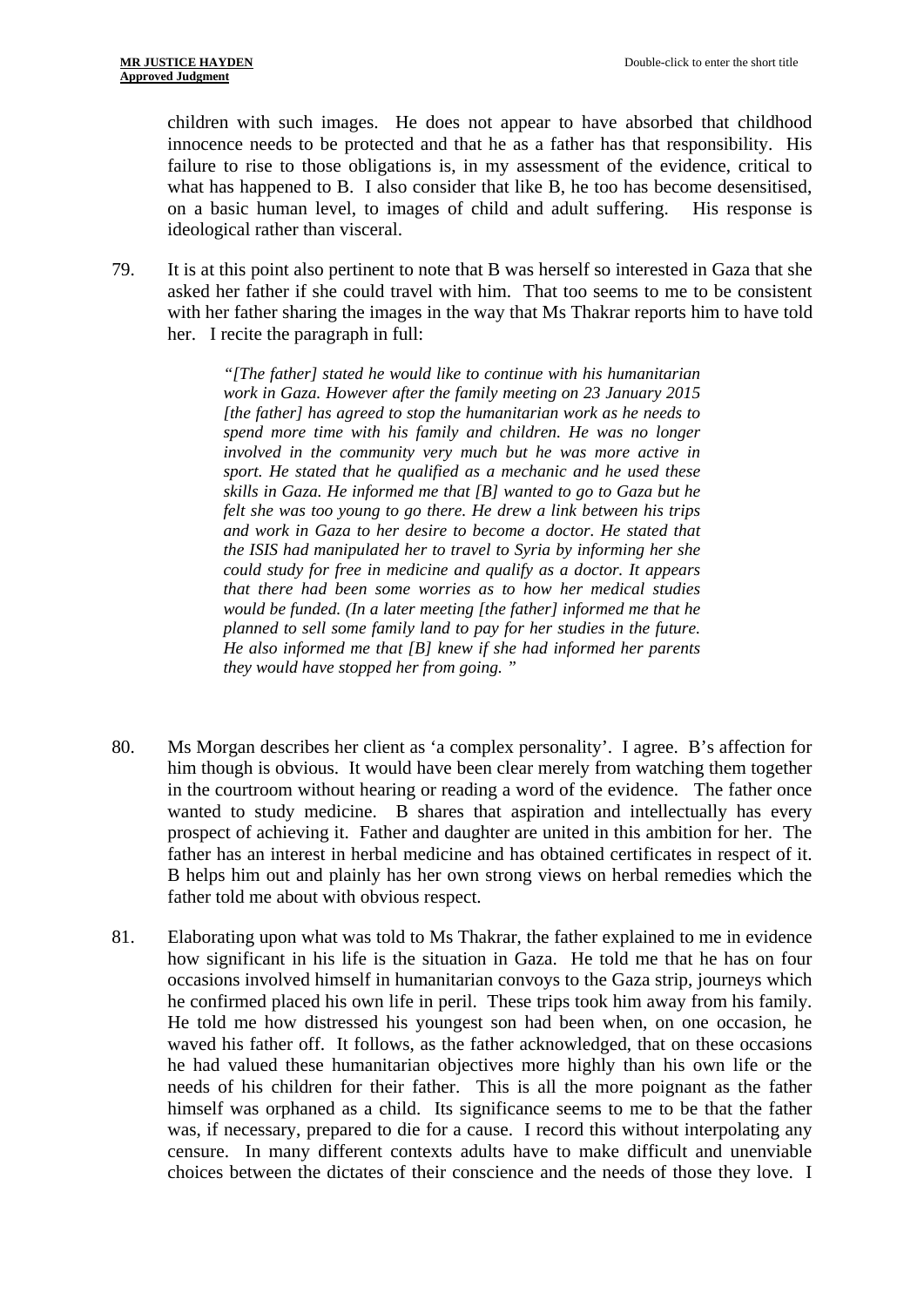children with such images. He does not appear to have absorbed that childhood innocence needs to be protected and that he as a father has that responsibility. His failure to rise to those obligations is, in my assessment of the evidence, critical to what has happened to B. I also consider that like B, he too has become desensitised, on a basic human level, to images of child and adult suffering. His response is ideological rather than visceral.

79. It is at this point also pertinent to note that B was herself so interested in Gaza that she asked her father if she could travel with him. That too seems to me to be consistent with her father sharing the images in the way that Ms Thakrar reports him to have told her. I recite the paragraph in full:

> *"[The father] stated he would like to continue with his humanitarian work in Gaza. However after the family meeting on 23 January 2015 [the father] has agreed to stop the humanitarian work as he needs to spend more time with his family and children. He was no longer involved in the community very much but he was more active in sport. He stated that he qualified as a mechanic and he used these skills in Gaza. He informed me that [B] wanted to go to Gaza but he felt she was too young to go there. He drew a link between his trips and work in Gaza to her desire to become a doctor. He stated that the ISIS had manipulated her to travel to Syria by informing her she could study for free in medicine and qualify as a doctor. It appears that there had been some worries as to how her medical studies would be funded. (In a later meeting [the father] informed me that he planned to sell some family land to pay for her studies in the future. He also informed me that [B] knew if she had informed her parents they would have stopped her from going. "*

- 80. Ms Morgan describes her client as 'a complex personality'. I agree. B's affection for him though is obvious. It would have been clear merely from watching them together in the courtroom without hearing or reading a word of the evidence. The father once wanted to study medicine. B shares that aspiration and intellectually has every prospect of achieving it. Father and daughter are united in this ambition for her. The father has an interest in herbal medicine and has obtained certificates in respect of it. B helps him out and plainly has her own strong views on herbal remedies which the father told me about with obvious respect.
- 81. Elaborating upon what was told to Ms Thakrar, the father explained to me in evidence how significant in his life is the situation in Gaza. He told me that he has on four occasions involved himself in humanitarian convoys to the Gaza strip, journeys which he confirmed placed his own life in peril. These trips took him away from his family. He told me how distressed his youngest son had been when, on one occasion, he waved his father off. It follows, as the father acknowledged, that on these occasions he had valued these humanitarian objectives more highly than his own life or the needs of his children for their father. This is all the more poignant as the father himself was orphaned as a child. Its significance seems to me to be that the father was, if necessary, prepared to die for a cause. I record this without interpolating any censure. In many different contexts adults have to make difficult and unenviable choices between the dictates of their conscience and the needs of those they love. I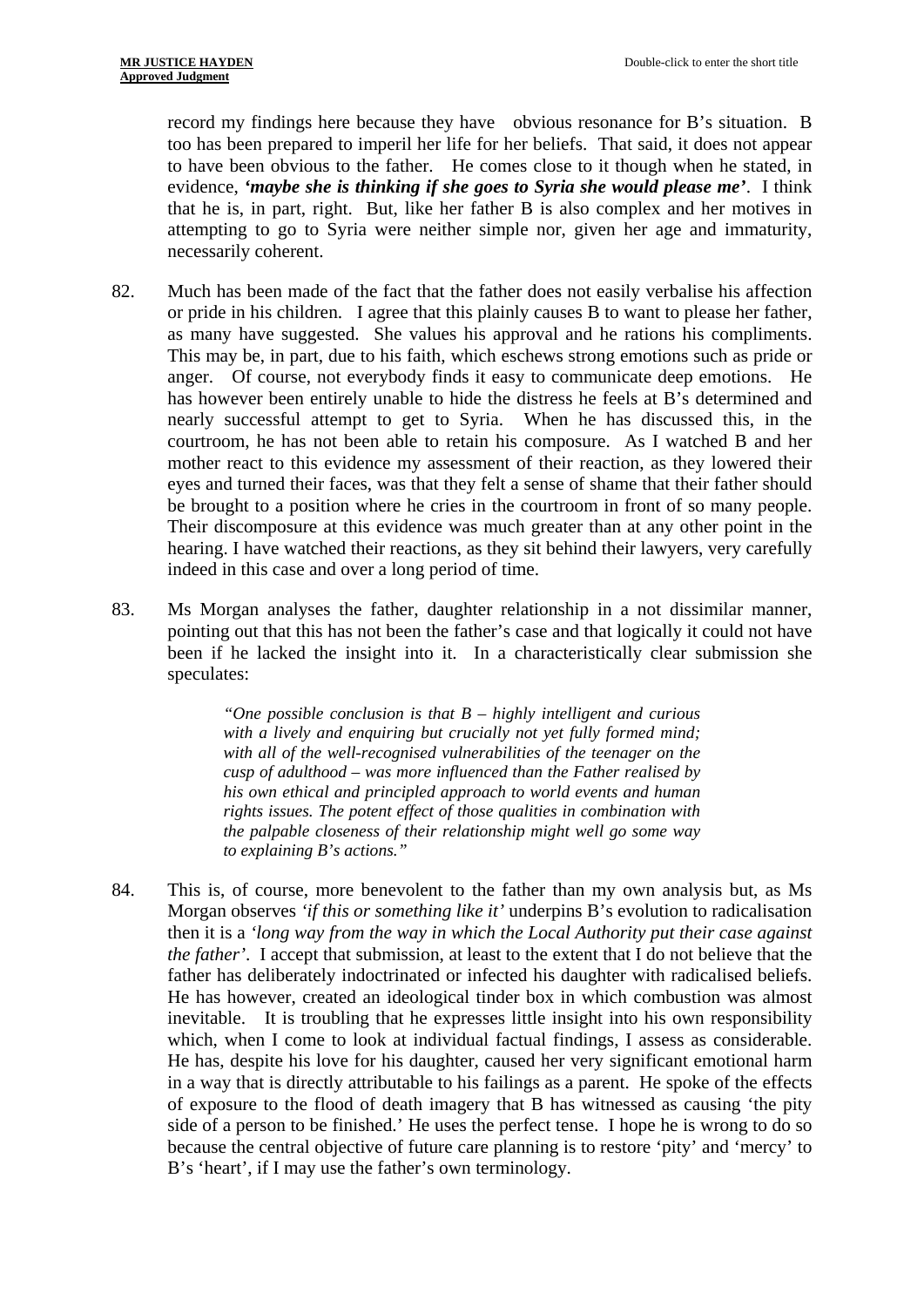record my findings here because they have obvious resonance for B's situation. B too has been prepared to imperil her life for her beliefs. That said, it does not appear to have been obvious to the father. He comes close to it though when he stated, in evidence, *'maybe she is thinking if she goes to Syria she would please me'*. I think that he is, in part, right. But, like her father B is also complex and her motives in attempting to go to Syria were neither simple nor, given her age and immaturity, necessarily coherent.

- 82. Much has been made of the fact that the father does not easily verbalise his affection or pride in his children. I agree that this plainly causes B to want to please her father, as many have suggested. She values his approval and he rations his compliments. This may be, in part, due to his faith, which eschews strong emotions such as pride or anger. Of course, not everybody finds it easy to communicate deep emotions. He has however been entirely unable to hide the distress he feels at B's determined and nearly successful attempt to get to Syria. When he has discussed this, in the courtroom, he has not been able to retain his composure. As I watched B and her mother react to this evidence my assessment of their reaction, as they lowered their eyes and turned their faces, was that they felt a sense of shame that their father should be brought to a position where he cries in the courtroom in front of so many people. Their discomposure at this evidence was much greater than at any other point in the hearing. I have watched their reactions, as they sit behind their lawyers, very carefully indeed in this case and over a long period of time.
- 83. Ms Morgan analyses the father, daughter relationship in a not dissimilar manner, pointing out that this has not been the father's case and that logically it could not have been if he lacked the insight into it. In a characteristically clear submission she speculates:

*"One possible conclusion is that B – highly intelligent and curious with a lively and enquiring but crucially not yet fully formed mind; with all of the well-recognised vulnerabilities of the teenager on the cusp of adulthood – was more influenced than the Father realised by his own ethical and principled approach to world events and human rights issues. The potent effect of those qualities in combination with the palpable closeness of their relationship might well go some way to explaining B's actions."* 

84. This is, of course, more benevolent to the father than my own analysis but, as Ms Morgan observes *'if this or something like it'* underpins B's evolution to radicalisation then it is a *'long way from the way in which the Local Authority put their case against the father'*. I accept that submission, at least to the extent that I do not believe that the father has deliberately indoctrinated or infected his daughter with radicalised beliefs. He has however, created an ideological tinder box in which combustion was almost inevitable. It is troubling that he expresses little insight into his own responsibility which, when I come to look at individual factual findings, I assess as considerable. He has, despite his love for his daughter, caused her very significant emotional harm in a way that is directly attributable to his failings as a parent. He spoke of the effects of exposure to the flood of death imagery that B has witnessed as causing 'the pity side of a person to be finished.' He uses the perfect tense. I hope he is wrong to do so because the central objective of future care planning is to restore 'pity' and 'mercy' to B's 'heart', if I may use the father's own terminology.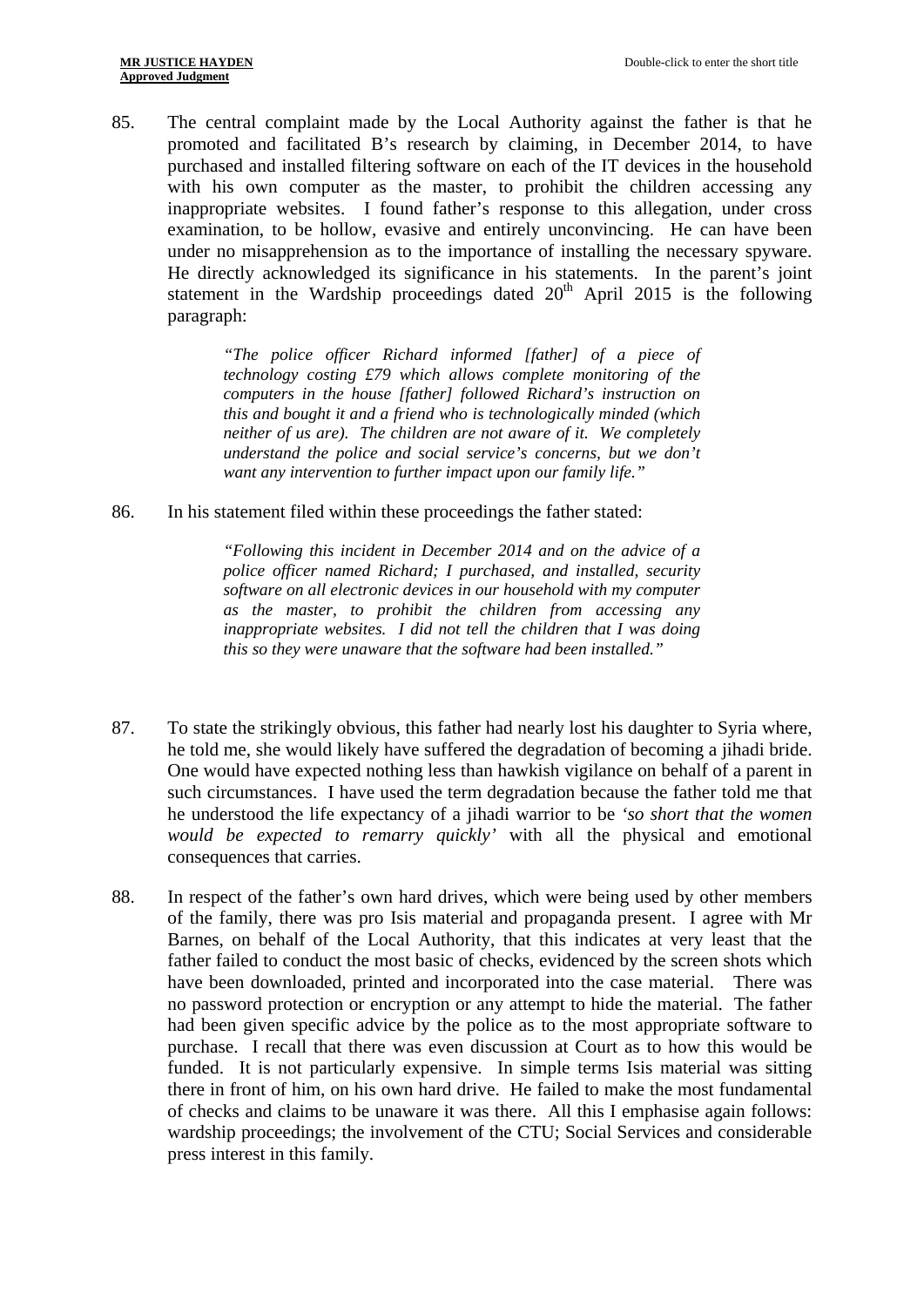85. The central complaint made by the Local Authority against the father is that he promoted and facilitated B's research by claiming, in December 2014, to have purchased and installed filtering software on each of the IT devices in the household with his own computer as the master, to prohibit the children accessing any inappropriate websites. I found father's response to this allegation, under cross examination, to be hollow, evasive and entirely unconvincing. He can have been under no misapprehension as to the importance of installing the necessary spyware. He directly acknowledged its significance in his statements. In the parent's joint statement in the Wardship proceedings dated  $20<sup>th</sup>$  April 2015 is the following paragraph:

> *"The police officer Richard informed [father] of a piece of technology costing £79 which allows complete monitoring of the computers in the house [father] followed Richard's instruction on this and bought it and a friend who is technologically minded (which neither of us are). The children are not aware of it. We completely understand the police and social service's concerns, but we don't want any intervention to further impact upon our family life."*

86. In his statement filed within these proceedings the father stated:

*"Following this incident in December 2014 and on the advice of a police officer named Richard; I purchased, and installed, security software on all electronic devices in our household with my computer as the master, to prohibit the children from accessing any inappropriate websites. I did not tell the children that I was doing this so they were unaware that the software had been installed."* 

- 87. To state the strikingly obvious, this father had nearly lost his daughter to Syria where, he told me, she would likely have suffered the degradation of becoming a jihadi bride. One would have expected nothing less than hawkish vigilance on behalf of a parent in such circumstances. I have used the term degradation because the father told me that he understood the life expectancy of a jihadi warrior to be *'so short that the women would be expected to remarry quickly'* with all the physical and emotional consequences that carries.
- 88. In respect of the father's own hard drives, which were being used by other members of the family, there was pro Isis material and propaganda present. I agree with Mr Barnes, on behalf of the Local Authority, that this indicates at very least that the father failed to conduct the most basic of checks, evidenced by the screen shots which have been downloaded, printed and incorporated into the case material. There was no password protection or encryption or any attempt to hide the material. The father had been given specific advice by the police as to the most appropriate software to purchase. I recall that there was even discussion at Court as to how this would be funded. It is not particularly expensive. In simple terms Isis material was sitting there in front of him, on his own hard drive. He failed to make the most fundamental of checks and claims to be unaware it was there. All this I emphasise again follows: wardship proceedings; the involvement of the CTU; Social Services and considerable press interest in this family.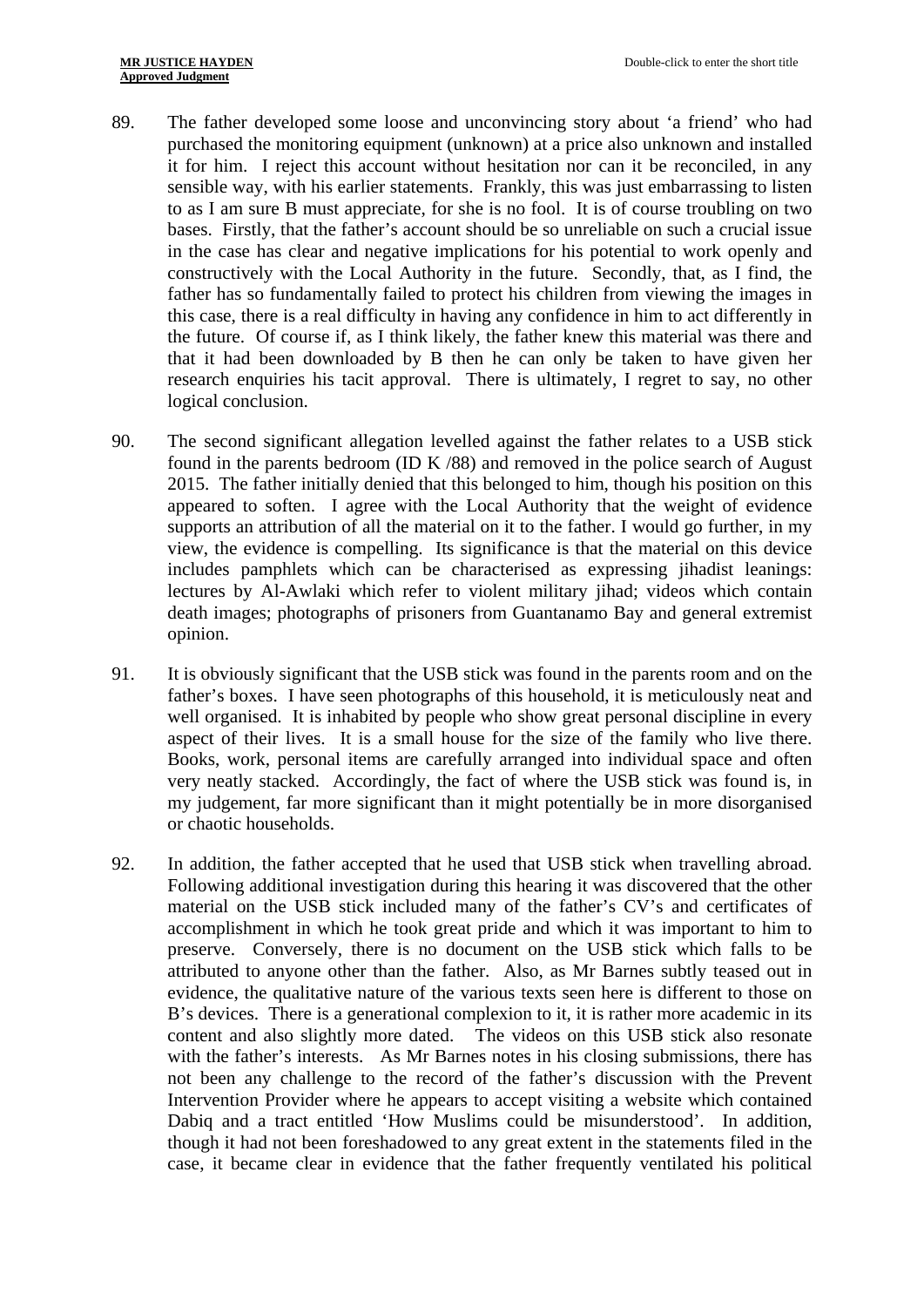- 89. The father developed some loose and unconvincing story about 'a friend' who had purchased the monitoring equipment (unknown) at a price also unknown and installed it for him. I reject this account without hesitation nor can it be reconciled, in any sensible way, with his earlier statements. Frankly, this was just embarrassing to listen to as I am sure B must appreciate, for she is no fool. It is of course troubling on two bases. Firstly, that the father's account should be so unreliable on such a crucial issue in the case has clear and negative implications for his potential to work openly and constructively with the Local Authority in the future. Secondly, that, as I find, the father has so fundamentally failed to protect his children from viewing the images in this case, there is a real difficulty in having any confidence in him to act differently in the future. Of course if, as I think likely, the father knew this material was there and that it had been downloaded by B then he can only be taken to have given her research enquiries his tacit approval. There is ultimately, I regret to say, no other logical conclusion.
- 90. The second significant allegation levelled against the father relates to a USB stick found in the parents bedroom (ID K /88) and removed in the police search of August 2015. The father initially denied that this belonged to him, though his position on this appeared to soften. I agree with the Local Authority that the weight of evidence supports an attribution of all the material on it to the father. I would go further, in my view, the evidence is compelling. Its significance is that the material on this device includes pamphlets which can be characterised as expressing jihadist leanings: lectures by Al-Awlaki which refer to violent military jihad; videos which contain death images; photographs of prisoners from Guantanamo Bay and general extremist opinion.
- 91. It is obviously significant that the USB stick was found in the parents room and on the father's boxes. I have seen photographs of this household, it is meticulously neat and well organised. It is inhabited by people who show great personal discipline in every aspect of their lives. It is a small house for the size of the family who live there. Books, work, personal items are carefully arranged into individual space and often very neatly stacked. Accordingly, the fact of where the USB stick was found is, in my judgement, far more significant than it might potentially be in more disorganised or chaotic households.
- 92. In addition, the father accepted that he used that USB stick when travelling abroad. Following additional investigation during this hearing it was discovered that the other material on the USB stick included many of the father's CV's and certificates of accomplishment in which he took great pride and which it was important to him to preserve. Conversely, there is no document on the USB stick which falls to be attributed to anyone other than the father. Also, as Mr Barnes subtly teased out in evidence, the qualitative nature of the various texts seen here is different to those on B's devices. There is a generational complexion to it, it is rather more academic in its content and also slightly more dated. The videos on this USB stick also resonate with the father's interests. As Mr Barnes notes in his closing submissions, there has not been any challenge to the record of the father's discussion with the Prevent Intervention Provider where he appears to accept visiting a website which contained Dabiq and a tract entitled 'How Muslims could be misunderstood'. In addition, though it had not been foreshadowed to any great extent in the statements filed in the case, it became clear in evidence that the father frequently ventilated his political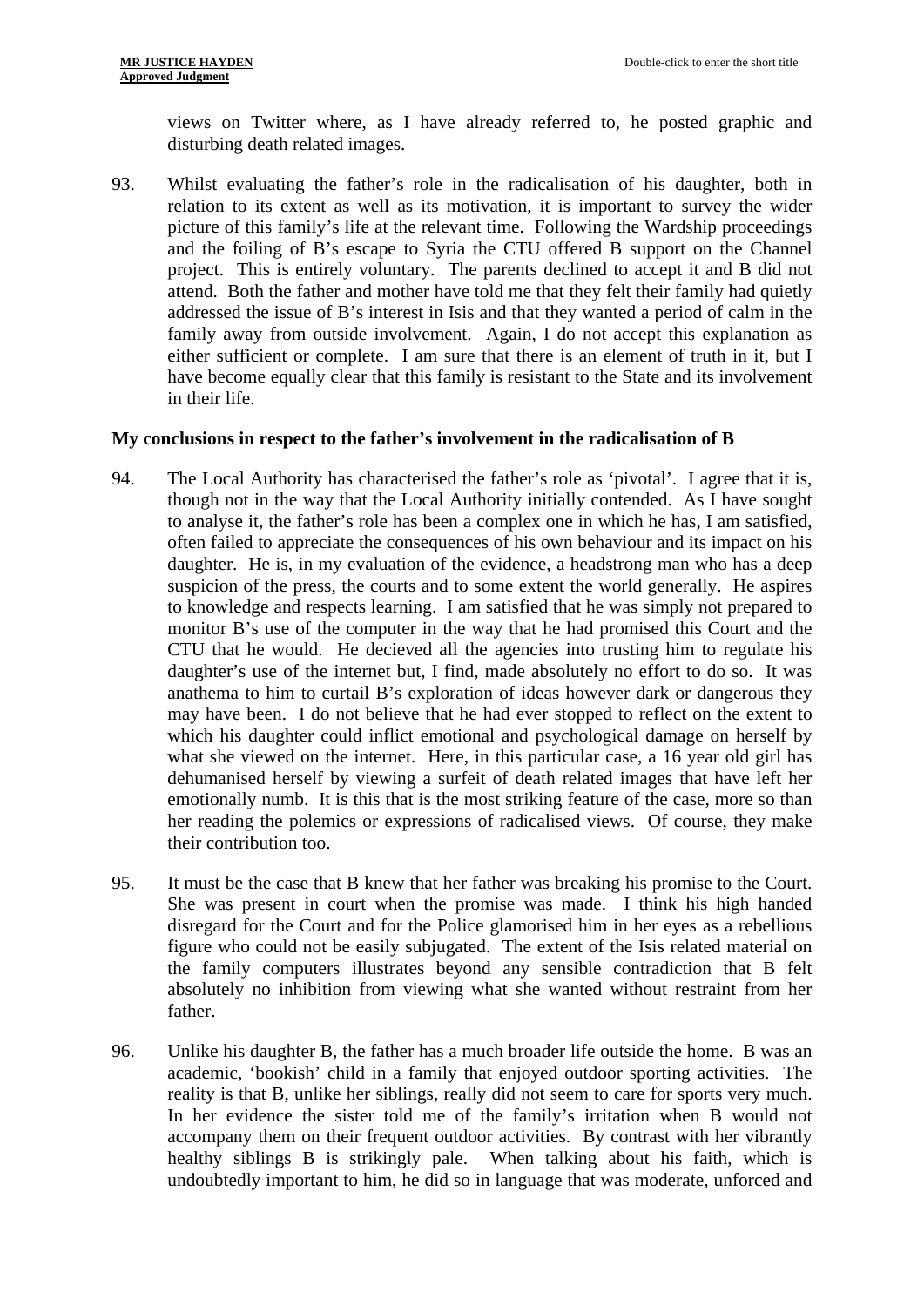views on Twitter where, as I have already referred to, he posted graphic and disturbing death related images.

93. Whilst evaluating the father's role in the radicalisation of his daughter, both in relation to its extent as well as its motivation, it is important to survey the wider picture of this family's life at the relevant time. Following the Wardship proceedings and the foiling of B's escape to Syria the CTU offered B support on the Channel project. This is entirely voluntary. The parents declined to accept it and B did not attend. Both the father and mother have told me that they felt their family had quietly addressed the issue of B's interest in Isis and that they wanted a period of calm in the family away from outside involvement. Again, I do not accept this explanation as either sufficient or complete. I am sure that there is an element of truth in it, but I have become equally clear that this family is resistant to the State and its involvement in their life.

## **My conclusions in respect to the father's involvement in the radicalisation of B**

- 94. The Local Authority has characterised the father's role as 'pivotal'. I agree that it is, though not in the way that the Local Authority initially contended. As I have sought to analyse it, the father's role has been a complex one in which he has, I am satisfied, often failed to appreciate the consequences of his own behaviour and its impact on his daughter. He is, in my evaluation of the evidence, a headstrong man who has a deep suspicion of the press, the courts and to some extent the world generally. He aspires to knowledge and respects learning. I am satisfied that he was simply not prepared to monitor B's use of the computer in the way that he had promised this Court and the CTU that he would. He decieved all the agencies into trusting him to regulate his daughter's use of the internet but, I find, made absolutely no effort to do so. It was anathema to him to curtail B's exploration of ideas however dark or dangerous they may have been. I do not believe that he had ever stopped to reflect on the extent to which his daughter could inflict emotional and psychological damage on herself by what she viewed on the internet. Here, in this particular case, a 16 year old girl has dehumanised herself by viewing a surfeit of death related images that have left her emotionally numb. It is this that is the most striking feature of the case, more so than her reading the polemics or expressions of radicalised views. Of course, they make their contribution too.
- 95. It must be the case that B knew that her father was breaking his promise to the Court. She was present in court when the promise was made. I think his high handed disregard for the Court and for the Police glamorised him in her eyes as a rebellious figure who could not be easily subjugated. The extent of the Isis related material on the family computers illustrates beyond any sensible contradiction that B felt absolutely no inhibition from viewing what she wanted without restraint from her father.
- 96. Unlike his daughter B, the father has a much broader life outside the home. B was an academic, 'bookish' child in a family that enjoyed outdoor sporting activities. The reality is that B, unlike her siblings, really did not seem to care for sports very much. In her evidence the sister told me of the family's irritation when B would not accompany them on their frequent outdoor activities. By contrast with her vibrantly healthy siblings B is strikingly pale. When talking about his faith, which is undoubtedly important to him, he did so in language that was moderate, unforced and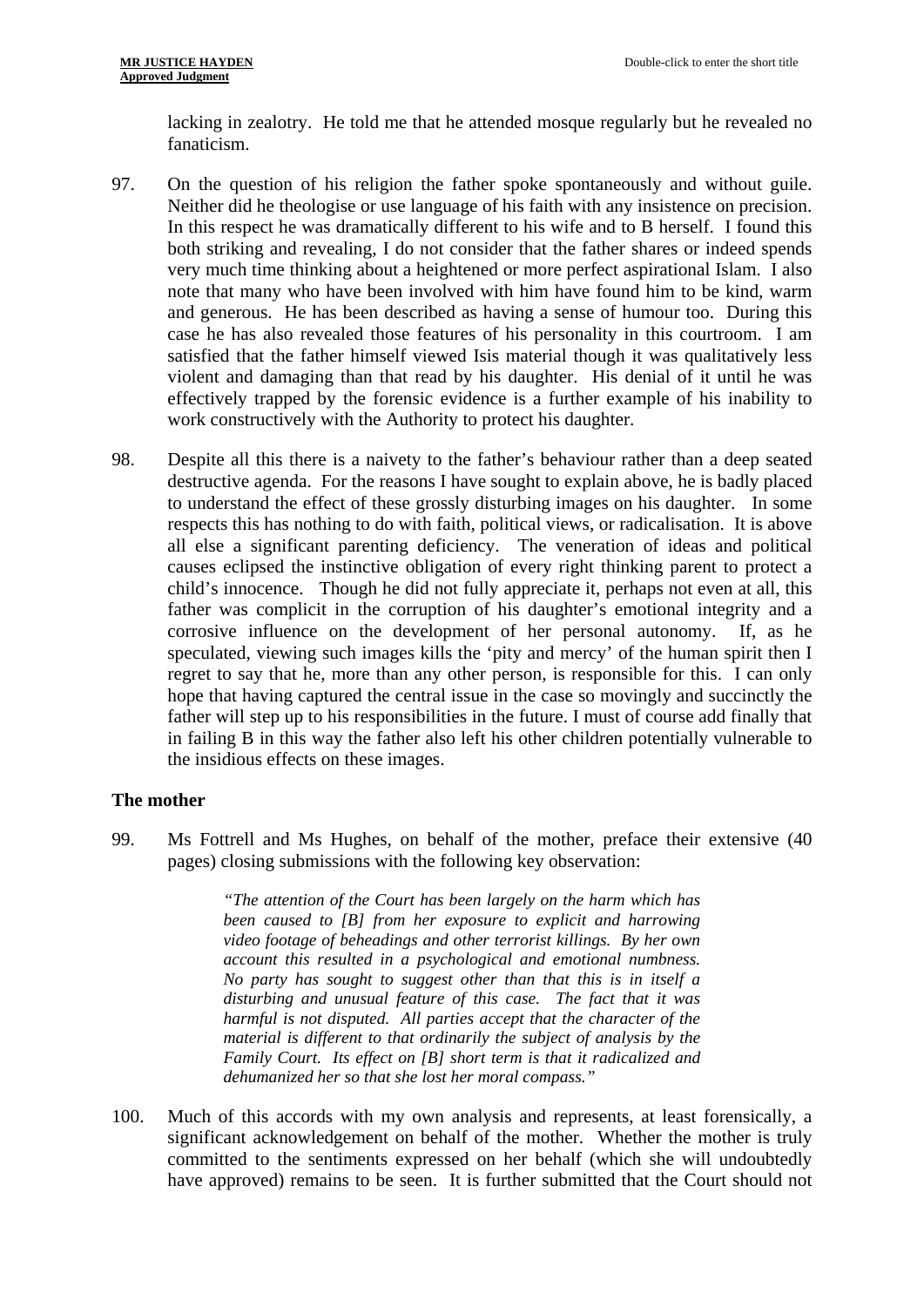lacking in zealotry. He told me that he attended mosque regularly but he revealed no fanaticism.

- 97. On the question of his religion the father spoke spontaneously and without guile. Neither did he theologise or use language of his faith with any insistence on precision. In this respect he was dramatically different to his wife and to B herself. I found this both striking and revealing, I do not consider that the father shares or indeed spends very much time thinking about a heightened or more perfect aspirational Islam. I also note that many who have been involved with him have found him to be kind, warm and generous. He has been described as having a sense of humour too. During this case he has also revealed those features of his personality in this courtroom. I am satisfied that the father himself viewed Isis material though it was qualitatively less violent and damaging than that read by his daughter. His denial of it until he was effectively trapped by the forensic evidence is a further example of his inability to work constructively with the Authority to protect his daughter.
- 98. Despite all this there is a naivety to the father's behaviour rather than a deep seated destructive agenda. For the reasons I have sought to explain above, he is badly placed to understand the effect of these grossly disturbing images on his daughter. In some respects this has nothing to do with faith, political views, or radicalisation. It is above all else a significant parenting deficiency. The veneration of ideas and political causes eclipsed the instinctive obligation of every right thinking parent to protect a child's innocence. Though he did not fully appreciate it, perhaps not even at all, this father was complicit in the corruption of his daughter's emotional integrity and a corrosive influence on the development of her personal autonomy. If, as he speculated, viewing such images kills the 'pity and mercy' of the human spirit then I regret to say that he, more than any other person, is responsible for this. I can only hope that having captured the central issue in the case so movingly and succinctly the father will step up to his responsibilities in the future. I must of course add finally that in failing B in this way the father also left his other children potentially vulnerable to the insidious effects on these images.

# **The mother**

99. Ms Fottrell and Ms Hughes, on behalf of the mother, preface their extensive (40 pages) closing submissions with the following key observation:

> *"The attention of the Court has been largely on the harm which has been caused to [B] from her exposure to explicit and harrowing video footage of beheadings and other terrorist killings. By her own account this resulted in a psychological and emotional numbness. No party has sought to suggest other than that this is in itself a disturbing and unusual feature of this case. The fact that it was harmful is not disputed. All parties accept that the character of the material is different to that ordinarily the subject of analysis by the Family Court. Its effect on [B] short term is that it radicalized and dehumanized her so that she lost her moral compass."*

100. Much of this accords with my own analysis and represents, at least forensically, a significant acknowledgement on behalf of the mother. Whether the mother is truly committed to the sentiments expressed on her behalf (which she will undoubtedly have approved) remains to be seen. It is further submitted that the Court should not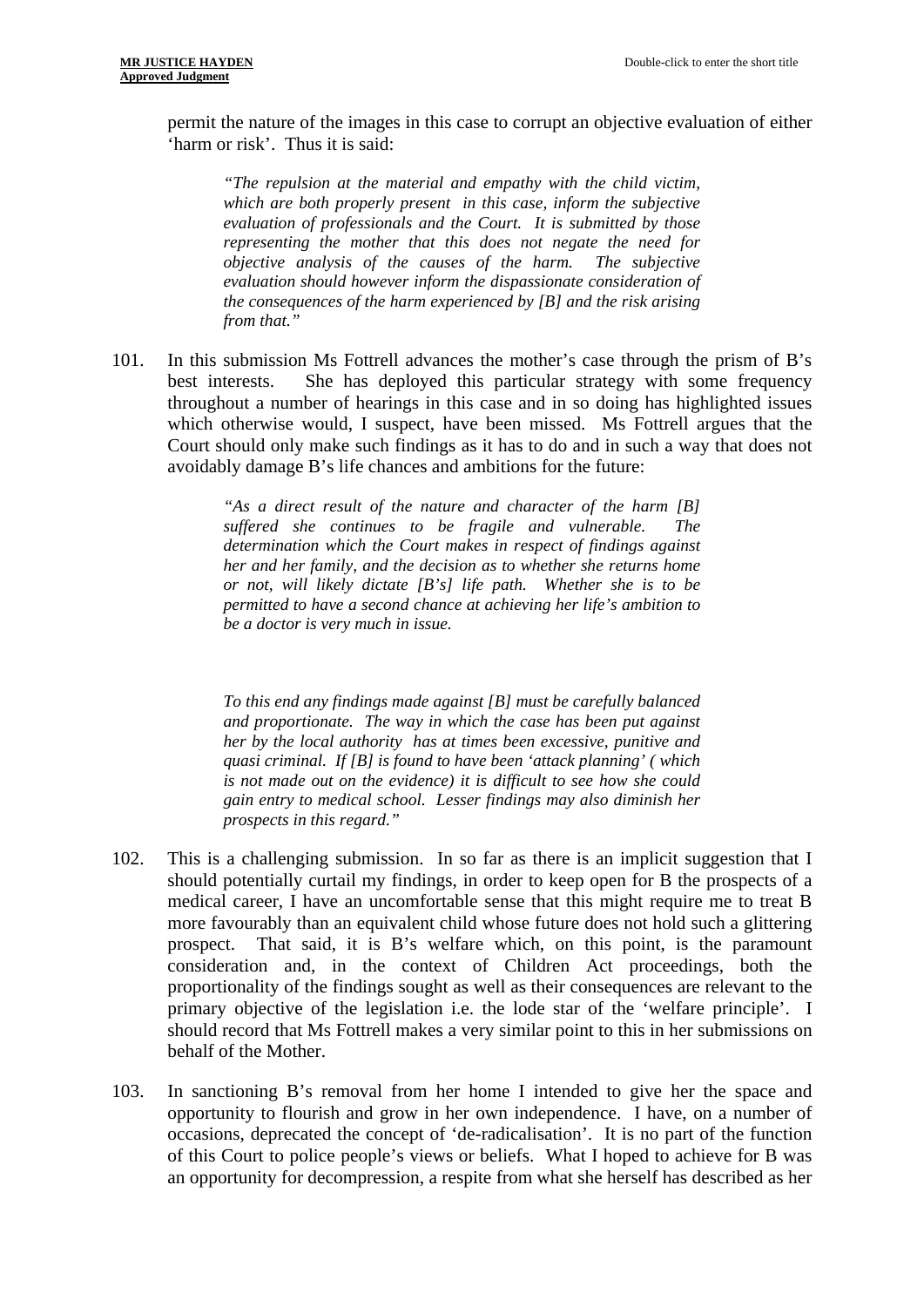permit the nature of the images in this case to corrupt an objective evaluation of either 'harm or risk'. Thus it is said:

*"The repulsion at the material and empathy with the child victim, which are both properly present in this case, inform the subjective evaluation of professionals and the Court. It is submitted by those representing the mother that this does not negate the need for objective analysis of the causes of the harm. The subjective evaluation should however inform the dispassionate consideration of the consequences of the harm experienced by [B] and the risk arising from that."* 

101. In this submission Ms Fottrell advances the mother's case through the prism of B's best interests. She has deployed this particular strategy with some frequency throughout a number of hearings in this case and in so doing has highlighted issues which otherwise would, I suspect, have been missed. Ms Fottrell argues that the Court should only make such findings as it has to do and in such a way that does not avoidably damage B's life chances and ambitions for the future:

> *"As a direct result of the nature and character of the harm [B] suffered she continues to be fragile and vulnerable. The determination which the Court makes in respect of findings against her and her family, and the decision as to whether she returns home or not, will likely dictate [B's] life path. Whether she is to be permitted to have a second chance at achieving her life's ambition to be a doctor is very much in issue.*

> *To this end any findings made against [B] must be carefully balanced and proportionate. The way in which the case has been put against her by the local authority has at times been excessive, punitive and quasi criminal. If [B] is found to have been 'attack planning' ( which is not made out on the evidence) it is difficult to see how she could gain entry to medical school. Lesser findings may also diminish her prospects in this regard."*

- 102. This is a challenging submission. In so far as there is an implicit suggestion that I should potentially curtail my findings, in order to keep open for B the prospects of a medical career, I have an uncomfortable sense that this might require me to treat B more favourably than an equivalent child whose future does not hold such a glittering prospect. That said, it is B's welfare which, on this point, is the paramount consideration and, in the context of Children Act proceedings, both the proportionality of the findings sought as well as their consequences are relevant to the primary objective of the legislation i.e. the lode star of the 'welfare principle'. I should record that Ms Fottrell makes a very similar point to this in her submissions on behalf of the Mother.
- 103. In sanctioning B's removal from her home I intended to give her the space and opportunity to flourish and grow in her own independence. I have, on a number of occasions, deprecated the concept of 'de-radicalisation'. It is no part of the function of this Court to police people's views or beliefs. What I hoped to achieve for B was an opportunity for decompression, a respite from what she herself has described as her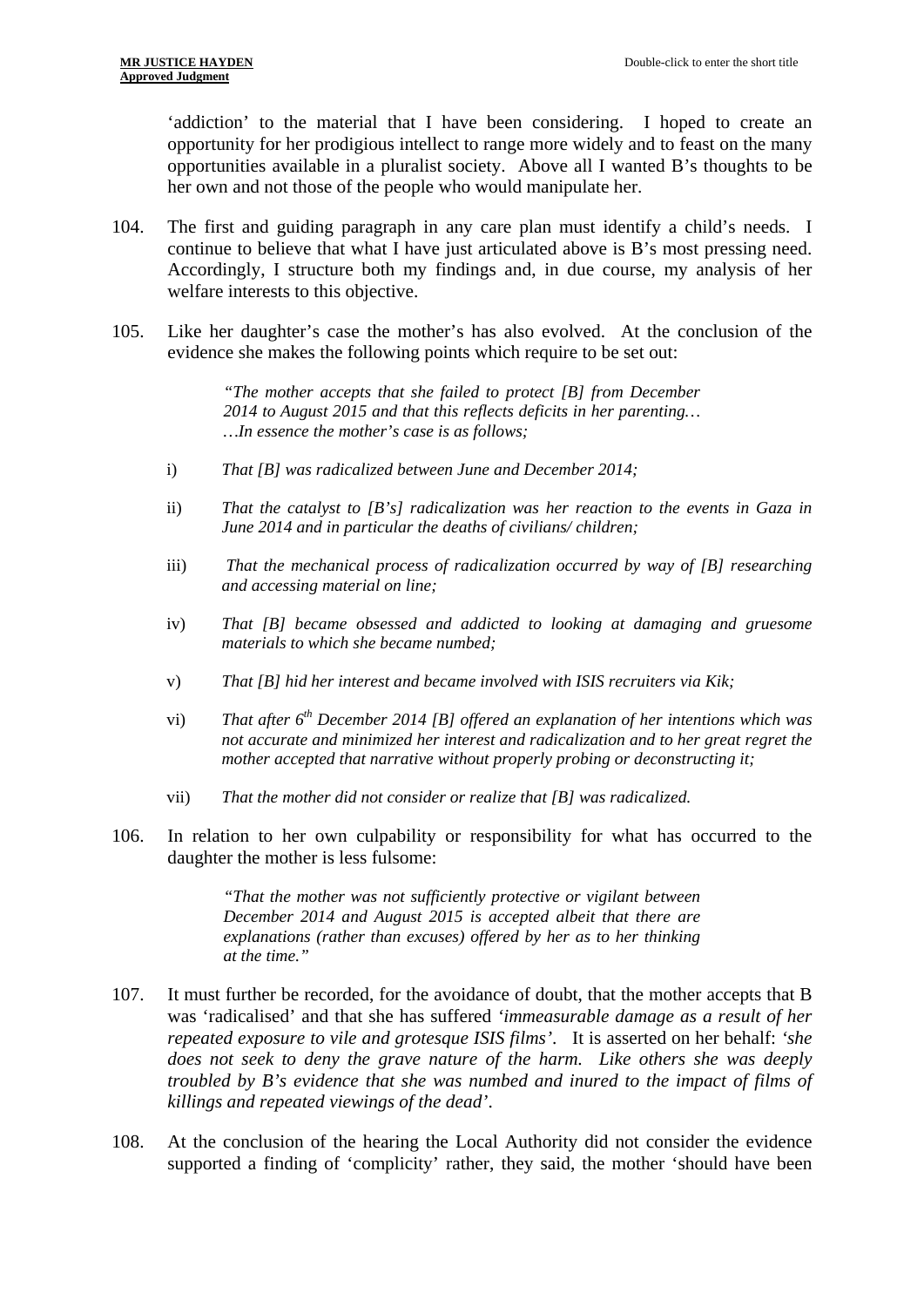'addiction' to the material that I have been considering. I hoped to create an opportunity for her prodigious intellect to range more widely and to feast on the many opportunities available in a pluralist society. Above all I wanted B's thoughts to be her own and not those of the people who would manipulate her.

- 104. The first and guiding paragraph in any care plan must identify a child's needs. I continue to believe that what I have just articulated above is B's most pressing need. Accordingly, I structure both my findings and, in due course, my analysis of her welfare interests to this objective.
- 105. Like her daughter's case the mother's has also evolved. At the conclusion of the evidence she makes the following points which require to be set out:

*"The mother accepts that she failed to protect [B] from December 2014 to August 2015 and that this reflects deficits in her parenting… …In essence the mother's case is as follows;* 

- i) *That [B] was radicalized between June and December 2014;*
- ii) *That the catalyst to [B's] radicalization was her reaction to the events in Gaza in June 2014 and in particular the deaths of civilians/ children;*
- iii) *That the mechanical process of radicalization occurred by way of [B] researching and accessing material on line;*
- iv) *That [B] became obsessed and addicted to looking at damaging and gruesome materials to which she became numbed;*
- v) *That [B] hid her interest and became involved with ISIS recruiters via Kik;*
- vi) *That after 6th December 2014 [B] offered an explanation of her intentions which was not accurate and minimized her interest and radicalization and to her great regret the mother accepted that narrative without properly probing or deconstructing it;*
- vii) *That the mother did not consider or realize that [B] was radicalized.*
- 106. In relation to her own culpability or responsibility for what has occurred to the daughter the mother is less fulsome:

*"That the mother was not sufficiently protective or vigilant between December 2014 and August 2015 is accepted albeit that there are explanations (rather than excuses) offered by her as to her thinking at the time."* 

- 107. It must further be recorded, for the avoidance of doubt, that the mother accepts that B was 'radicalised' and that she has suffered *'immeasurable damage as a result of her repeated exposure to vile and grotesque ISIS films'*. It is asserted on her behalf: *'she does not seek to deny the grave nature of the harm. Like others she was deeply troubled by B's evidence that she was numbed and inured to the impact of films of killings and repeated viewings of the dead'*.
- 108. At the conclusion of the hearing the Local Authority did not consider the evidence supported a finding of 'complicity' rather, they said, the mother 'should have been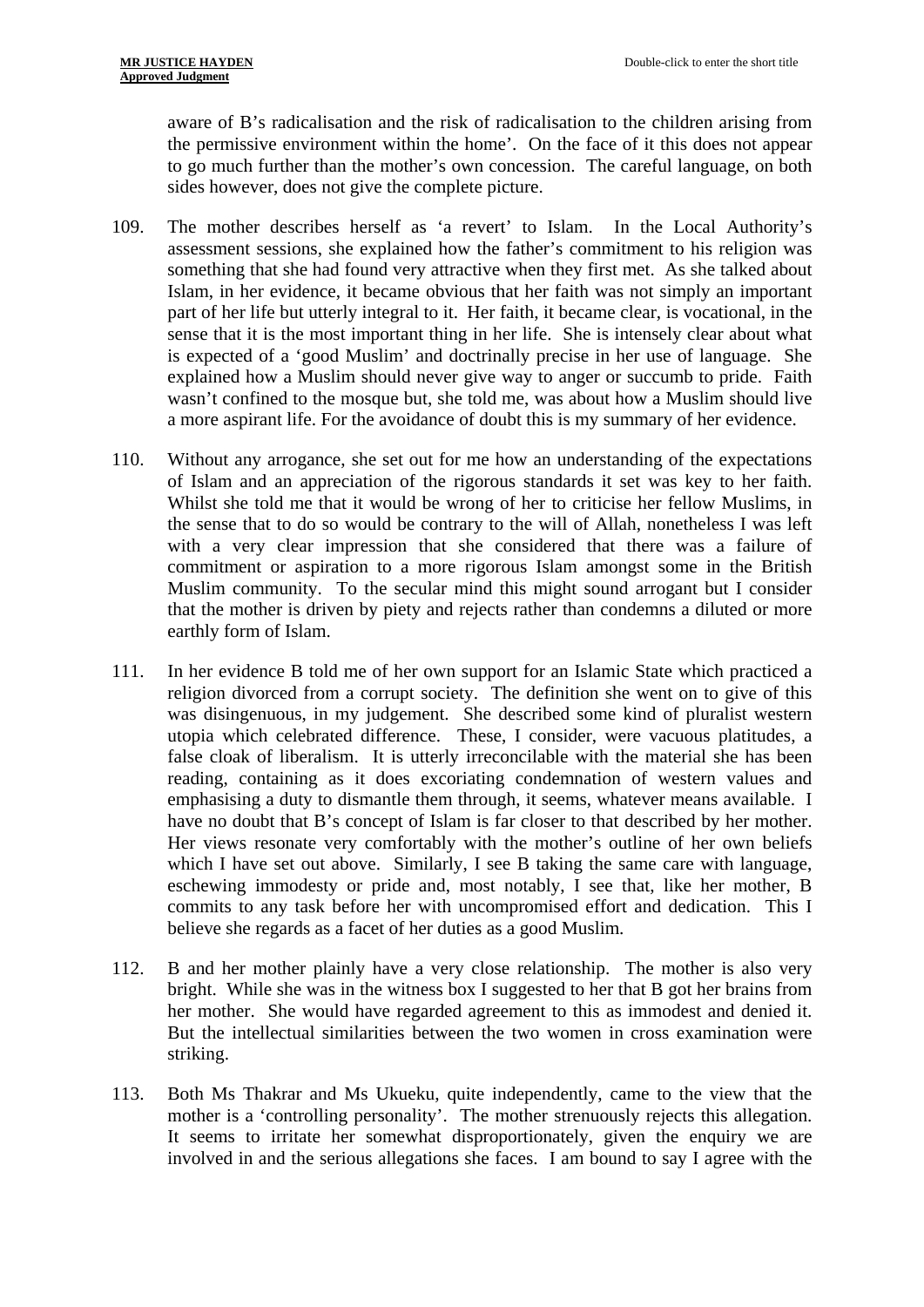aware of B's radicalisation and the risk of radicalisation to the children arising from the permissive environment within the home'. On the face of it this does not appear to go much further than the mother's own concession. The careful language, on both sides however, does not give the complete picture.

- 109. The mother describes herself as 'a revert' to Islam. In the Local Authority's assessment sessions, she explained how the father's commitment to his religion was something that she had found very attractive when they first met. As she talked about Islam, in her evidence, it became obvious that her faith was not simply an important part of her life but utterly integral to it. Her faith, it became clear, is vocational, in the sense that it is the most important thing in her life. She is intensely clear about what is expected of a 'good Muslim' and doctrinally precise in her use of language. She explained how a Muslim should never give way to anger or succumb to pride. Faith wasn't confined to the mosque but, she told me, was about how a Muslim should live a more aspirant life. For the avoidance of doubt this is my summary of her evidence.
- 110. Without any arrogance, she set out for me how an understanding of the expectations of Islam and an appreciation of the rigorous standards it set was key to her faith. Whilst she told me that it would be wrong of her to criticise her fellow Muslims, in the sense that to do so would be contrary to the will of Allah, nonetheless I was left with a very clear impression that she considered that there was a failure of commitment or aspiration to a more rigorous Islam amongst some in the British Muslim community. To the secular mind this might sound arrogant but I consider that the mother is driven by piety and rejects rather than condemns a diluted or more earthly form of Islam.
- 111. In her evidence B told me of her own support for an Islamic State which practiced a religion divorced from a corrupt society. The definition she went on to give of this was disingenuous, in my judgement. She described some kind of pluralist western utopia which celebrated difference. These, I consider, were vacuous platitudes, a false cloak of liberalism. It is utterly irreconcilable with the material she has been reading, containing as it does excoriating condemnation of western values and emphasising a duty to dismantle them through, it seems, whatever means available. I have no doubt that B's concept of Islam is far closer to that described by her mother. Her views resonate very comfortably with the mother's outline of her own beliefs which I have set out above. Similarly, I see B taking the same care with language, eschewing immodesty or pride and, most notably, I see that, like her mother, B commits to any task before her with uncompromised effort and dedication. This I believe she regards as a facet of her duties as a good Muslim.
- 112. B and her mother plainly have a very close relationship. The mother is also very bright. While she was in the witness box I suggested to her that B got her brains from her mother. She would have regarded agreement to this as immodest and denied it. But the intellectual similarities between the two women in cross examination were striking.
- 113. Both Ms Thakrar and Ms Ukueku, quite independently, came to the view that the mother is a 'controlling personality'. The mother strenuously rejects this allegation. It seems to irritate her somewhat disproportionately, given the enquiry we are involved in and the serious allegations she faces. I am bound to say I agree with the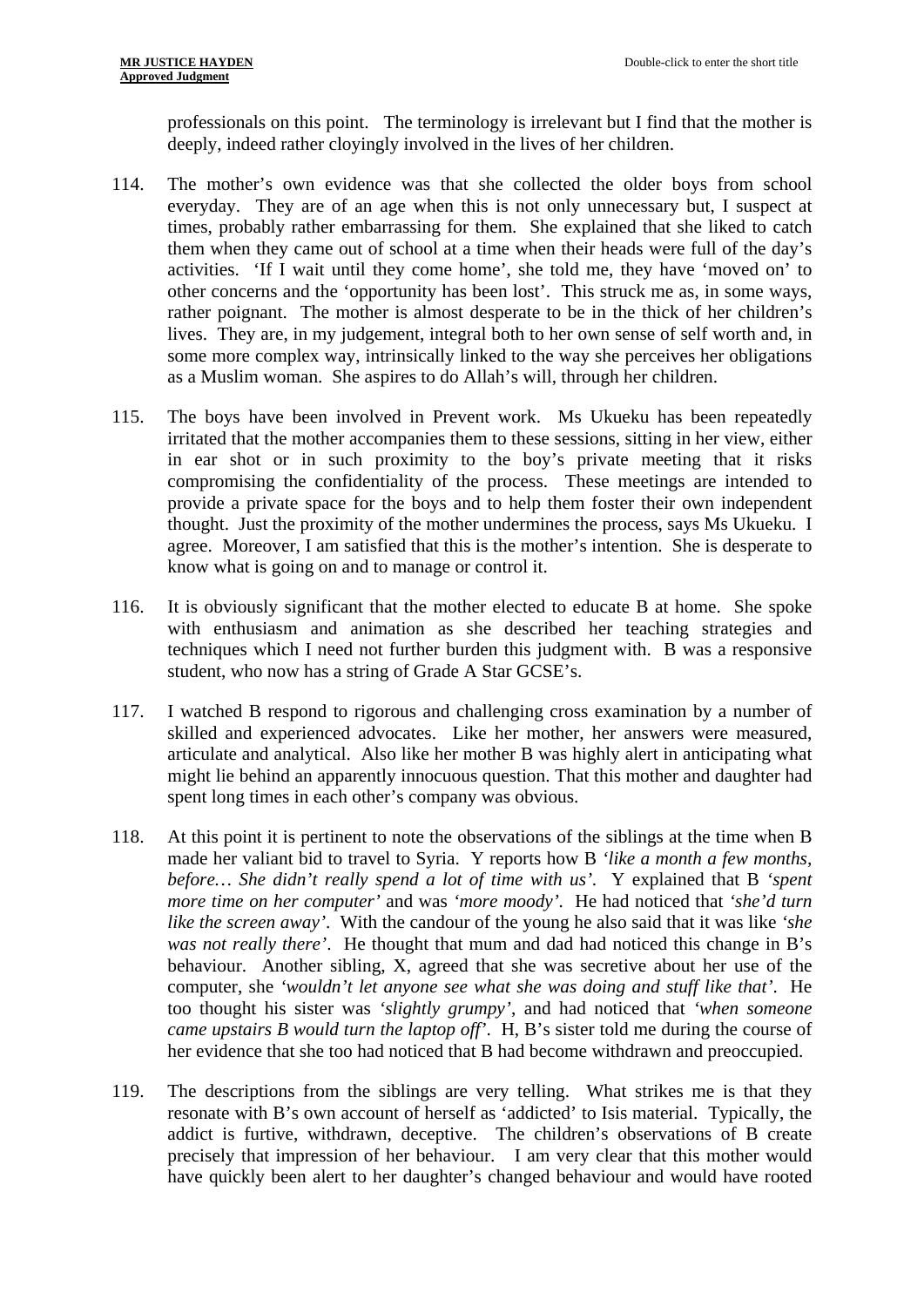professionals on this point. The terminology is irrelevant but I find that the mother is deeply, indeed rather cloyingly involved in the lives of her children.

- 114. The mother's own evidence was that she collected the older boys from school everyday. They are of an age when this is not only unnecessary but, I suspect at times, probably rather embarrassing for them. She explained that she liked to catch them when they came out of school at a time when their heads were full of the day's activities. 'If I wait until they come home', she told me, they have 'moved on' to other concerns and the 'opportunity has been lost'. This struck me as, in some ways, rather poignant. The mother is almost desperate to be in the thick of her children's lives. They are, in my judgement, integral both to her own sense of self worth and, in some more complex way, intrinsically linked to the way she perceives her obligations as a Muslim woman. She aspires to do Allah's will, through her children.
- 115. The boys have been involved in Prevent work. Ms Ukueku has been repeatedly irritated that the mother accompanies them to these sessions, sitting in her view, either in ear shot or in such proximity to the boy's private meeting that it risks compromising the confidentiality of the process. These meetings are intended to provide a private space for the boys and to help them foster their own independent thought. Just the proximity of the mother undermines the process, says Ms Ukueku. I agree. Moreover, I am satisfied that this is the mother's intention. She is desperate to know what is going on and to manage or control it.
- 116. It is obviously significant that the mother elected to educate B at home. She spoke with enthusiasm and animation as she described her teaching strategies and techniques which I need not further burden this judgment with. B was a responsive student, who now has a string of Grade A Star GCSE's.
- 117. I watched B respond to rigorous and challenging cross examination by a number of skilled and experienced advocates. Like her mother, her answers were measured, articulate and analytical. Also like her mother B was highly alert in anticipating what might lie behind an apparently innocuous question. That this mother and daughter had spent long times in each other's company was obvious.
- 118. At this point it is pertinent to note the observations of the siblings at the time when B made her valiant bid to travel to Syria. Y reports how B *'like a month a few months, before… She didn't really spend a lot of time with us'.* Y explained that B *'spent more time on her computer'* and was *'more moody'.* He had noticed that *'she'd turn like the screen away'*. With the candour of the young he also said that it was like *'she was not really there'*. He thought that mum and dad had noticed this change in B's behaviour. Another sibling, X, agreed that she was secretive about her use of the computer, she *'wouldn't let anyone see what she was doing and stuff like that'*. He too thought his sister was *'slightly grumpy'*, and had noticed that *'when someone came upstairs B would turn the laptop off'*. H, B's sister told me during the course of her evidence that she too had noticed that B had become withdrawn and preoccupied.
- 119. The descriptions from the siblings are very telling. What strikes me is that they resonate with B's own account of herself as 'addicted' to Isis material. Typically, the addict is furtive, withdrawn, deceptive. The children's observations of B create precisely that impression of her behaviour. I am very clear that this mother would have quickly been alert to her daughter's changed behaviour and would have rooted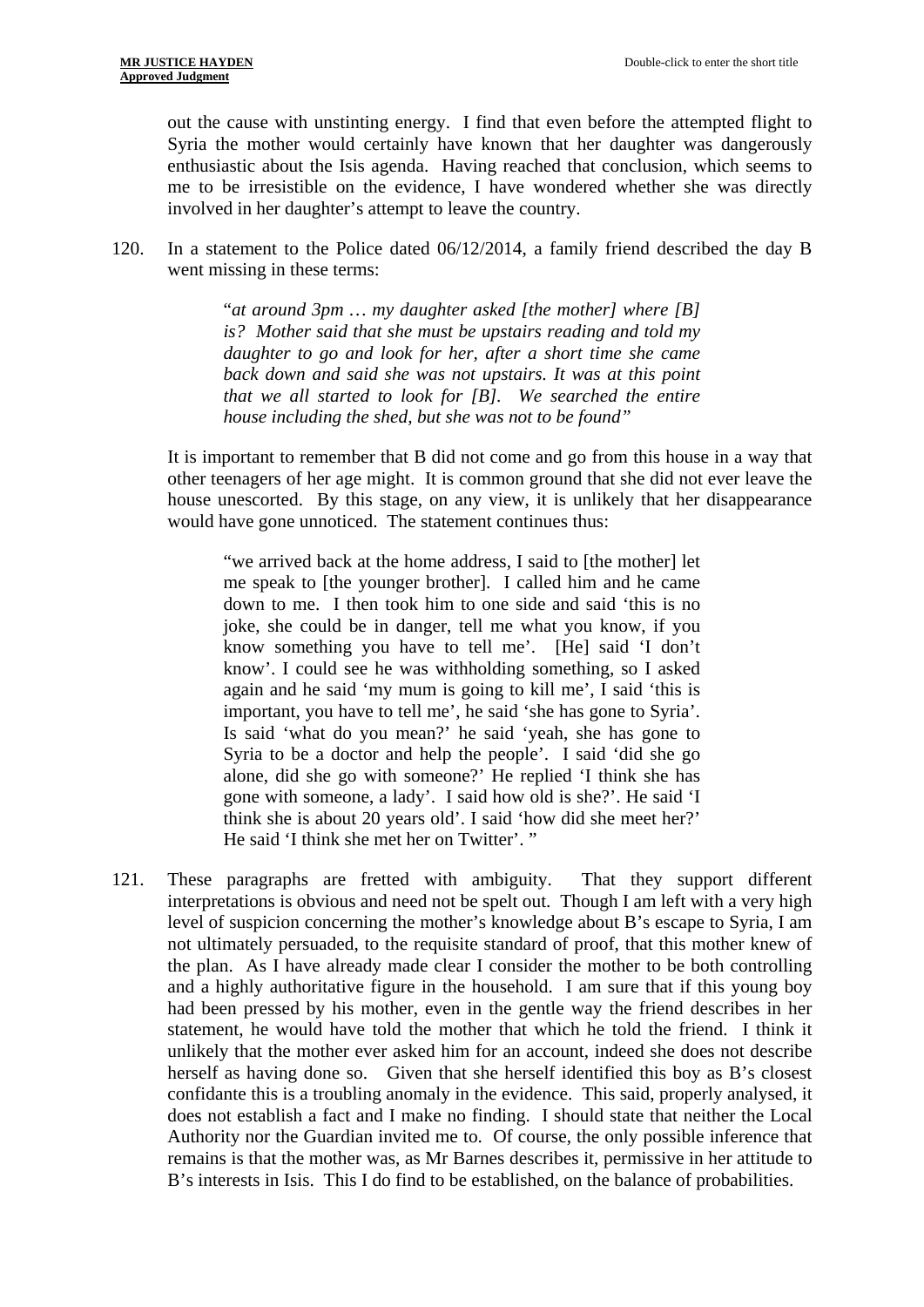out the cause with unstinting energy. I find that even before the attempted flight to Syria the mother would certainly have known that her daughter was dangerously enthusiastic about the Isis agenda. Having reached that conclusion, which seems to me to be irresistible on the evidence, I have wondered whether she was directly involved in her daughter's attempt to leave the country.

120. In a statement to the Police dated 06/12/2014, a family friend described the day B went missing in these terms:

> "*at around 3pm … my daughter asked [the mother] where [B] is? Mother said that she must be upstairs reading and told my daughter to go and look for her, after a short time she came back down and said she was not upstairs. It was at this point that we all started to look for [B]. We searched the entire house including the shed, but she was not to be found"*

 It is important to remember that B did not come and go from this house in a way that other teenagers of her age might. It is common ground that she did not ever leave the house unescorted. By this stage, on any view, it is unlikely that her disappearance would have gone unnoticed. The statement continues thus:

"we arrived back at the home address, I said to [the mother] let me speak to [the younger brother]. I called him and he came down to me. I then took him to one side and said 'this is no joke, she could be in danger, tell me what you know, if you know something you have to tell me'. [He] said 'I don't know'. I could see he was withholding something, so I asked again and he said 'my mum is going to kill me', I said 'this is important, you have to tell me', he said 'she has gone to Syria'. Is said 'what do you mean?' he said 'yeah, she has gone to Syria to be a doctor and help the people'. I said 'did she go alone, did she go with someone?' He replied 'I think she has gone with someone, a lady'. I said how old is she?'. He said 'I think she is about 20 years old'. I said 'how did she meet her?' He said 'I think she met her on Twitter'. "

121. These paragraphs are fretted with ambiguity. That they support different interpretations is obvious and need not be spelt out. Though I am left with a very high level of suspicion concerning the mother's knowledge about B's escape to Syria, I am not ultimately persuaded, to the requisite standard of proof, that this mother knew of the plan. As I have already made clear I consider the mother to be both controlling and a highly authoritative figure in the household. I am sure that if this young boy had been pressed by his mother, even in the gentle way the friend describes in her statement, he would have told the mother that which he told the friend. I think it unlikely that the mother ever asked him for an account, indeed she does not describe herself as having done so. Given that she herself identified this boy as B's closest confidante this is a troubling anomaly in the evidence. This said, properly analysed, it does not establish a fact and I make no finding. I should state that neither the Local Authority nor the Guardian invited me to. Of course, the only possible inference that remains is that the mother was, as Mr Barnes describes it, permissive in her attitude to B's interests in Isis. This I do find to be established, on the balance of probabilities.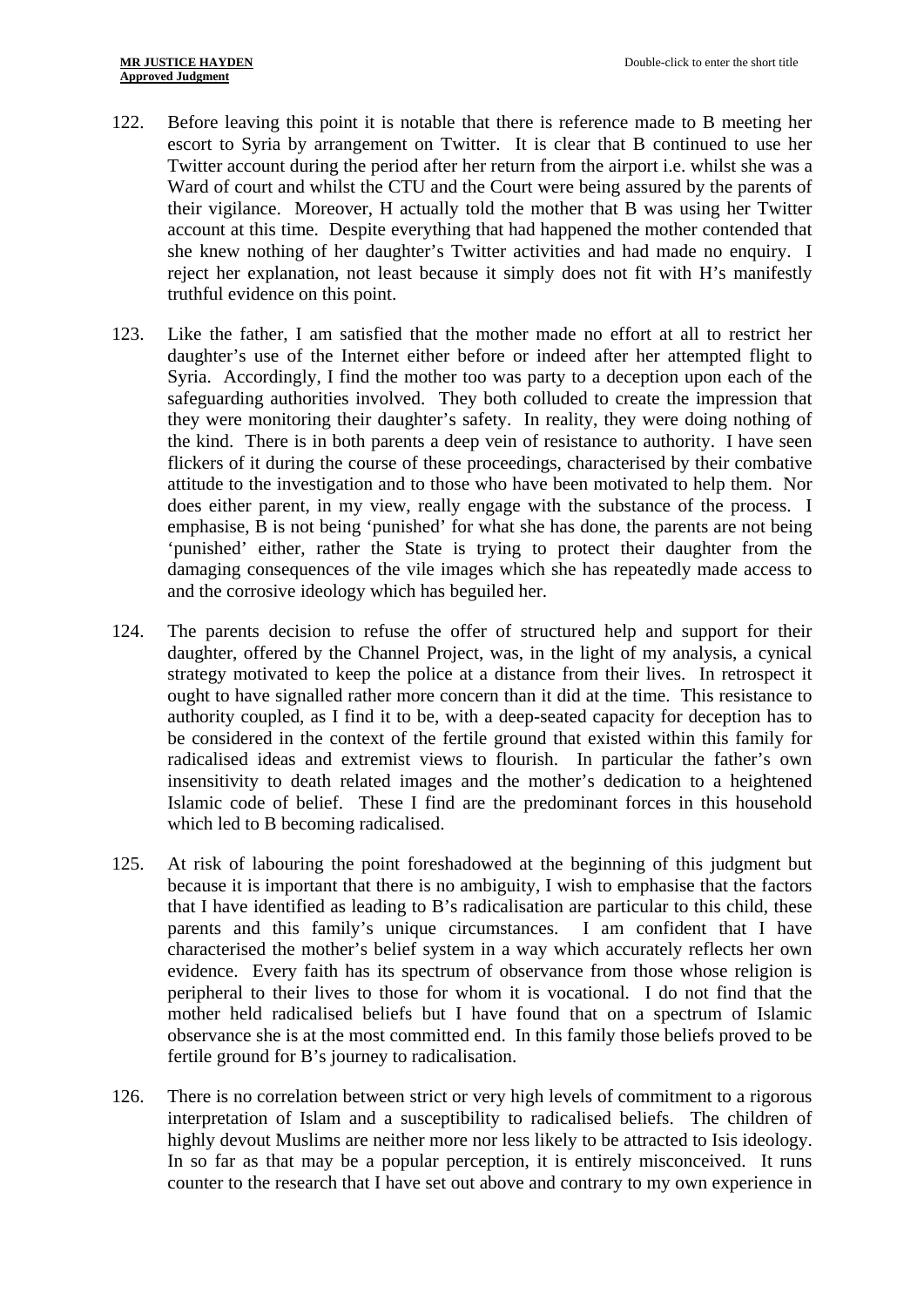- 122. Before leaving this point it is notable that there is reference made to B meeting her escort to Syria by arrangement on Twitter. It is clear that B continued to use her Twitter account during the period after her return from the airport i.e. whilst she was a Ward of court and whilst the CTU and the Court were being assured by the parents of their vigilance. Moreover, H actually told the mother that B was using her Twitter account at this time. Despite everything that had happened the mother contended that she knew nothing of her daughter's Twitter activities and had made no enquiry. I reject her explanation, not least because it simply does not fit with H's manifestly truthful evidence on this point.
- 123. Like the father, I am satisfied that the mother made no effort at all to restrict her daughter's use of the Internet either before or indeed after her attempted flight to Syria. Accordingly, I find the mother too was party to a deception upon each of the safeguarding authorities involved. They both colluded to create the impression that they were monitoring their daughter's safety. In reality, they were doing nothing of the kind. There is in both parents a deep vein of resistance to authority. I have seen flickers of it during the course of these proceedings, characterised by their combative attitude to the investigation and to those who have been motivated to help them. Nor does either parent, in my view, really engage with the substance of the process. I emphasise, B is not being 'punished' for what she has done, the parents are not being 'punished' either, rather the State is trying to protect their daughter from the damaging consequences of the vile images which she has repeatedly made access to and the corrosive ideology which has beguiled her.
- 124. The parents decision to refuse the offer of structured help and support for their daughter, offered by the Channel Project, was, in the light of my analysis, a cynical strategy motivated to keep the police at a distance from their lives. In retrospect it ought to have signalled rather more concern than it did at the time. This resistance to authority coupled, as I find it to be, with a deep-seated capacity for deception has to be considered in the context of the fertile ground that existed within this family for radicalised ideas and extremist views to flourish. In particular the father's own insensitivity to death related images and the mother's dedication to a heightened Islamic code of belief. These I find are the predominant forces in this household which led to B becoming radicalised.
- 125. At risk of labouring the point foreshadowed at the beginning of this judgment but because it is important that there is no ambiguity, I wish to emphasise that the factors that I have identified as leading to B's radicalisation are particular to this child, these parents and this family's unique circumstances. I am confident that I have characterised the mother's belief system in a way which accurately reflects her own evidence. Every faith has its spectrum of observance from those whose religion is peripheral to their lives to those for whom it is vocational. I do not find that the mother held radicalised beliefs but I have found that on a spectrum of Islamic observance she is at the most committed end. In this family those beliefs proved to be fertile ground for B's journey to radicalisation.
- 126. There is no correlation between strict or very high levels of commitment to a rigorous interpretation of Islam and a susceptibility to radicalised beliefs. The children of highly devout Muslims are neither more nor less likely to be attracted to Isis ideology. In so far as that may be a popular perception, it is entirely misconceived. It runs counter to the research that I have set out above and contrary to my own experience in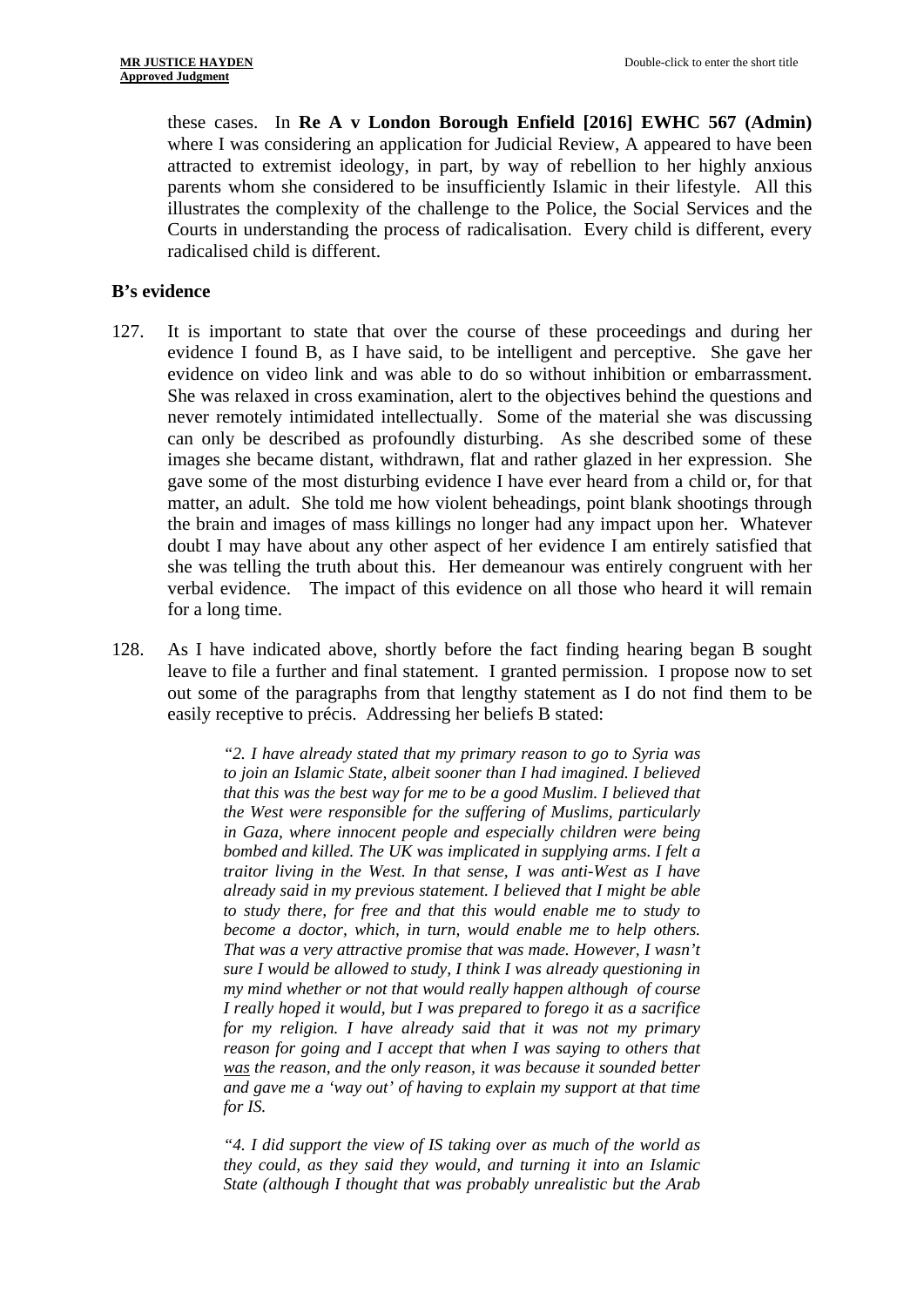these cases. In **Re A v London Borough Enfield [2016] EWHC 567 (Admin)**  where I was considering an application for Judicial Review, A appeared to have been attracted to extremist ideology, in part, by way of rebellion to her highly anxious parents whom she considered to be insufficiently Islamic in their lifestyle. All this illustrates the complexity of the challenge to the Police, the Social Services and the Courts in understanding the process of radicalisation. Every child is different, every radicalised child is different.

## **B's evidence**

- 127. It is important to state that over the course of these proceedings and during her evidence I found B, as I have said, to be intelligent and perceptive. She gave her evidence on video link and was able to do so without inhibition or embarrassment. She was relaxed in cross examination, alert to the objectives behind the questions and never remotely intimidated intellectually. Some of the material she was discussing can only be described as profoundly disturbing. As she described some of these images she became distant, withdrawn, flat and rather glazed in her expression. She gave some of the most disturbing evidence I have ever heard from a child or, for that matter, an adult. She told me how violent beheadings, point blank shootings through the brain and images of mass killings no longer had any impact upon her. Whatever doubt I may have about any other aspect of her evidence I am entirely satisfied that she was telling the truth about this. Her demeanour was entirely congruent with her verbal evidence. The impact of this evidence on all those who heard it will remain for a long time.
- 128. As I have indicated above, shortly before the fact finding hearing began B sought leave to file a further and final statement. I granted permission. I propose now to set out some of the paragraphs from that lengthy statement as I do not find them to be easily receptive to précis. Addressing her beliefs B stated:

*"2. I have already stated that my primary reason to go to Syria was to join an Islamic State, albeit sooner than I had imagined. I believed that this was the best way for me to be a good Muslim. I believed that the West were responsible for the suffering of Muslims, particularly in Gaza, where innocent people and especially children were being bombed and killed. The UK was implicated in supplying arms. I felt a traitor living in the West. In that sense, I was anti-West as I have already said in my previous statement. I believed that I might be able to study there, for free and that this would enable me to study to become a doctor, which, in turn, would enable me to help others. That was a very attractive promise that was made. However, I wasn't sure I would be allowed to study, I think I was already questioning in my mind whether or not that would really happen although of course I really hoped it would, but I was prepared to forego it as a sacrifice for my religion. I have already said that it was not my primary reason for going and I accept that when I was saying to others that was the reason, and the only reason, it was because it sounded better and gave me a 'way out' of having to explain my support at that time for IS.* 

*"4. I did support the view of IS taking over as much of the world as they could, as they said they would, and turning it into an Islamic State (although I thought that was probably unrealistic but the Arab*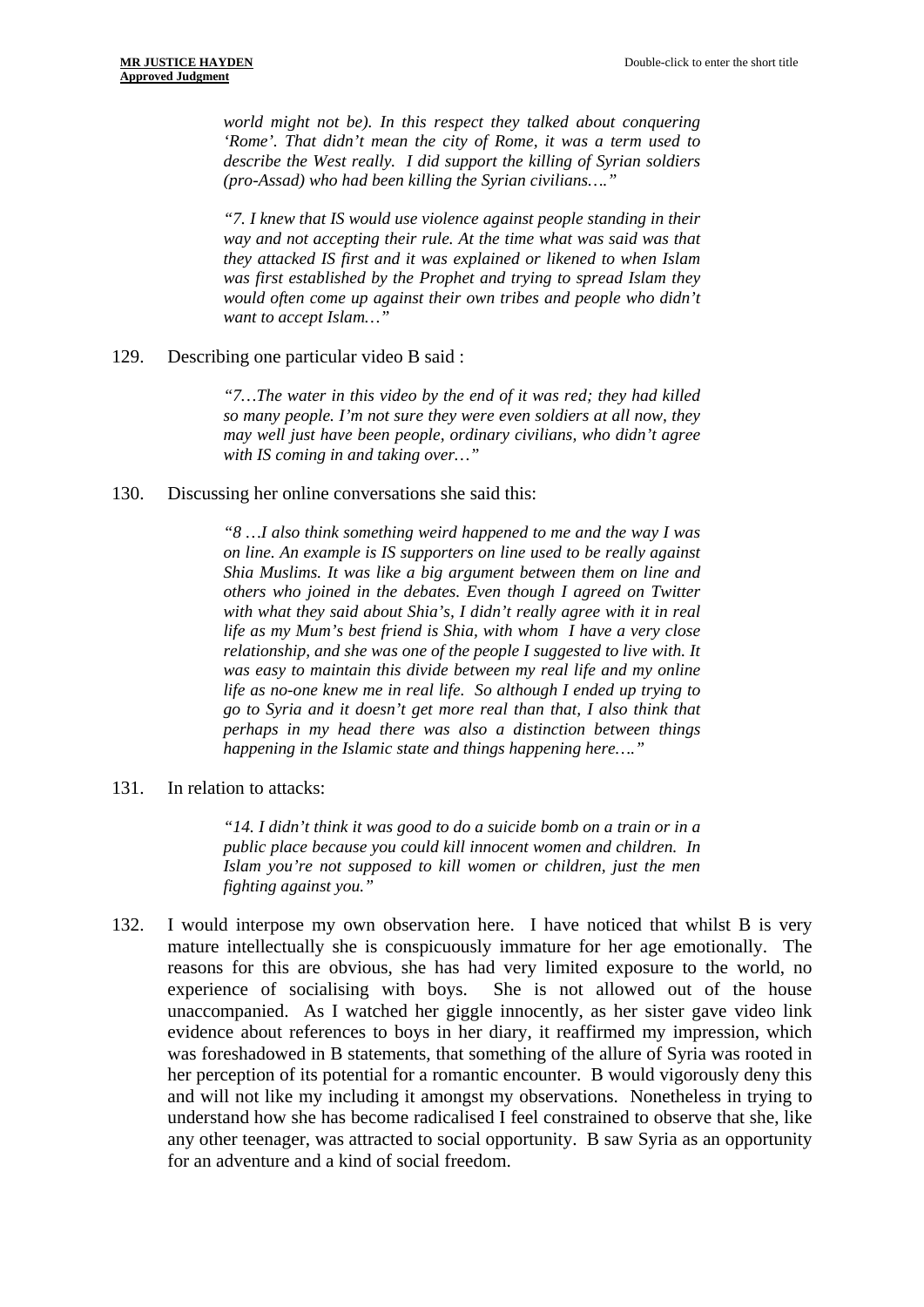*world might not be). In this respect they talked about conquering 'Rome'. That didn't mean the city of Rome, it was a term used to describe the West really. I did support the killing of Syrian soldiers (pro-Assad) who had been killing the Syrian civilians…."* 

*"7. I knew that IS would use violence against people standing in their way and not accepting their rule. At the time what was said was that they attacked IS first and it was explained or likened to when Islam was first established by the Prophet and trying to spread Islam they would often come up against their own tribes and people who didn't want to accept Islam…"* 

#### 129. Describing one particular video B said :

*"7…The water in this video by the end of it was red; they had killed so many people. I'm not sure they were even soldiers at all now, they may well just have been people, ordinary civilians, who didn't agree with IS coming in and taking over…"* 

130. Discussing her online conversations she said this:

*"8 …I also think something weird happened to me and the way I was on line. An example is IS supporters on line used to be really against Shia Muslims. It was like a big argument between them on line and others who joined in the debates. Even though I agreed on Twitter with what they said about Shia's, I didn't really agree with it in real life as my Mum's best friend is Shia, with whom I have a very close relationship, and she was one of the people I suggested to live with. It was easy to maintain this divide between my real life and my online life as no-one knew me in real life. So although I ended up trying to go to Syria and it doesn't get more real than that, I also think that perhaps in my head there was also a distinction between things happening in the Islamic state and things happening here…."* 

#### 131. In relation to attacks:

*"14. I didn't think it was good to do a suicide bomb on a train or in a public place because you could kill innocent women and children. In Islam you're not supposed to kill women or children, just the men fighting against you."* 

132. I would interpose my own observation here. I have noticed that whilst B is very mature intellectually she is conspicuously immature for her age emotionally. The reasons for this are obvious, she has had very limited exposure to the world, no experience of socialising with boys. She is not allowed out of the house unaccompanied. As I watched her giggle innocently, as her sister gave video link evidence about references to boys in her diary, it reaffirmed my impression, which was foreshadowed in B statements, that something of the allure of Syria was rooted in her perception of its potential for a romantic encounter. B would vigorously deny this and will not like my including it amongst my observations. Nonetheless in trying to understand how she has become radicalised I feel constrained to observe that she, like any other teenager, was attracted to social opportunity. B saw Syria as an opportunity for an adventure and a kind of social freedom.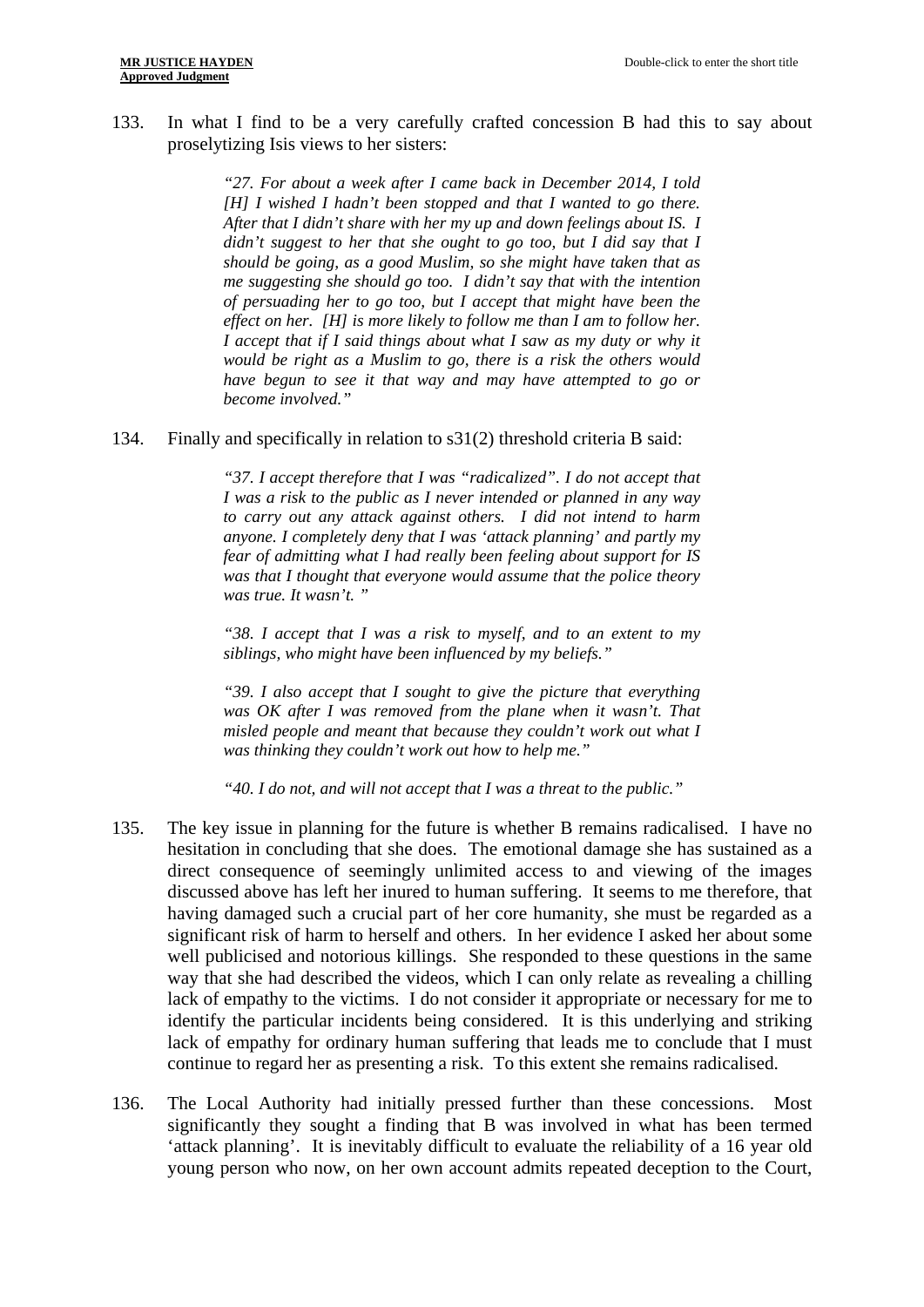133. In what I find to be a very carefully crafted concession B had this to say about proselytizing Isis views to her sisters:

> *"27. For about a week after I came back in December 2014, I told [H] I wished I hadn't been stopped and that I wanted to go there. After that I didn't share with her my up and down feelings about IS. I didn't suggest to her that she ought to go too, but I did say that I should be going, as a good Muslim, so she might have taken that as me suggesting she should go too. I didn't say that with the intention of persuading her to go too, but I accept that might have been the effect on her. [H] is more likely to follow me than I am to follow her. I accept that if I said things about what I saw as my duty or why it would be right as a Muslim to go, there is a risk the others would have begun to see it that way and may have attempted to go or become involved."*

134. Finally and specifically in relation to s31(2) threshold criteria B said:

*"37. I accept therefore that I was "radicalized". I do not accept that I was a risk to the public as I never intended or planned in any way to carry out any attack against others. I did not intend to harm anyone. I completely deny that I was 'attack planning' and partly my fear of admitting what I had really been feeling about support for IS was that I thought that everyone would assume that the police theory was true. It wasn't. "* 

*"38. I accept that I was a risk to myself, and to an extent to my siblings, who might have been influenced by my beliefs."* 

*"39. I also accept that I sought to give the picture that everything was OK after I was removed from the plane when it wasn't. That misled people and meant that because they couldn't work out what I was thinking they couldn't work out how to help me."* 

*"40. I do not, and will not accept that I was a threat to the public."* 

- 135. The key issue in planning for the future is whether B remains radicalised. I have no hesitation in concluding that she does. The emotional damage she has sustained as a direct consequence of seemingly unlimited access to and viewing of the images discussed above has left her inured to human suffering. It seems to me therefore, that having damaged such a crucial part of her core humanity, she must be regarded as a significant risk of harm to herself and others. In her evidence I asked her about some well publicised and notorious killings. She responded to these questions in the same way that she had described the videos, which I can only relate as revealing a chilling lack of empathy to the victims. I do not consider it appropriate or necessary for me to identify the particular incidents being considered. It is this underlying and striking lack of empathy for ordinary human suffering that leads me to conclude that I must continue to regard her as presenting a risk. To this extent she remains radicalised.
- 136. The Local Authority had initially pressed further than these concessions. Most significantly they sought a finding that B was involved in what has been termed 'attack planning'. It is inevitably difficult to evaluate the reliability of a 16 year old young person who now, on her own account admits repeated deception to the Court,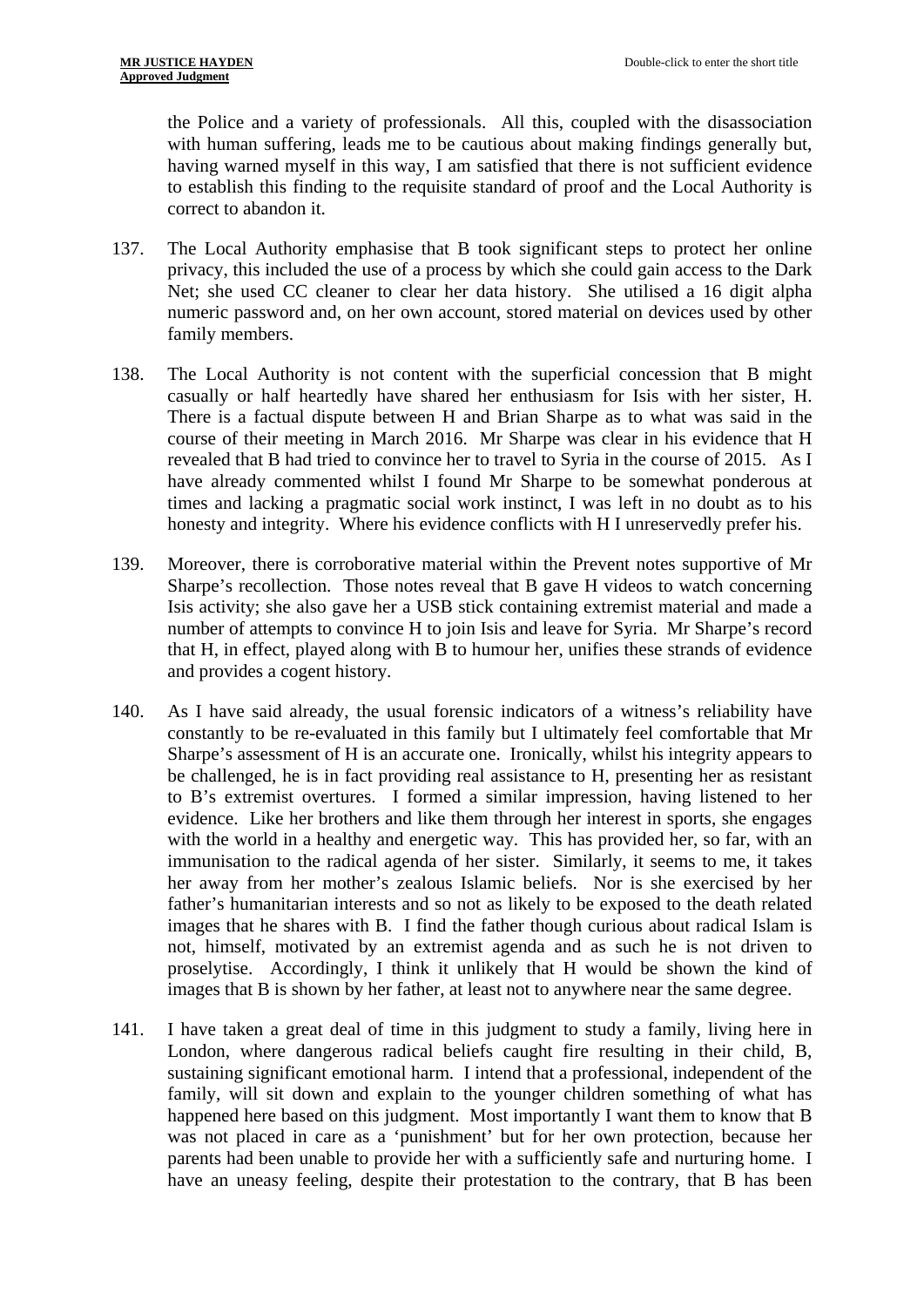the Police and a variety of professionals. All this, coupled with the disassociation with human suffering, leads me to be cautious about making findings generally but, having warned myself in this way, I am satisfied that there is not sufficient evidence to establish this finding to the requisite standard of proof and the Local Authority is correct to abandon it.

- 137. The Local Authority emphasise that B took significant steps to protect her online privacy, this included the use of a process by which she could gain access to the Dark Net; she used CC cleaner to clear her data history. She utilised a 16 digit alpha numeric password and, on her own account, stored material on devices used by other family members.
- 138. The Local Authority is not content with the superficial concession that B might casually or half heartedly have shared her enthusiasm for Isis with her sister, H. There is a factual dispute between H and Brian Sharpe as to what was said in the course of their meeting in March 2016. Mr Sharpe was clear in his evidence that H revealed that B had tried to convince her to travel to Syria in the course of 2015. As I have already commented whilst I found Mr Sharpe to be somewhat ponderous at times and lacking a pragmatic social work instinct, I was left in no doubt as to his honesty and integrity. Where his evidence conflicts with H I unreservedly prefer his.
- 139. Moreover, there is corroborative material within the Prevent notes supportive of Mr Sharpe's recollection. Those notes reveal that B gave H videos to watch concerning Isis activity; she also gave her a USB stick containing extremist material and made a number of attempts to convince H to join Isis and leave for Syria. Mr Sharpe's record that H, in effect, played along with B to humour her, unifies these strands of evidence and provides a cogent history.
- 140. As I have said already, the usual forensic indicators of a witness's reliability have constantly to be re-evaluated in this family but I ultimately feel comfortable that Mr Sharpe's assessment of H is an accurate one. Ironically, whilst his integrity appears to be challenged, he is in fact providing real assistance to H, presenting her as resistant to B's extremist overtures. I formed a similar impression, having listened to her evidence. Like her brothers and like them through her interest in sports, she engages with the world in a healthy and energetic way. This has provided her, so far, with an immunisation to the radical agenda of her sister. Similarly, it seems to me, it takes her away from her mother's zealous Islamic beliefs. Nor is she exercised by her father's humanitarian interests and so not as likely to be exposed to the death related images that he shares with B. I find the father though curious about radical Islam is not, himself, motivated by an extremist agenda and as such he is not driven to proselytise. Accordingly, I think it unlikely that H would be shown the kind of images that B is shown by her father, at least not to anywhere near the same degree.
- 141. I have taken a great deal of time in this judgment to study a family, living here in London, where dangerous radical beliefs caught fire resulting in their child, B, sustaining significant emotional harm. I intend that a professional, independent of the family, will sit down and explain to the younger children something of what has happened here based on this judgment. Most importantly I want them to know that B was not placed in care as a 'punishment' but for her own protection, because her parents had been unable to provide her with a sufficiently safe and nurturing home. I have an uneasy feeling, despite their protestation to the contrary, that B has been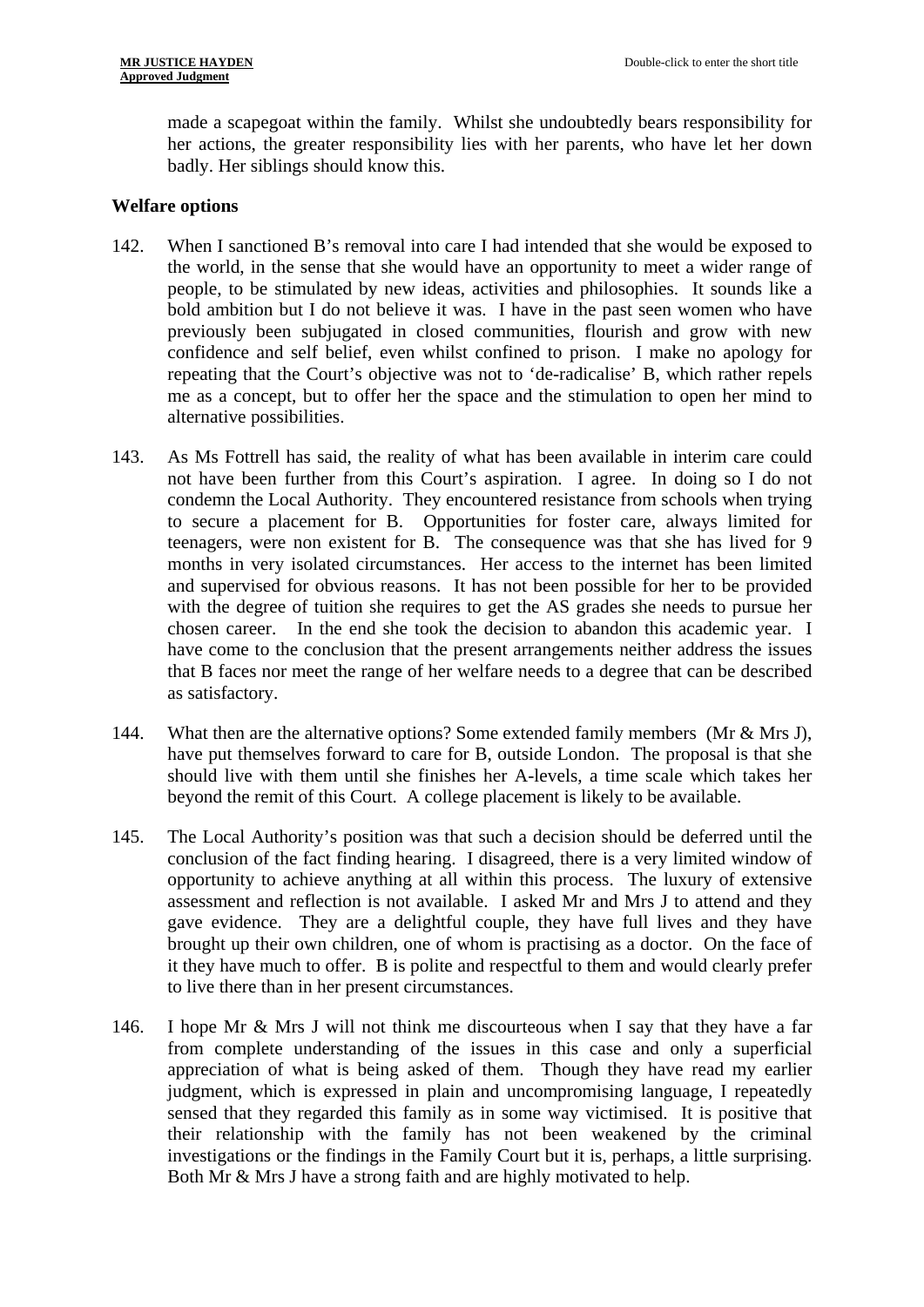made a scapegoat within the family. Whilst she undoubtedly bears responsibility for her actions, the greater responsibility lies with her parents, who have let her down badly. Her siblings should know this.

## **Welfare options**

- 142. When I sanctioned B's removal into care I had intended that she would be exposed to the world, in the sense that she would have an opportunity to meet a wider range of people, to be stimulated by new ideas, activities and philosophies. It sounds like a bold ambition but I do not believe it was. I have in the past seen women who have previously been subjugated in closed communities, flourish and grow with new confidence and self belief, even whilst confined to prison. I make no apology for repeating that the Court's objective was not to 'de-radicalise' B, which rather repels me as a concept, but to offer her the space and the stimulation to open her mind to alternative possibilities.
- 143. As Ms Fottrell has said, the reality of what has been available in interim care could not have been further from this Court's aspiration. I agree. In doing so I do not condemn the Local Authority. They encountered resistance from schools when trying to secure a placement for B. Opportunities for foster care, always limited for teenagers, were non existent for B. The consequence was that she has lived for 9 months in very isolated circumstances. Her access to the internet has been limited and supervised for obvious reasons. It has not been possible for her to be provided with the degree of tuition she requires to get the AS grades she needs to pursue her chosen career. In the end she took the decision to abandon this academic year. I have come to the conclusion that the present arrangements neither address the issues that B faces nor meet the range of her welfare needs to a degree that can be described as satisfactory.
- 144. What then are the alternative options? Some extended family members (Mr & Mrs J), have put themselves forward to care for B, outside London. The proposal is that she should live with them until she finishes her A-levels, a time scale which takes her beyond the remit of this Court. A college placement is likely to be available.
- 145. The Local Authority's position was that such a decision should be deferred until the conclusion of the fact finding hearing. I disagreed, there is a very limited window of opportunity to achieve anything at all within this process. The luxury of extensive assessment and reflection is not available. I asked Mr and Mrs J to attend and they gave evidence. They are a delightful couple, they have full lives and they have brought up their own children, one of whom is practising as a doctor. On the face of it they have much to offer. B is polite and respectful to them and would clearly prefer to live there than in her present circumstances.
- 146. I hope Mr & Mrs J will not think me discourteous when I say that they have a far from complete understanding of the issues in this case and only a superficial appreciation of what is being asked of them. Though they have read my earlier judgment, which is expressed in plain and uncompromising language, I repeatedly sensed that they regarded this family as in some way victimised. It is positive that their relationship with the family has not been weakened by the criminal investigations or the findings in the Family Court but it is, perhaps, a little surprising. Both Mr & Mrs J have a strong faith and are highly motivated to help.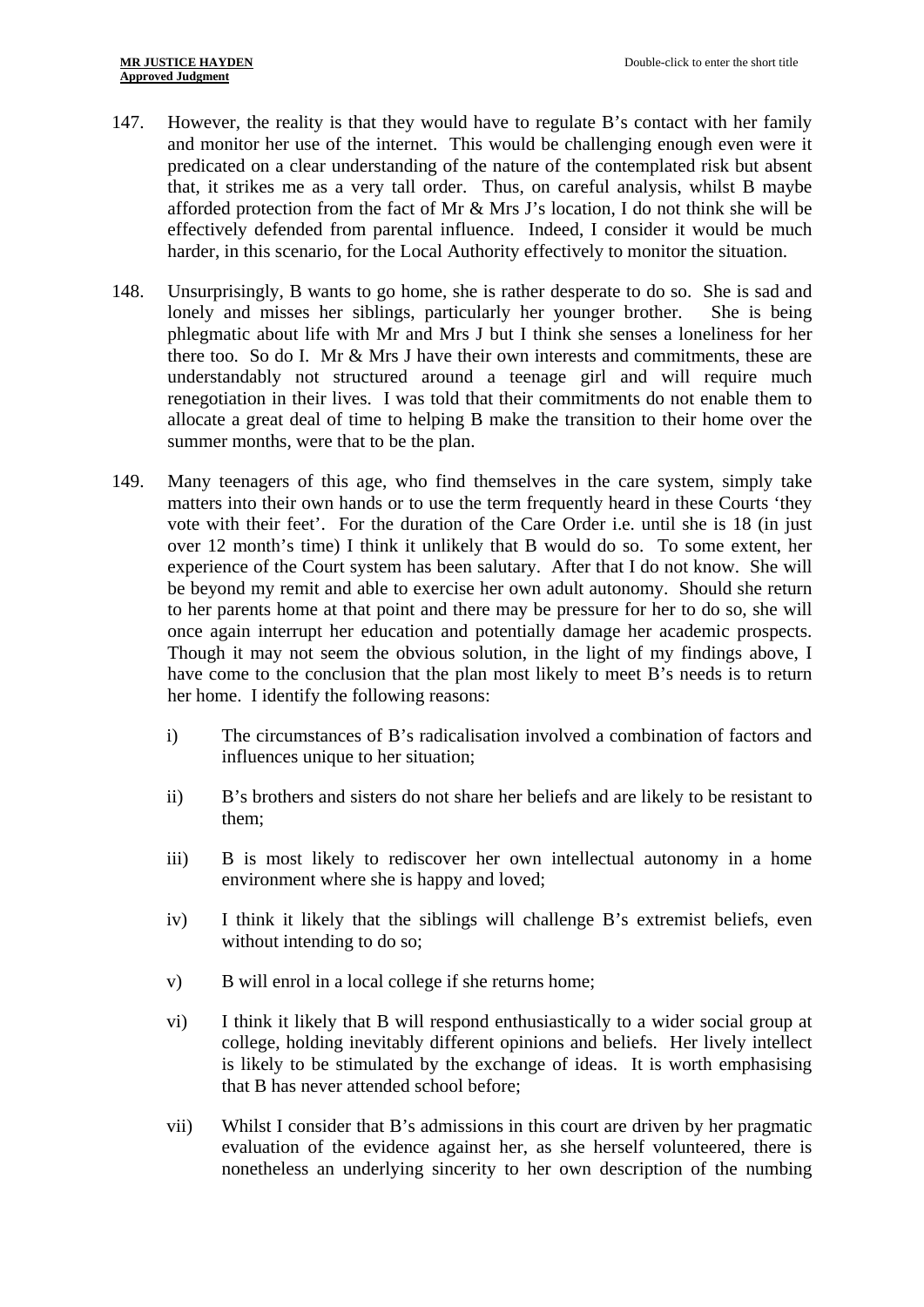- 147. However, the reality is that they would have to regulate B's contact with her family and monitor her use of the internet. This would be challenging enough even were it predicated on a clear understanding of the nature of the contemplated risk but absent that, it strikes me as a very tall order. Thus, on careful analysis, whilst B maybe afforded protection from the fact of Mr & Mrs J's location, I do not think she will be effectively defended from parental influence. Indeed, I consider it would be much harder, in this scenario, for the Local Authority effectively to monitor the situation.
- 148. Unsurprisingly, B wants to go home, she is rather desperate to do so. She is sad and lonely and misses her siblings, particularly her younger brother. She is being phlegmatic about life with Mr and Mrs J but I think she senses a loneliness for her there too. So do I. Mr & Mrs J have their own interests and commitments, these are understandably not structured around a teenage girl and will require much renegotiation in their lives. I was told that their commitments do not enable them to allocate a great deal of time to helping B make the transition to their home over the summer months, were that to be the plan.
- 149. Many teenagers of this age, who find themselves in the care system, simply take matters into their own hands or to use the term frequently heard in these Courts 'they vote with their feet'. For the duration of the Care Order i.e. until she is 18 (in just over 12 month's time) I think it unlikely that B would do so. To some extent, her experience of the Court system has been salutary. After that I do not know. She will be beyond my remit and able to exercise her own adult autonomy. Should she return to her parents home at that point and there may be pressure for her to do so, she will once again interrupt her education and potentially damage her academic prospects. Though it may not seem the obvious solution, in the light of my findings above, I have come to the conclusion that the plan most likely to meet B's needs is to return her home. I identify the following reasons:
	- i) The circumstances of B's radicalisation involved a combination of factors and influences unique to her situation;
	- ii) B's brothers and sisters do not share her beliefs and are likely to be resistant to them;
	- iii) B is most likely to rediscover her own intellectual autonomy in a home environment where she is happy and loved;
	- iv) I think it likely that the siblings will challenge B's extremist beliefs, even without intending to do so;
	- v) B will enrol in a local college if she returns home;
	- vi) I think it likely that B will respond enthusiastically to a wider social group at college, holding inevitably different opinions and beliefs. Her lively intellect is likely to be stimulated by the exchange of ideas. It is worth emphasising that B has never attended school before;
	- vii) Whilst I consider that B's admissions in this court are driven by her pragmatic evaluation of the evidence against her, as she herself volunteered, there is nonetheless an underlying sincerity to her own description of the numbing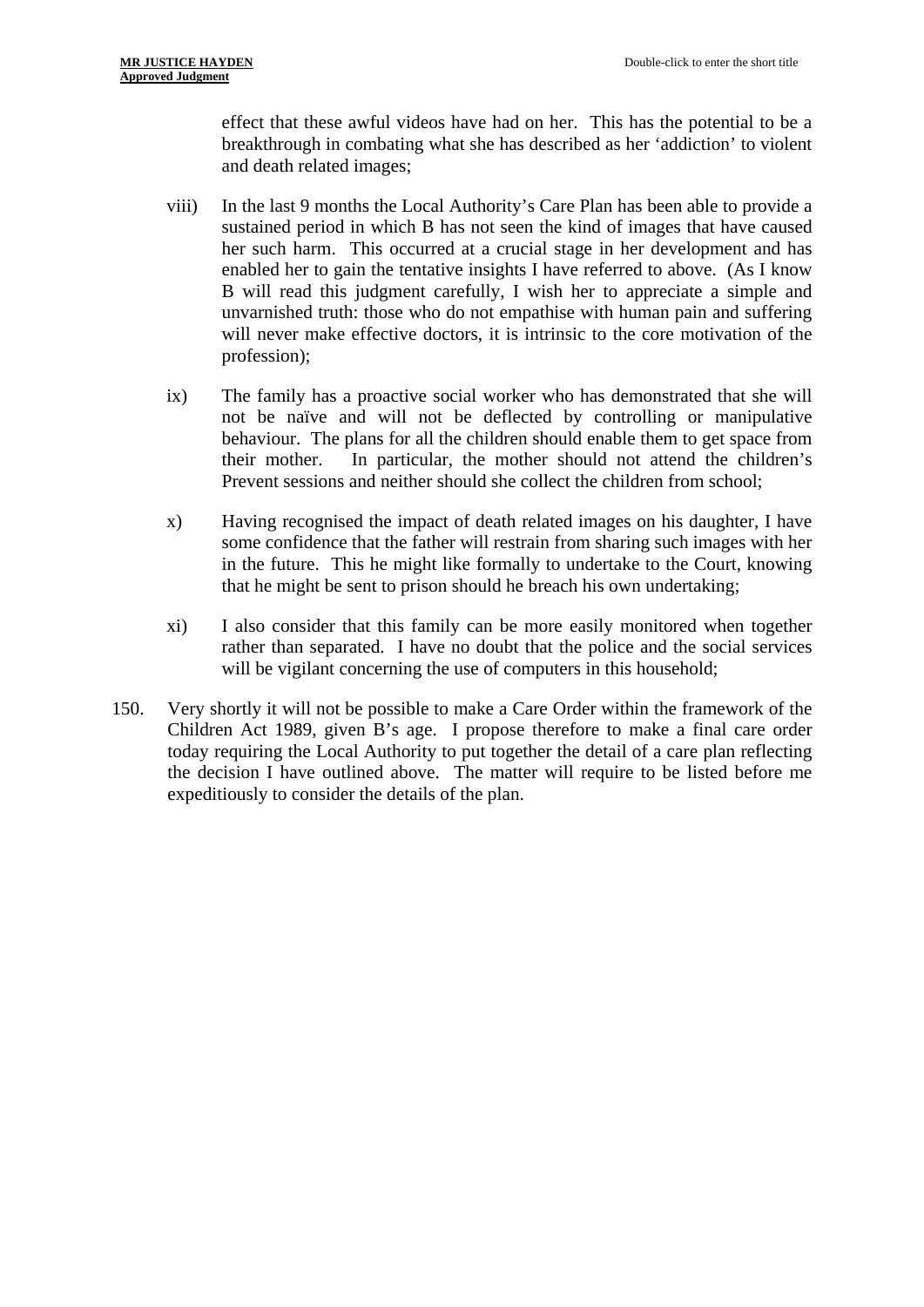effect that these awful videos have had on her. This has the potential to be a breakthrough in combating what she has described as her 'addiction' to violent and death related images;

- viii) In the last 9 months the Local Authority's Care Plan has been able to provide a sustained period in which B has not seen the kind of images that have caused her such harm. This occurred at a crucial stage in her development and has enabled her to gain the tentative insights I have referred to above. (As I know B will read this judgment carefully, I wish her to appreciate a simple and unvarnished truth: those who do not empathise with human pain and suffering will never make effective doctors, it is intrinsic to the core motivation of the profession);
- ix) The family has a proactive social worker who has demonstrated that she will not be naïve and will not be deflected by controlling or manipulative behaviour. The plans for all the children should enable them to get space from their mother. In particular, the mother should not attend the children's Prevent sessions and neither should she collect the children from school;
- x) Having recognised the impact of death related images on his daughter, I have some confidence that the father will restrain from sharing such images with her in the future. This he might like formally to undertake to the Court, knowing that he might be sent to prison should he breach his own undertaking;
- xi) I also consider that this family can be more easily monitored when together rather than separated. I have no doubt that the police and the social services will be vigilant concerning the use of computers in this household;
- 150. Very shortly it will not be possible to make a Care Order within the framework of the Children Act 1989, given B's age. I propose therefore to make a final care order today requiring the Local Authority to put together the detail of a care plan reflecting the decision I have outlined above. The matter will require to be listed before me expeditiously to consider the details of the plan.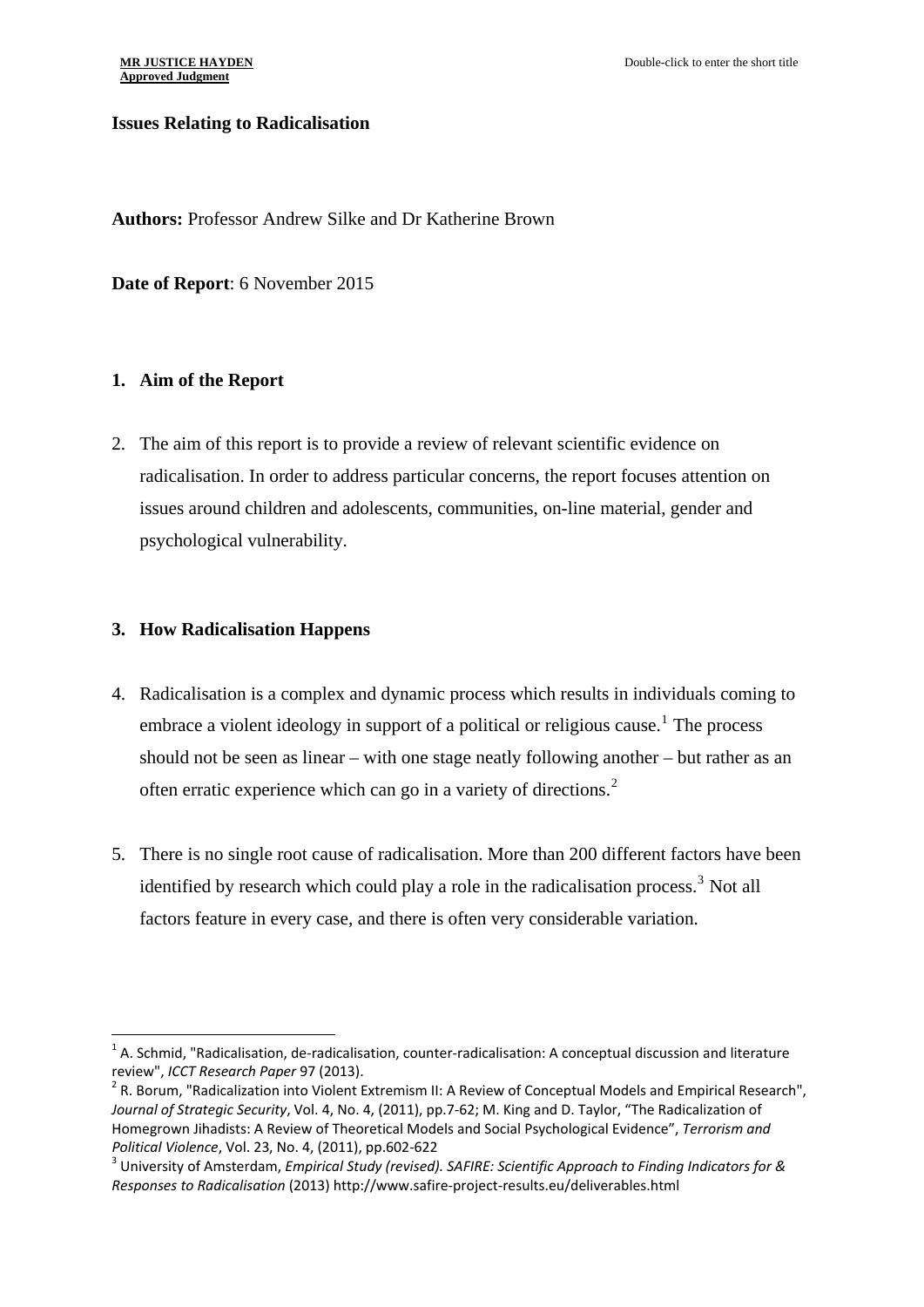## **Issues Relating to Radicalisation**

**Authors:** Professor Andrew Silke and Dr Katherine Brown

**Date of Report**: 6 November 2015

## **1. Aim of the Report**

2. The aim of this report is to provide a review of relevant scientific evidence on radicalisation. In order to address particular concerns, the report focuses attention on issues around children and adolescents, communities, on-line material, gender and psychological vulnerability.

## **3. How Radicalisation Happens**

- 4. Radicalisation is a complex and dynamic process which results in individuals coming to embrace a violent ideology in support of a political or religious cause.<sup>[1](#page-49-0)</sup> The process should not be seen as linear – with one stage neatly following another – but rather as an often erratic experience which can go in a variety of directions.[2](#page-49-1)
- 5. There is no single root cause of radicalisation. More than 200 different factors have been identified by research which could play a role in the radicalisation process.<sup>[3](#page-49-2)</sup> Not all factors feature in every case, and there is often very considerable variation.

<span id="page-49-0"></span> $1$  A. Schmid, "Radicalisation, de-radicalisation, counter-radicalisation: A conceptual discussion and literature review", *ICCT Research Paper* 97 (2013).<br><sup>2</sup> R. Borum, "Radicalization into Violent Extremism II: A Review of Conceptual Models and Empirical Research",

<span id="page-49-1"></span>*Journal of Strategic Security*, Vol. 4, No. 4, (2011), pp.7‐62; M. King and D. Taylor, "The Radicalization of Homegrown Jihadists: A Review of Theoretical Models and Social Psychological Evidence", *Terrorism and* Political Violence, Vol. 23, No. 4, (2011), pp.602-622<br><sup>3</sup> University of Amsterdam, Empirical Study (revised). SAFIRE: Scientific Approach to Finding Indicators for &

<span id="page-49-2"></span>*Responses to Radicalisation* (2013) http://www.safire‐project‐results.eu/deliverables.html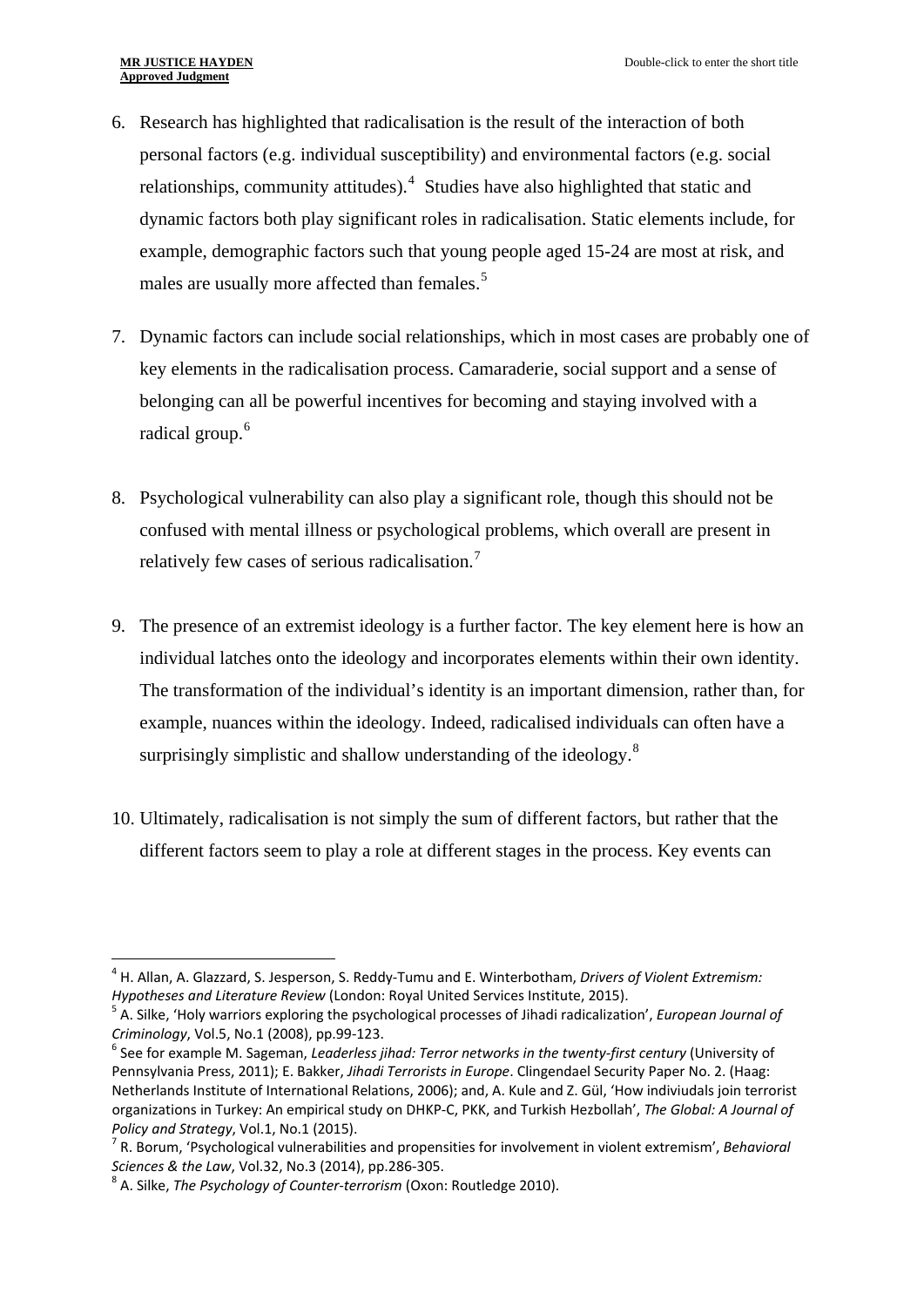- 6. Research has highlighted that radicalisation is the result of the interaction of both personal factors (e.g. individual susceptibility) and environmental factors (e.g. social relationships, community attitudes). $4$  Studies have also highlighted that static and dynamic factors both play significant roles in radicalisation. Static elements include, for example, demographic factors such that young people aged 15-24 are most at risk, and males are usually more affected than females.<sup>[5](#page-50-1)</sup>
- 7. Dynamic factors can include social relationships, which in most cases are probably one of key elements in the radicalisation process. Camaraderie, social support and a sense of belonging can all be powerful incentives for becoming and staying involved with a radical group.<sup>[6](#page-50-2)</sup>
- 8. Psychological vulnerability can also play a significant role, though this should not be confused with mental illness or psychological problems, which overall are present in relatively few cases of serious radicalisation.<sup>[7](#page-50-3)</sup>
- 9. The presence of an extremist ideology is a further factor. The key element here is how an individual latches onto the ideology and incorporates elements within their own identity. The transformation of the individual's identity is an important dimension, rather than, for example, nuances within the ideology. Indeed, radicalised individuals can often have a surprisingly simplistic and shallow understanding of the ideology.<sup>[8](#page-50-4)</sup>
- 10. Ultimately, radicalisation is not simply the sum of different factors, but rather that the different factors seem to play a role at different stages in the process. Key events can

<span id="page-50-0"></span><sup>4</sup> H. Allan, A. Glazzard, S. Jesperson, S. Reddy‐Tumu and E. Winterbotham, *Drivers of Violent Extremism:*

<span id="page-50-1"></span><sup>&</sup>lt;sup>5</sup> A. Silke, 'Holy warriors exploring the psychological processes of Jihadi radicalization', *European Journal of* 

<span id="page-50-2"></span>Criminology, Vol.5, No.1 (2008), pp.99-123.<br><sup>6</sup> See for example M. Sageman, Leaderless jihad: Terror networks in the twenty-first century (University of Pennsylvania Press, 2011); E. Bakker, *Jihadi Terrorists in Europe*. Clingendael Security Paper No. 2. (Haag: Netherlands Institute of International Relations, 2006); and, A. Kule and Z. Gül, 'How indiviudals join terrorist organizations in Turkey: An empirical study on DHKP‐C, PKK, and Turkish Hezbollah', *The Global: A Journal of*

<span id="page-50-3"></span>*Policy and Strategy*, Vol.1, No.1 (2015).<br><sup>7</sup> R. Borum, 'Psychological vulnerabilities and propensities for involvement in violent extremism', *Behavioral Sciences* & *the Law*, Vol.32, No.3 (2014), pp.286-305.<br><sup>8</sup> A. Silke, *The Psychology of Counter-terrorism* (Oxon: Routledge 2010).

<span id="page-50-4"></span>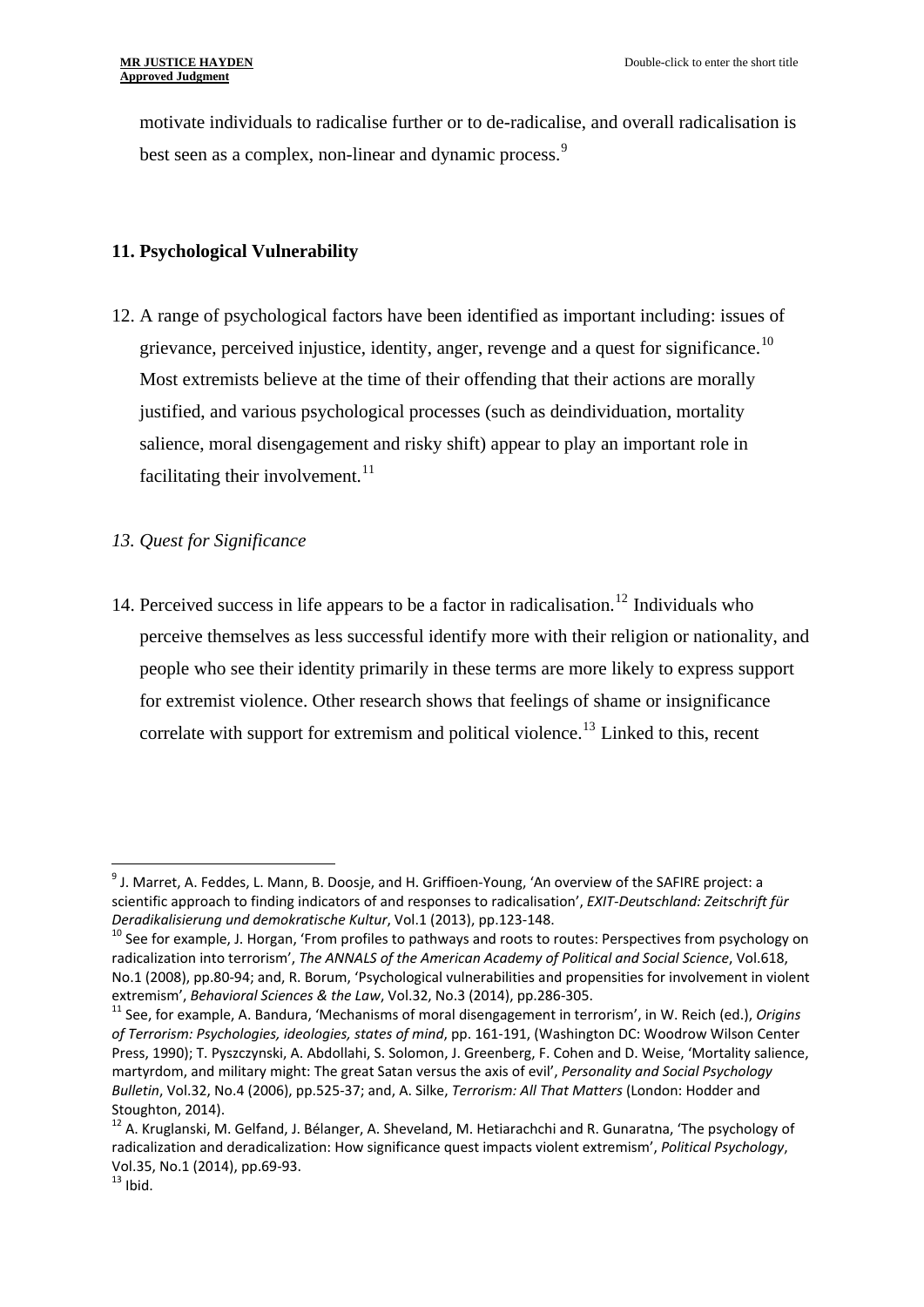motivate individuals to radicalise further or to de-radicalise, and overall radicalisation is best seen as a complex, non-linear and dynamic process.<sup>9</sup>

# **11. Psychological Vulnerability**

12. A range of psychological factors have been identified as important including: issues of grievance, perceived injustice, identity, anger, revenge and a quest for significance.<sup>[10](#page-51-0)</sup> Most extremists believe at the time of their offending that their actions are morally justified, and various psychological processes (such as deindividuation, mortality salience, moral disengagement and risky shift) appear to play an important role in facilitating their involvement. $^{11}$  $^{11}$  $^{11}$ 

# *13. Quest for Significance*

14. Perceived success in life appears to be a factor in radicalisation.<sup>[12](#page-51-2)</sup> Individuals who perceive themselves as less successful identify more with their religion or nationality, and people who see their identity primarily in these terms are more likely to express support for extremist violence. Other research shows that feelings of shame or insignificance correlate with support for extremism and political violence.<sup>[13](#page-51-3)</sup> Linked to this, recent

<sup>&</sup>lt;sup>9</sup> J. Marret, A. Feddes, L. Mann, B. Doosje, and H. Griffioen-Young, 'An overview of the SAFIRE project: a scientific approach to finding indicators of and responses to radicalisation', *EXIT‐Deutschland: Zeitschrift für Deradikalisierung und demokratische Kultur, Vol.1 (2013), pp.123-148.<br><sup>10</sup> See for example, J. Horgan, 'From profiles to pathways and roots to routes: Perspectives from psychology on* 

<span id="page-51-0"></span>radicalization into terrorism', *The ANNALS of the American Academy of Political and Social Science*, Vol.618, No.1 (2008), pp.80‐94; and, R. Borum, 'Psychological vulnerabilities and propensities for involvement in violent extremism', Behavioral Sciences & the Law, Vol.32, No.3 (2014), pp.286-305.<br><sup>11</sup> See, for example, A. Bandura, 'Mechanisms of moral disengagement in terrorism', in W. Reich (ed.), *Origins* 

<span id="page-51-1"></span>*of Terrorism: Psychologies, ideologies, states of mind*, pp. 161‐191, (Washington DC: Woodrow Wilson Center Press, 1990); T. Pyszczynski, A. Abdollahi, S. Solomon, J. Greenberg, F. Cohen and D. Weise, 'Mortality salience, martyrdom, and military might: The great Satan versus the axis of evil', *Personality and Social Psychology Bulletin*, Vol.32, No.4 (2006), pp.525‐37; and, A. Silke, *Terrorism: All That Matters* (London: Hodder and

<span id="page-51-3"></span><span id="page-51-2"></span>Stoughton, 2014).<br><sup>12</sup> A. Kruglanski, M. Gelfand, J. Bélanger, A. Sheveland, M. Hetiarachchi and R. Gunaratna, 'The psychology of radicalization and deradicalization: How significance quest impacts violent extremism', *Political Psychology*, Vol.35, No.1 (2014), pp.69-93.<br><sup>13</sup> Ibid.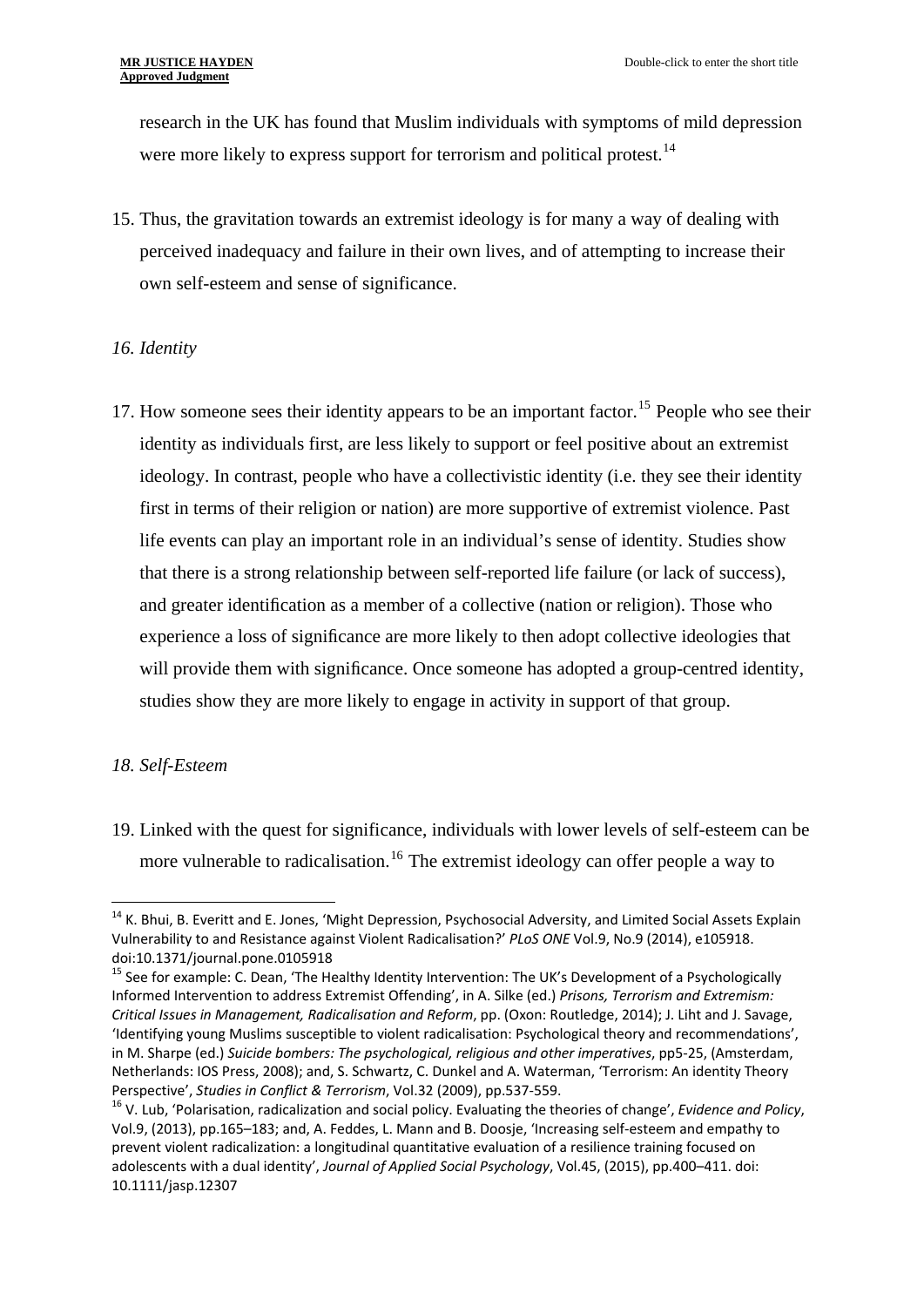research in the UK has found that Muslim individuals with symptoms of mild depression were more likely to express support for terrorism and political protest.<sup>14</sup>

15. Thus, the gravitation towards an extremist ideology is for many a way of dealing with perceived inadequacy and failure in their own lives, and of attempting to increase their own self-esteem and sense of significance.

## *16. Identity*

17. How someone sees their identity appears to be an important factor.<sup>[15](#page-52-0)</sup> People who see their identity as individuals first, are less likely to support or feel positive about an extremist ideology. In contrast, people who have a collectivistic identity (i.e. they see their identity first in terms of their religion or nation) are more supportive of extremist violence. Past life events can play an important role in an individual's sense of identity. Studies show that there is a strong relationship between self-reported life failure (or lack of success), and greater identification as a member of a collective (nation or religion). Those who experience a loss of significance are more likely to then adopt collective ideologies that will provide them with significance. Once someone has adopted a group-centred identity, studies show they are more likely to engage in activity in support of that group.

## *18. Self-Esteem*

1

19. Linked with the quest for significance, individuals with lower levels of self-esteem can be more vulnerable to radicalisation.<sup>[16](#page-52-1)</sup> The extremist ideology can offer people a way to

<sup>&</sup>lt;sup>14</sup> K. Bhui, B. Everitt and E. Jones, 'Might Depression, Psychosocial Adversity, and Limited Social Assets Explain Vulnerability to and Resistance against Violent Radicalisation?' *PLoS ONE* Vol.9, No.9 (2014), e105918. doi:10.1371/journal.pone.0105918

<span id="page-52-0"></span><sup>&</sup>lt;sup>15</sup> See for example: C. Dean, 'The Healthy Identity Intervention: The UK's Development of a Psychologically Informed Intervention to address Extremist Offending', in A. Silke (ed.) *Prisons, Terrorism and Extremism: Critical Issues in Management, Radicalisation and Reform*, pp. (Oxon: Routledge, 2014); J. Liht and J. Savage, 'Identifying young Muslims susceptible to violent radicalisation: Psychological theory and recommendations', in M. Sharpe (ed.) *Suicide bombers: The psychological, religious and other imperatives*, pp5‐25, (Amsterdam, Netherlands: IOS Press, 2008); and, S. Schwartz, C. Dunkel and A. Waterman, 'Terrorism: An identity Theory Perspective', Studies in Conflict & Terrorism, Vol.32 (2009), pp.537-559.<br><sup>16</sup> V. Lub, 'Polarisation, radicalization and social policy. Evaluating the theories of change', Evidence and Policy,

<span id="page-52-1"></span>Vol.9, (2013), pp.165–183; and, A. Feddes, L. Mann and B. Doosje, 'Increasing self‐esteem and empathy to prevent violent radicalization: a longitudinal quantitative evaluation of a resilience training focused on adolescents with a dual identity', *Journal of Applied Social Psychology*, Vol.45, (2015), pp.400–411. doi: 10.1111/jasp.12307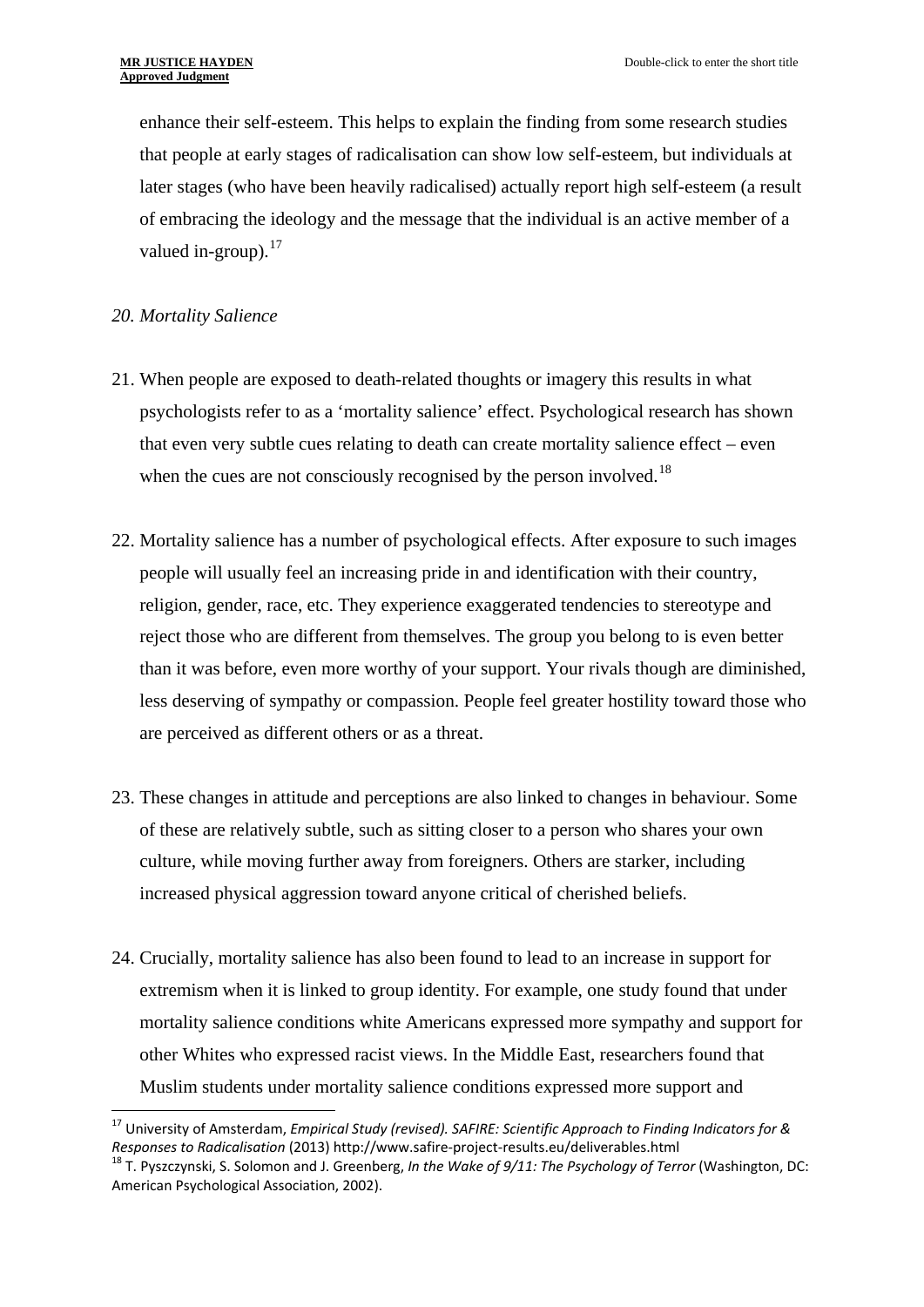enhance their self-esteem. This helps to explain the finding from some research studies that people at early stages of radicalisation can show low self-esteem, but individuals at later stages (who have been heavily radicalised) actually report high self-esteem (a result of embracing the ideology and the message that the individual is an active member of a valued in-group). $17$ 

## *20. Mortality Salience*

- 21. When people are exposed to death-related thoughts or imagery this results in what psychologists refer to as a 'mortality salience' effect. Psychological research has shown that even very subtle cues relating to death can create mortality salience effect – even when the cues are not consciously recognised by the person involved.<sup>[18](#page-53-0)</sup>
- 22. Mortality salience has a number of psychological effects. After exposure to such images people will usually feel an increasing pride in and identification with their country, religion, gender, race, etc. They experience exaggerated tendencies to stereotype and reject those who are different from themselves. The group you belong to is even better than it was before, even more worthy of your support. Your rivals though are diminished, less deserving of sympathy or compassion. People feel greater hostility toward those who are perceived as different others or as a threat.
- 23. These changes in attitude and perceptions are also linked to changes in behaviour. Some of these are relatively subtle, such as sitting closer to a person who shares your own culture, while moving further away from foreigners. Others are starker, including increased physical aggression toward anyone critical of cherished beliefs.
- 24. Crucially, mortality salience has also been found to lead to an increase in support for extremism when it is linked to group identity. For example, one study found that under mortality salience conditions white Americans expressed more sympathy and support for other Whites who expressed racist views. In the Middle East, researchers found that Muslim students under mortality salience conditions expressed more support and

<sup>17</sup> University of Amsterdam, *Empirical Study (revised). SAFIRE: Scientific Approach to Finding Indicators for &*

<span id="page-53-0"></span> $^{18}$  T. Pyszczynski, S. Solomon and J. Greenberg, In the Wake of 9/11: The Psychology of Terror (Washington, DC: American Psychological Association, 2002).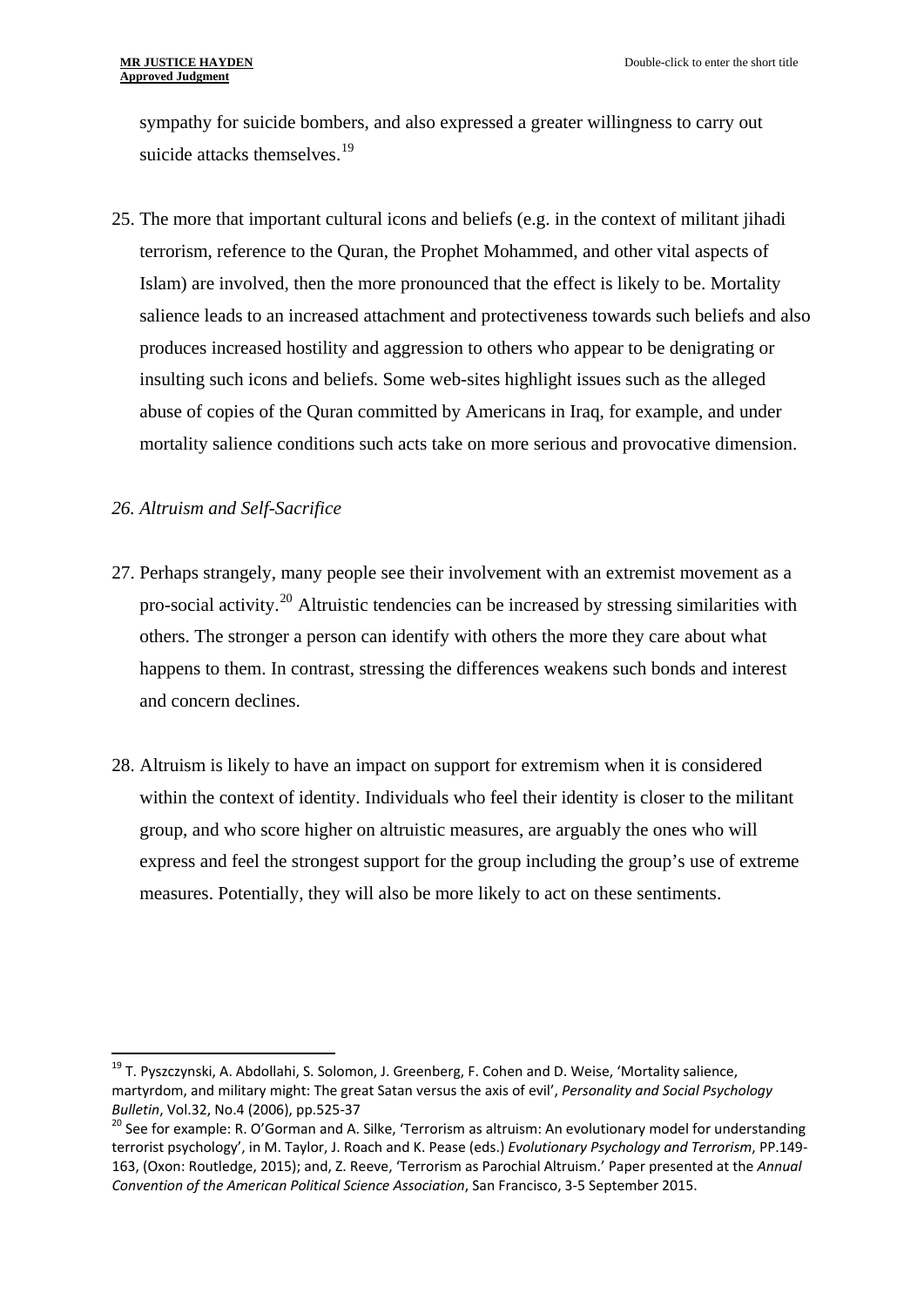sympathy for suicide bombers, and also expressed a greater willingness to carry out suicide attacks themselves.<sup>19</sup>

25. The more that important cultural icons and beliefs (e.g. in the context of militant jihadi terrorism, reference to the Quran, the Prophet Mohammed, and other vital aspects of Islam) are involved, then the more pronounced that the effect is likely to be. Mortality salience leads to an increased attachment and protectiveness towards such beliefs and also produces increased hostility and aggression to others who appear to be denigrating or insulting such icons and beliefs. Some web-sites highlight issues such as the alleged abuse of copies of the Quran committed by Americans in Iraq, for example, and under mortality salience conditions such acts take on more serious and provocative dimension.

# *26. Altruism and Self-Sacrifice*

<u>.</u>

- 27. Perhaps strangely, many people see their involvement with an extremist movement as a pro-social activity.[20](#page-54-0) Altruistic tendencies can be increased by stressing similarities with others. The stronger a person can identify with others the more they care about what happens to them. In contrast, stressing the differences weakens such bonds and interest and concern declines.
- 28. Altruism is likely to have an impact on support for extremism when it is considered within the context of identity. Individuals who feel their identity is closer to the militant group, and who score higher on altruistic measures, are arguably the ones who will express and feel the strongest support for the group including the group's use of extreme measures. Potentially, they will also be more likely to act on these sentiments.

<sup>&</sup>lt;sup>19</sup> T. Pyszczynski, A. Abdollahi, S. Solomon, J. Greenberg, F. Cohen and D. Weise, 'Mortality salience, martyrdom, and military might: The great Satan versus the axis of evil', *Personality and Social Psychology Bulletin*, Vol.32, No.4 (2006), pp.525-37<br><sup>20</sup> See for example: R. O'Gorman and A. Silke, 'Terrorism as altruism: An evolutionary model for understanding

<span id="page-54-0"></span>terrorist psychology', in M. Taylor, J. Roach and K. Pease (eds.) *Evolutionary Psychology and Terrorism*, PP.149‐ 163, (Oxon: Routledge, 2015); and, Z. Reeve, 'Terrorism as Parochial Altruism.' Paper presented at the *Annual Convention of the American Political Science Association*, San Francisco, 3‐5 September 2015.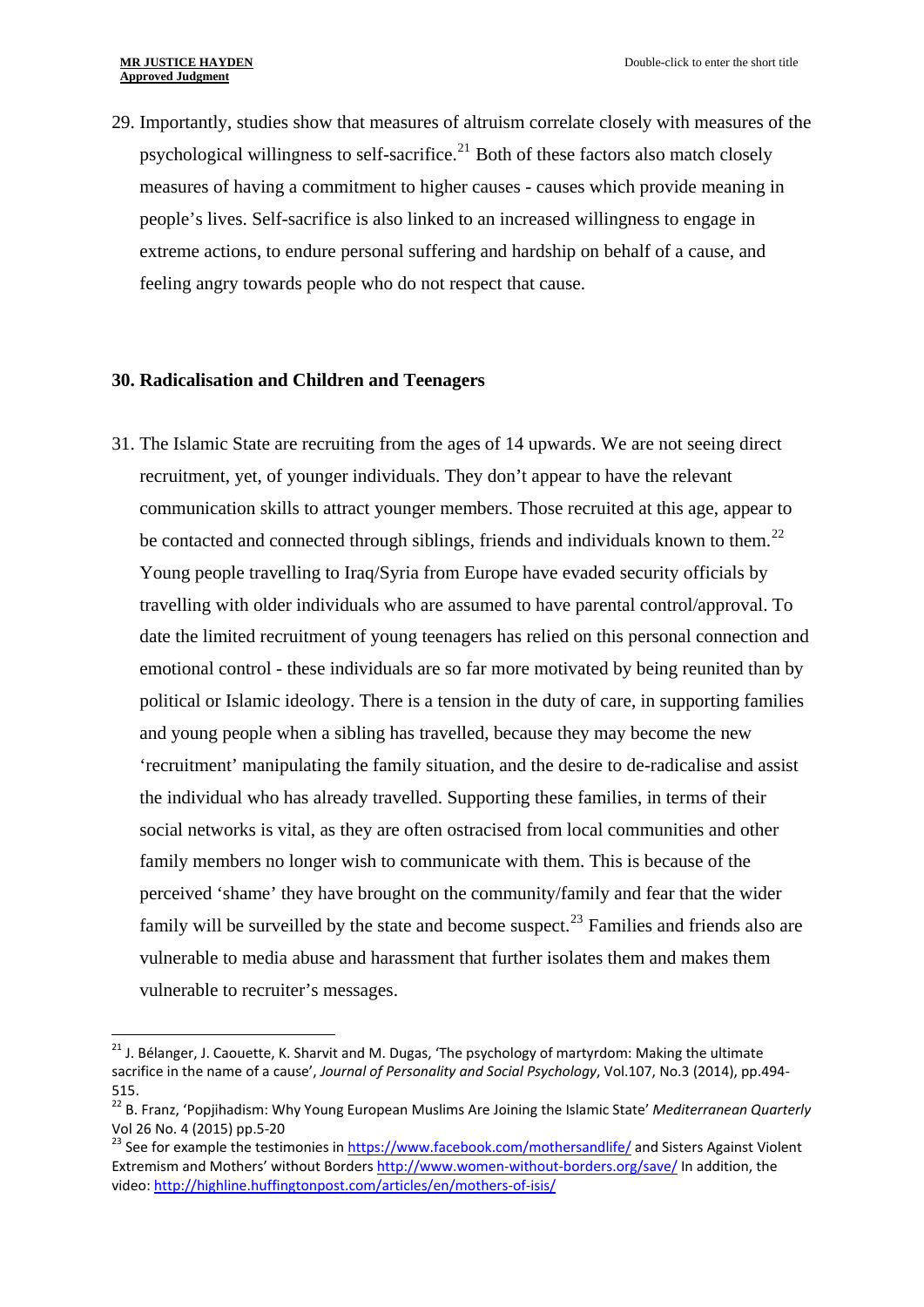29. Importantly, studies show that measures of altruism correlate closely with measures of the psychological willingness to self-sacrifice.<sup>[21](#page-55-0)</sup> Both of these factors also match closely measures of having a commitment to higher causes - causes which provide meaning in people's lives. Self-sacrifice is also linked to an increased willingness to engage in extreme actions, to endure personal suffering and hardship on behalf of a cause, and feeling angry towards people who do not respect that cause.

#### **30. Radicalisation and Children and Teenagers**

31. The Islamic State are recruiting from the ages of 14 upwards. We are not seeing direct recruitment, yet, of younger individuals. They don't appear to have the relevant communication skills to attract younger members. Those recruited at this age, appear to be contacted and connected through siblings, friends and individuals known to them.<sup>[22](#page-55-1)</sup> Young people travelling to Iraq/Syria from Europe have evaded security officials by travelling with older individuals who are assumed to have parental control/approval. To date the limited recruitment of young teenagers has relied on this personal connection and emotional control - these individuals are so far more motivated by being reunited than by political or Islamic ideology. There is a tension in the duty of care, in supporting families and young people when a sibling has travelled, because they may become the new 'recruitment' manipulating the family situation, and the desire to de-radicalise and assist the individual who has already travelled. Supporting these families, in terms of their social networks is vital, as they are often ostracised from local communities and other family members no longer wish to communicate with them. This is because of the perceived 'shame' they have brought on the community/family and fear that the wider family will be surveilled by the state and become suspect.<sup>[23](#page-55-2)</sup> Families and friends also are vulnerable to media abuse and harassment that further isolates them and makes them vulnerable to recruiter's messages.

<span id="page-55-0"></span><sup>&</sup>lt;sup>21</sup> J. Bélanger, J. Caouette, K. Sharvit and M. Dugas, 'The psychology of martyrdom: Making the ultimate sacrifice in the name of a cause', *Journal of Personality and Social Psychology*, Vol.107, No.3 (2014), pp.494‐ 515.

<span id="page-55-1"></span><sup>22</sup> B. Franz, 'Popjihadism: Why Young European Muslims Are Joining the Islamic State' *Mediterranean Quarterly*

<span id="page-55-2"></span><sup>&</sup>lt;sup>23</sup> See for example the testimonies in <https://www.facebook.com/mothersandlife/> and Sisters Against Violent Extremism and Mothers' without Borders [http://www.women](http://www.women-without-borders.org/save/)-without-borders.org/save/ In addition, the video: [http://highline.huffingtonpost.com/articles/en/mothers](http://highline.huffingtonpost.com/articles/en/mothers-of-isis/)‐of‐isis/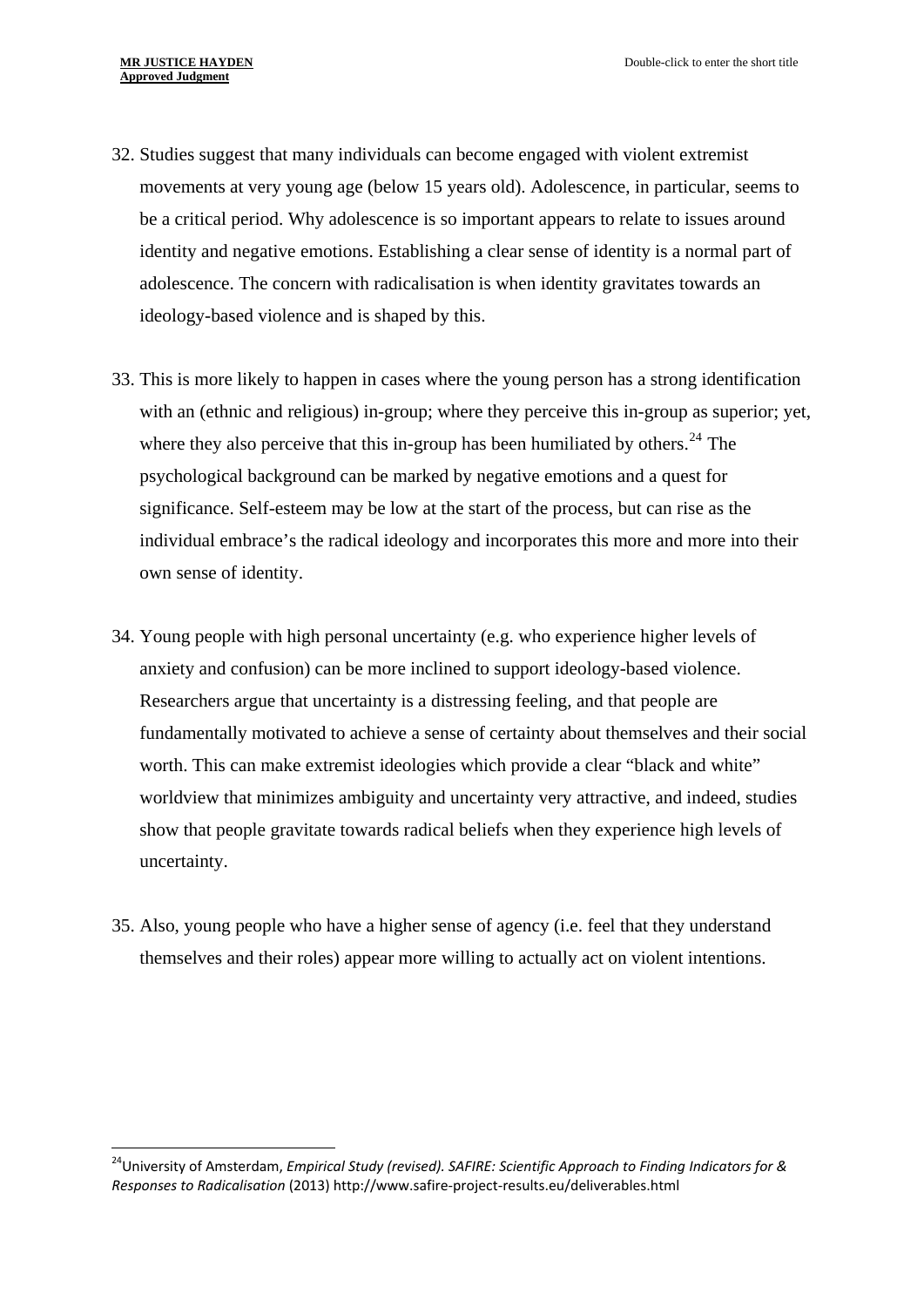- 32. Studies suggest that many individuals can become engaged with violent extremist movements at very young age (below 15 years old). Adolescence, in particular, seems to be a critical period. Why adolescence is so important appears to relate to issues around identity and negative emotions. Establishing a clear sense of identity is a normal part of adolescence. The concern with radicalisation is when identity gravitates towards an ideology-based violence and is shaped by this.
- 33. This is more likely to happen in cases where the young person has a strong identification with an (ethnic and religious) in-group; where they perceive this in-group as superior; yet, where they also perceive that this in-group has been humiliated by others.<sup>[24](#page-56-0)</sup> The psychological background can be marked by negative emotions and a quest for significance. Self-esteem may be low at the start of the process, but can rise as the individual embrace's the radical ideology and incorporates this more and more into their own sense of identity.
- 34. Young people with high personal uncertainty (e.g. who experience higher levels of anxiety and confusion) can be more inclined to support ideology-based violence. Researchers argue that uncertainty is a distressing feeling, and that people are fundamentally motivated to achieve a sense of certainty about themselves and their social worth. This can make extremist ideologies which provide a clear "black and white" worldview that minimizes ambiguity and uncertainty very attractive, and indeed, studies show that people gravitate towards radical beliefs when they experience high levels of uncertainty.
- 35. Also, young people who have a higher sense of agency (i.e. feel that they understand themselves and their roles) appear more willing to actually act on violent intentions.

<span id="page-56-0"></span><sup>24</sup>University of Amsterdam, *Empirical Study (revised). SAFIRE: Scientific Approach to Finding Indicators for & Responses to Radicalisation* (2013) http://www.safire‐project‐results.eu/deliverables.html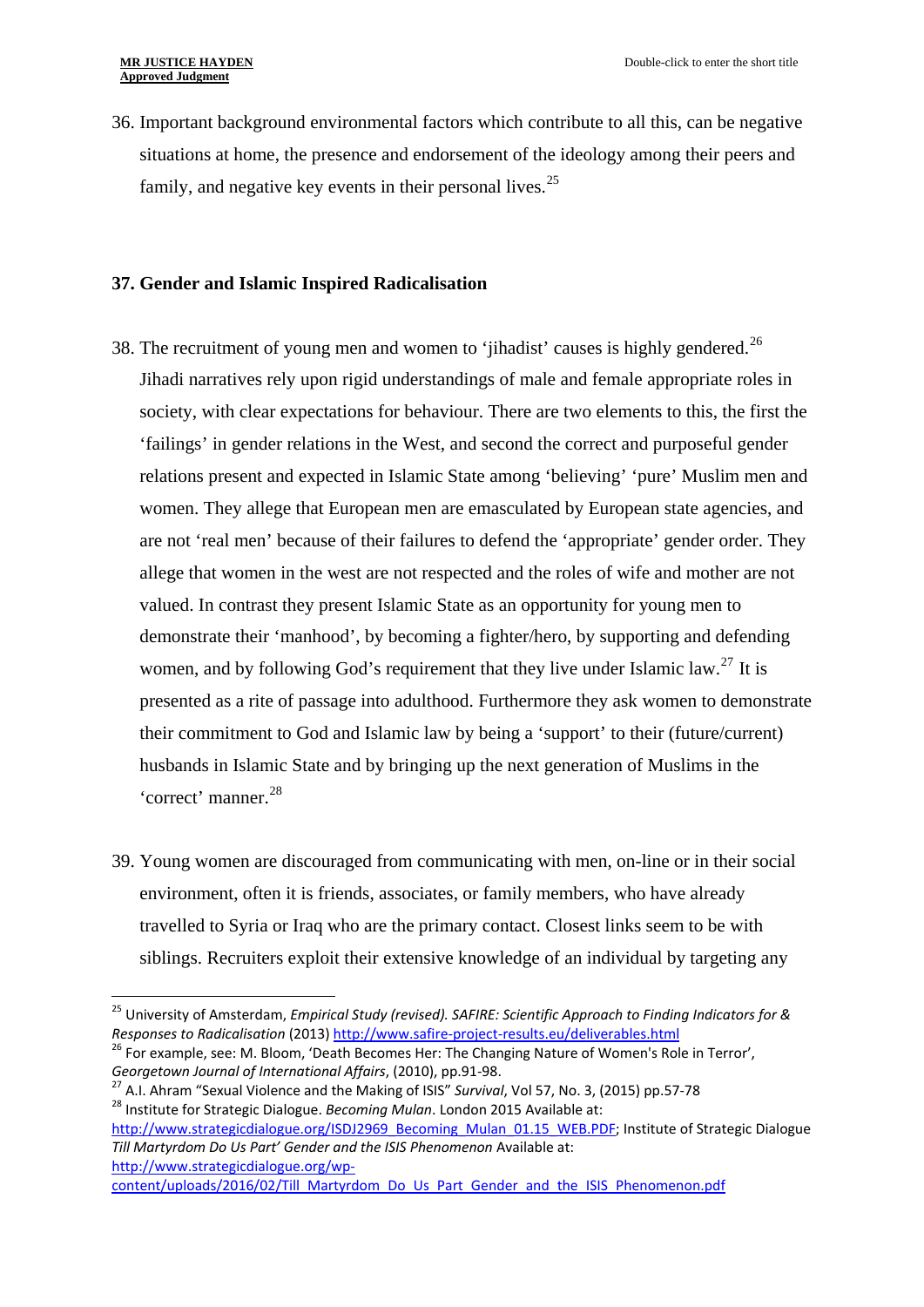36. Important background environmental factors which contribute to all this, can be negative situations at home, the presence and endorsement of the ideology among their peers and family, and negative key events in their personal lives.<sup>[25](#page-57-0)</sup>

## **37. Gender and Islamic Inspired Radicalisation**

- 38. The recruitment of young men and women to 'jihadist' causes is highly gendered.<sup>[26](#page-57-1)</sup> Jihadi narratives rely upon rigid understandings of male and female appropriate roles in society, with clear expectations for behaviour. There are two elements to this, the f irst the 'failings' in gender relations in the West, and second the correct and purposeful gender relations present and expected in Islamic State among 'believing' 'pure' Muslim men and women. They allege that European men are emasculated by European state agencies, and are not 'real men' because of their failures to defend the 'appropriate' gender order. They allege that women in the west are not respected and the roles of wife and mother are not valued. In contrast they present Islamic State as an opportunity for young men to demonstrate their 'manhood', by becoming a fighter/hero, by supporting and defending women, and by following God's requirement that they live under Islamic law.<sup>[27](#page-57-2)</sup> It is presented as a rite of passage into adulthood. Furthermore they ask women to demonstrate their commitment to God and Islamic law by being a 'support' to their (future/current) husbands in Islamic State and by bringing up the next generation of Muslims in the 'correct' manner.<sup>[28](#page-57-3)</sup>
- 39. Young women are discouraged from communicating with men, on-line or in their social environment, often it is friends, associates, or family members, who have already travelled to Syria or Iraq who are the primary contact. Closest links seem to be with siblings. Recruiters exploit their extensive knowledge of an individual by targeting any

<span id="page-57-0"></span><sup>25</sup> University of Amsterdam, *Empirical Study (revised). SAFIRE: Scientific Approach to Finding Indicators for &*

<span id="page-57-1"></span>*Responses to Radicalisation* (2013) http://www.safire-project-[results.eu/deliverables.html](http://www.safire-project-results.eu/deliverables.html)<br><sup>26</sup> For example, see: M. Bloom, 'Death Becomes Her: The Changing Nature of Women's Role in Terror',<br>*Georgetown Journal of Intern* 

<span id="page-57-3"></span><span id="page-57-2"></span><sup>&</sup>lt;sup>27</sup> A.I. Ahram "Sexual Violence and the Making of ISIS" Survival, Vol 57, No. 3, (2015) pp.57-78<br><sup>28</sup> Institute for Strategic Dialogue. *Becoming Mulan*. London 2015 Available at:

[http://www.strategicdialogue.org/ISDJ2969\\_Becoming\\_Mulan\\_01.15\\_WEB.PDF;](http://www.strategicdialogue.org/ISDJ2969_Becoming_Mulan_01.15_WEB.PDF) Institute of Strategic Dialogue *Till Martyrdom Do Us Part' Gender and the ISIS Phenomenon* Available at: [http://www.strategicdialogue.org/wp](http://www.strategicdialogue.org/wp-content/uploads/2016/02/Till_Martyrdom_Do_Us_Part_Gender_and_the_ISIS_Phenomenon.pdf)‐

[content/uploads/2016/02/Till\\_Martyrdom\\_Do\\_Us\\_Part\\_Gender\\_and\\_the\\_ISIS\\_Phenomenon.pdf](http://www.strategicdialogue.org/wp-content/uploads/2016/02/Till_Martyrdom_Do_Us_Part_Gender_and_the_ISIS_Phenomenon.pdf)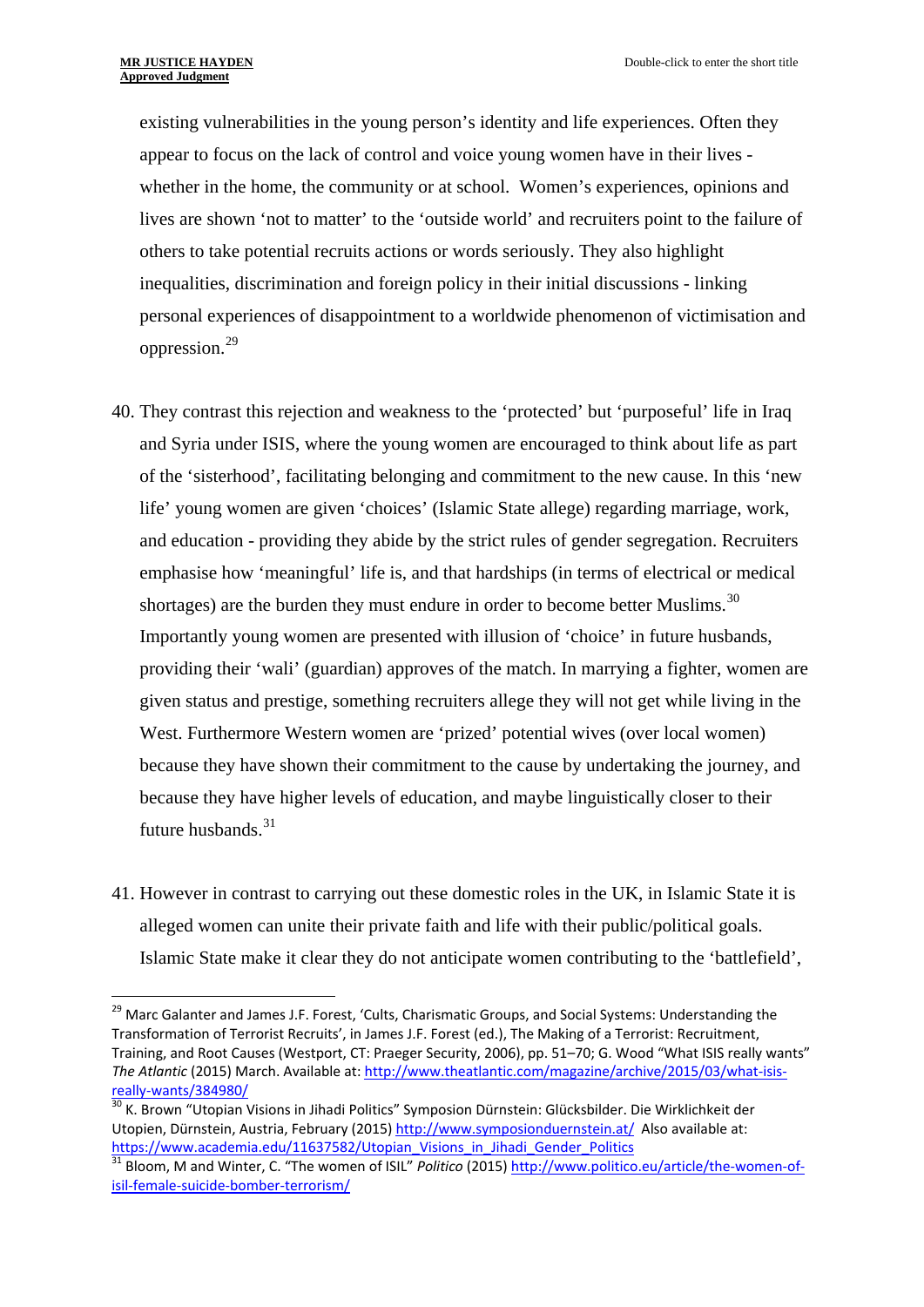existing vulnerabilities in the young person's identity and life experiences. Often they appear to focus on the lack of control and voice young women have in their lives whether in the home, the community or at school. Women's experiences, opinions and lives are shown 'not to matter' to the 'outside world' and recruiters point to the failure of others to take potential recruits actions or words seriously. They also highlight inequalities, discrimination and foreign policy in their initial discussions - linking personal experiences of disappointment to a worldwide phenomenon of victimisation and oppression.29

- 40. They contrast this rejection and weakness to the 'protected' but 'purposeful' life in Iraq and Syria under ISIS, where the young women are encouraged to think about life as part of the 'sisterhood', facilitating belonging and commitment to the new cause. In this 'new life' young women are given 'choices' (Islamic State allege) regarding marriage, work, and education - providing they abide by the strict rules of gender segregation. Recruiters emphasise how 'meaningful' life is, and that hardships (in terms of electrical or medical shortages) are the burden they must endure in order to become better Muslims.<sup>[30](#page-58-0)</sup> Importantly young women are presented with illusion of 'choice' in future husbands, providing their 'wali' (guardian) approves of the match. In marrying a fighter, women are given status and prestige, something recruiters allege they will not get while living in the West. Furthermore Western women are 'prized' potential wives (over local women) because they have shown their commitment to the cause by undertaking the journey, and because they have higher levels of education, and maybe linguistically closer to their future husbands.<sup>[31](#page-58-1)</sup>
- 41. However in contrast to carrying out these domestic roles in the UK, in Islamic State it is alleged women can unite their private faith and life with their public/political goals. Islamic State make it clear they do not anticipate women contributing to the 'battlefield',

<sup>1</sup> <sup>29</sup> Marc Galanter and James J.F. Forest, 'Cults, Charismatic Groups, and Social Systems: Understanding the Transformation of Terrorist Recruits', in James J.F. Forest (ed.), The Making of a Terrorist: Recruitment, Training, and Root Causes (Westport, CT: Praeger Security, 2006), pp. 51–70; G. Wood "What ISIS really wants" *The Atlantic* (2015) March. Available at: [http://www.theatlantic.com/magazine/archive/2015/03/what](http://www.theatlantic.com/magazine/archive/2015/03/what-isis-really-wants/384980/)‐isis‐ really-[wants/384980/](http://www.theatlantic.com/magazine/archive/2015/03/what-isis-really-wants/384980/)<br><sup>30</sup> K. Brown "Utopian Visions in Jihadi Politics" Symposion Dürnstein: Glücksbilder. Die Wirklichkeit der

<span id="page-58-0"></span>Utopien, Dürnstein, Austria, February (2015) <http://www.symposionduernstein.at/> Also available at:<br>https://www.academia.edu/11637582/Utopian Visions in Jihadi Gender Politics

<span id="page-58-1"></span><sup>31</sup> Bloom, M and Winter, C. "The women of ISIL" *Politico* (2015) [http://www.politico.eu/article/the](http://www.politico.eu/article/the-women-of-isil-female-suicide-bomber-terrorism/)-women-ofisil‐female‐suicide‐bomber‐[terrorism/](http://www.politico.eu/article/the-women-of-isil-female-suicide-bomber-terrorism/)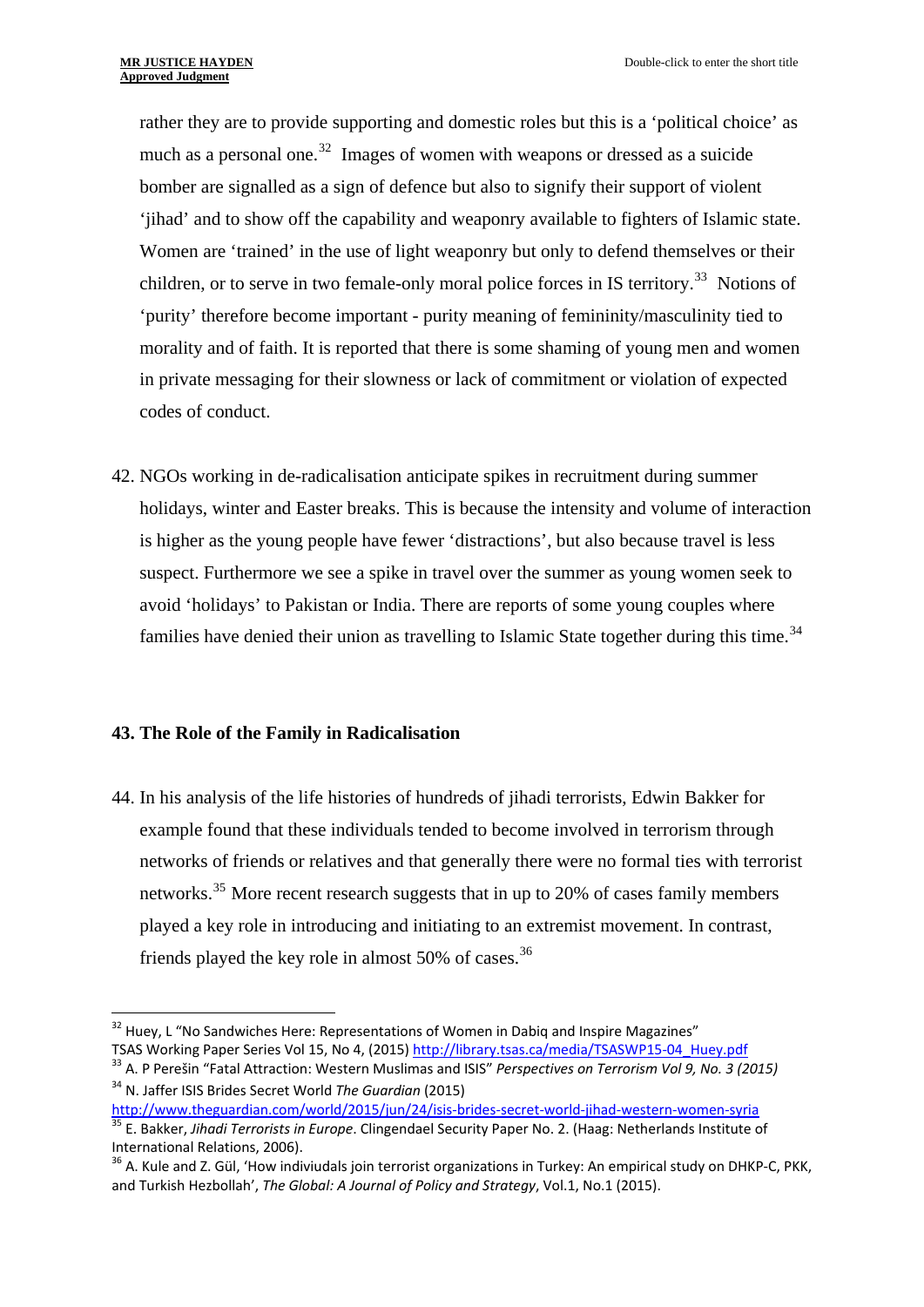rather they are to provide supporting and domestic roles but this is a 'political choice' as much as a personal one.<sup>32</sup> Images of women with weapons or dressed as a suicide bomber are signalled as a sign of defence but also to signify their support of violent 'jihad' and to show off the capability and weaponry available to fighters of Islamic state. Women are 'trained' in the use of light weaponry but only to defend themselves or their children, or to serve in two female-only moral police forces in IS territory.<sup>33</sup> Notions of 'purity' therefore become important - purity meaning of femininity/masculinity tied to morality and of faith. It is reported that there is some shaming of young men and women in private messaging for their slowness or lack of commitment or violation of expected codes of conduct.

42. NGOs working in de-radicalisation anticipate spikes in recruitment during summer holidays, winter and Easter breaks. This is because the intensity and volume of interaction is higher as the young people have fewer 'distractions', but also because travel is less suspect. Furthermore we see a spike in travel over the summer as young women seek to avoid 'holidays' to Pakistan or India. There are reports of some young couples where families have denied their union as travelling to Islamic State together during this time.<sup>[34](#page-59-0)</sup>

## **43. The Role of the Family in Radicalisation**

44. In his analysis of the life histories of hundreds of jihadi terrorists, Edwin Bakker for example found that these individuals tended to become involved in terrorism through networks of friends or relatives and that generally there were no formal ties with terrorist networks.[35](#page-59-1) More recent research suggests that in up to 20% of cases family members played a key role in introducing and initiating to an extremist movement. In contrast, friends played the key role in almost  $50\%$  of cases.<sup>[36](#page-59-2)</sup>

<sup>&</sup>lt;u>.</u>  $32$  Huey, L "No Sandwiches Here: Representations of Women in Dabiq and Inspire Magazines" TSAS Working Paper Series Vol 15, No 4, (2015) [http://library.tsas.ca/media/TSASWP15](http://library.tsas.ca/media/TSASWP15-04_Huey.pdf)-04 Huey.pdf<br><sup>33</sup> A. P Perešin "Fatal Attraction: Western Muslimas and ISIS" Perspectives on Terrorism Vol 9, No. 3 (2015)

<sup>34</sup> N. Jaffer ISIS Brides Secret World *The Guardian* (2015)

<span id="page-59-0"></span>[http://www.theguardian.com/world/2015/jun/24/isis](http://www.theguardian.com/world/2015/jun/24/isis-brides-secret-world-jihad-western-women-syria)-brides-secret-world-jihad-western-women-syria<br>
<sup>35</sup> E. Bakker, *Jihadi Terrorists in Europe*. Clingendael Security Paper No. 2. (Haag: Netherlands Institute of<br>
Internation

<span id="page-59-1"></span>

<span id="page-59-2"></span><sup>&</sup>lt;sup>36</sup> A. Kule and Z. Gül, 'How indiviudals join terrorist organizations in Turkey: An empirical study on DHKP‐C, PKK, and Turkish Hezbollah', *The Global: A Journal of Policy and Strategy*, Vol.1, No.1 (2015).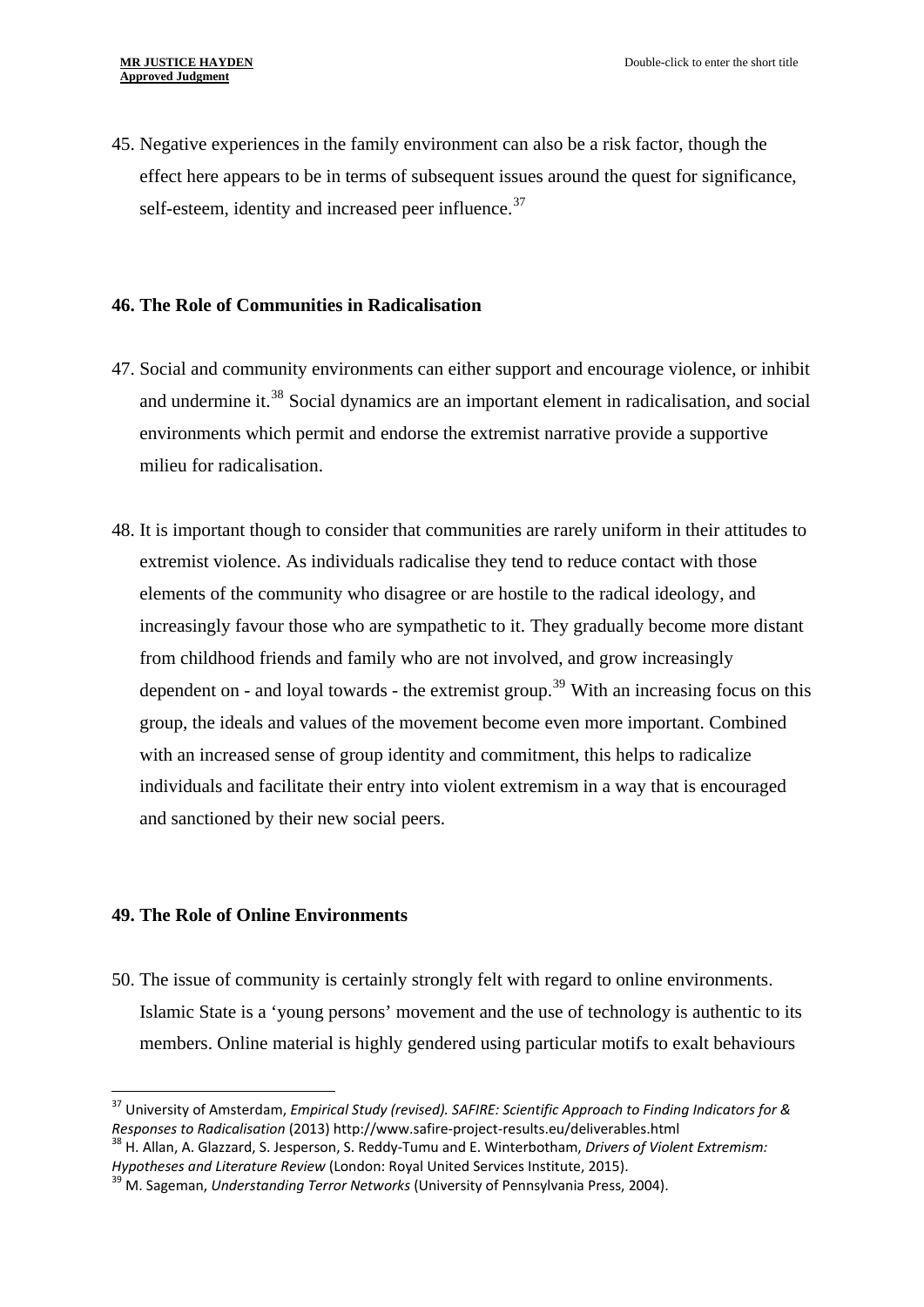45. Negative experiences in the family environment can also be a risk factor, though the effect here appears to be in terms of subsequent issues around the quest for significance, self-esteem, identity and increased peer influence.  $37$ 

## **46. The Role of Communities in Radicalisation**

- 47. Social and community environments can either support and encourage violence, or inhibit and undermine it.<sup>[38](#page-60-1)</sup> Social dynamics are an important element in radicalisation, and social environments which permit and endorse the extremist narrative provide a supportive milieu for radicalisation.
- 48. It is important though to consider that communities are rarely uniform in their attitudes to extremist violence. As individuals radicalise they tend to reduce contact with those elements of the community who disagree or are hostile to the radical ideology, and increasingly favour those who are sympathetic to it. They gradually become more distant from childhood friends and family who are not involved, and grow increasingly dependent on - and loyal towards - the extremist group.<sup>[39](#page-60-2)</sup> With an increasing focus on this group, the ideals and values of the movement become even more important. Combined with an increased sense of group identity and commitment, this helps to radicalize individuals and facilitate their entry into violent extremism in a way that is encouraged and sanctioned by their new social peers.

# **49. The Role of Online Environments**

<u>.</u>

50. The issue of community is certainly strongly felt with regard to online environments. Islamic State is a 'young persons' movement and the use of technology is authentic to its members. Online material is highly gendered using particular motifs to exalt behaviours

<span id="page-60-0"></span><sup>37</sup> University of Amsterdam, *Empirical Study (revised). SAFIRE: Scientific Approach to Finding Indicators for &* Responses to Radicalisation (2013) http://www.safire-project-results.eu/deliverables.html<br><sup>38</sup> H. Allan. A. Glazzard. S. Jesperson. S. Reddy-Tumu and E. Winterbotham. *Drivers of Violent Extremism:* 

<span id="page-60-1"></span>*Hypotheses and Literature Review* (London: Royal United Services Institute, 2015).<br><sup>39</sup> M. Sageman, *Understanding Terror Networks* (University of Pennsylvania Press, 2004).

<span id="page-60-2"></span>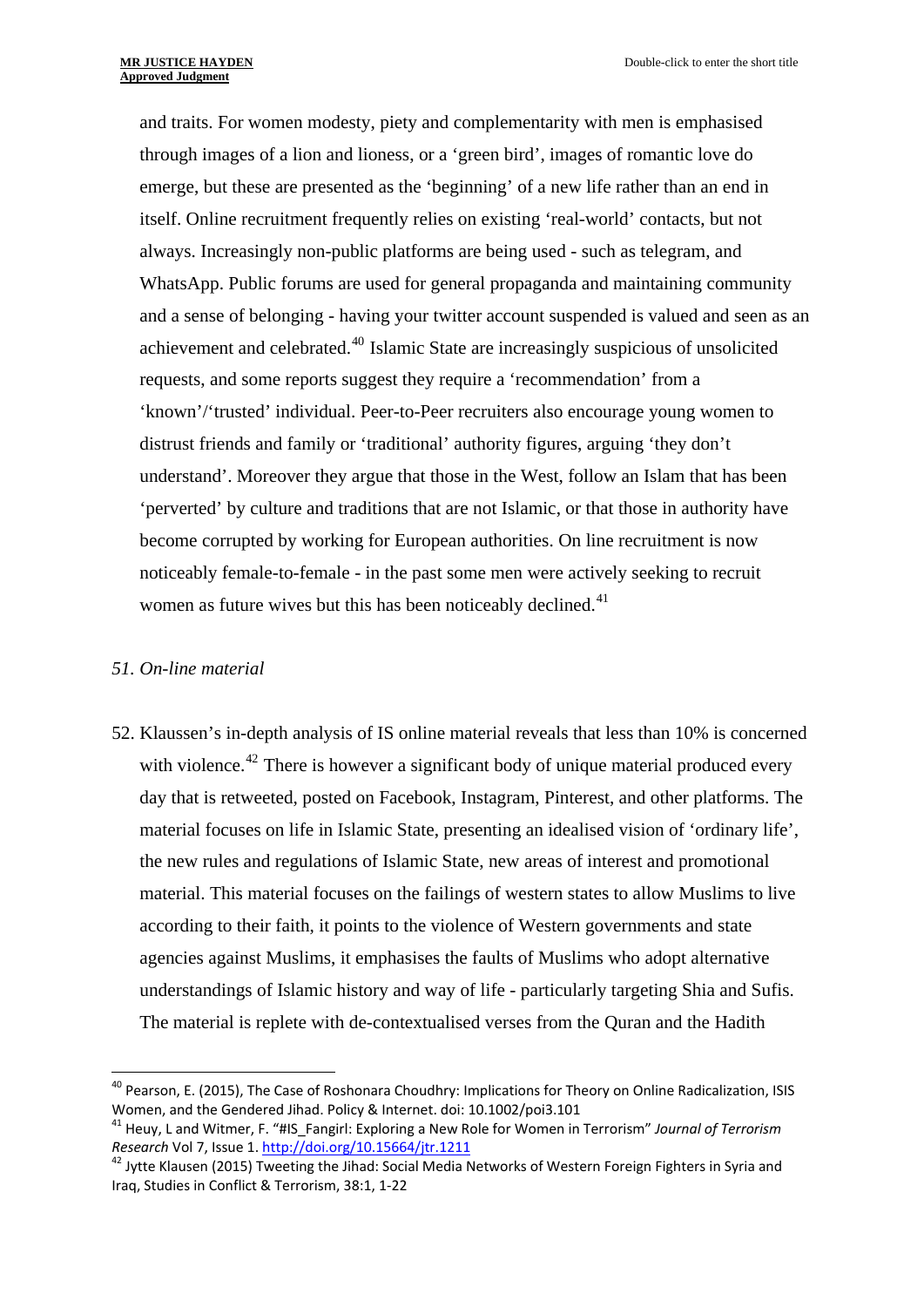and traits. For women modesty, piety and complementarity with men is emphasised through images of a lion and lioness, or a 'green bird', images of romantic love do emerge, but these are presented as the 'beginning' of a new life rather than an end in itself. Online recruitment frequently relies on existing 'real-world' contacts, but not always. Increasingly non-public platforms are being used - such as telegram, and WhatsApp. Public forums are used for general propaganda and maintaining community and a sense of belonging - having your twitter account suspended is valued and seen as an achievement and celebrated. $40$  Islamic State are increasingly suspicious of unsolicited requests, and some reports suggest they require a 'recommendation' from a 'known'/'trusted' individual. Peer-to-Peer recruiters also encourage young women to distrust friends and family or 'traditional' authority figures, arguing 'they don't understand'. Moreover they argue that those in the West, follow an Islam that has been 'perverted' by culture and traditions that are not Islamic, or that those in authority have become corrupted by working for European authorities. On line recruitment is now noticeably female-to-female - in the past some men were actively seeking to recruit women as future wives but this has been noticeably declined.<sup>41</sup>

# *51. On-line material*

1

52. Klaussen's in-depth analysis of IS online material reveals that less than 10% is concerned with violence.<sup>[42](#page-61-0)</sup> There is however a significant body of unique material produced every day that is retweeted, posted on Facebook, Instagram, Pinterest, and other platforms. The material focuses on life in Islamic State, presenting an idealised vision of 'ordinary life', the new rules and regulations of Islamic State, new areas of interest and promotional material. This material focuses on the failings of western states to allow Muslims to live according to their faith, it points to the violence of Western governments and state agencies against Muslims, it emphasises the faults of Muslims who adopt alternative understandings of Islamic history and way of life - particularly targeting Shia and Sufis. The material is replete with de-contextualised verses from the Quran and the Hadith

<sup>&</sup>lt;sup>40</sup> Pearson, E. (2015), The Case of Roshonara Choudhry: Implications for Theory on Online Radicalization, ISIS

Women, and the Gendered Jihad. Policy & Internet. doi: 10.1002/poi3.101<br><sup>41</sup> Heuy, L and Witmer, F. "#IS\_Fangirl: Exploring a New Role for Women in Terrorism" *Journal of Terrorism*<br>Research Vol 7, Issue 1. http://doi.org/

<span id="page-61-0"></span><sup>&</sup>lt;sup>42</sup> Jytte Klausen (2015) Tweeting the Jihad: Social Media Networks of Western Foreign Fighters in Syria and Iraq, Studies in Conflict & Terrorism, 38:1, 1‐22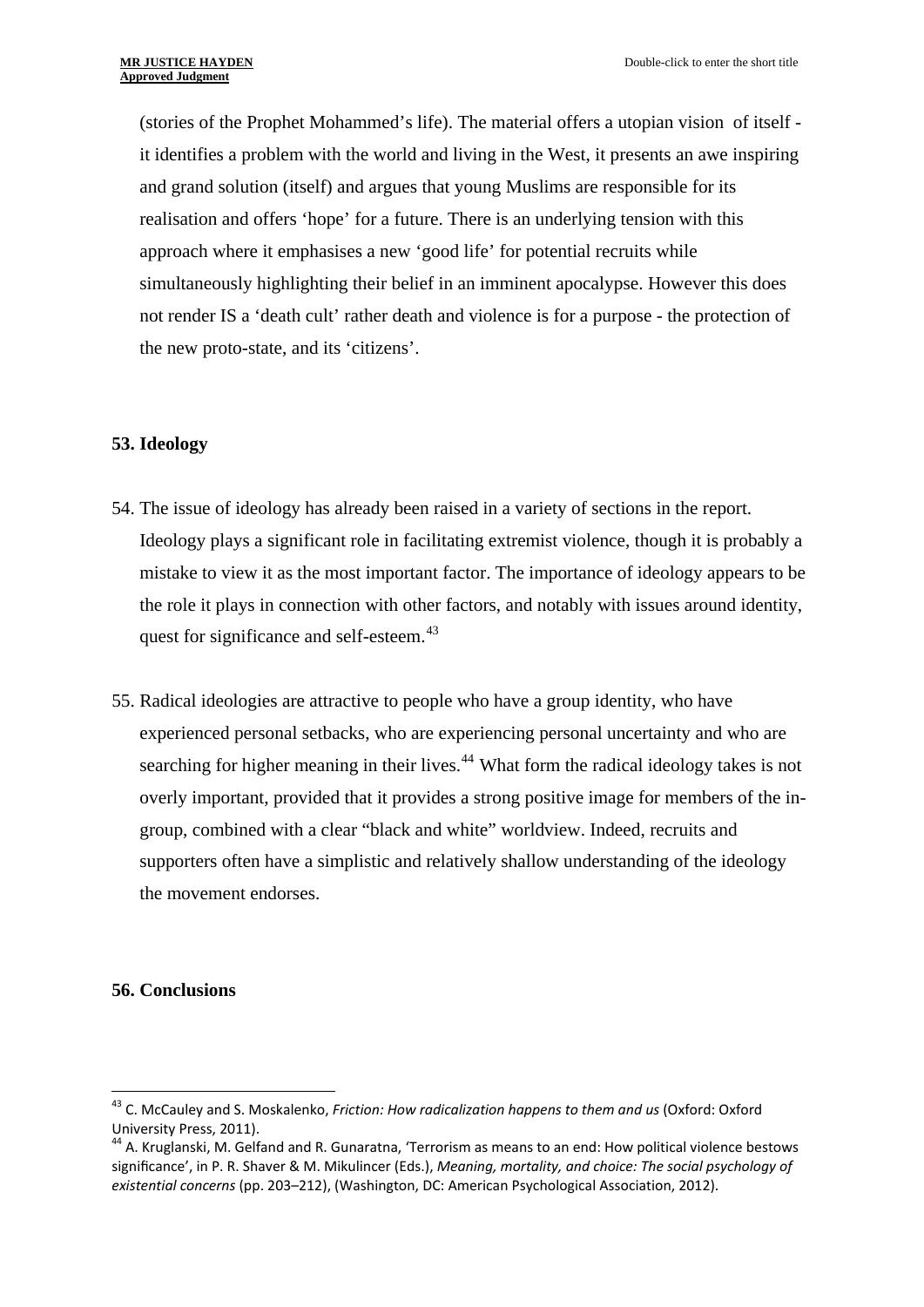(stories of the Prophet Mohammed's life). The material offers a utopian vision of itself it identifies a problem with the world and living in the West, it presents an awe inspiring and grand solution (itself) and argues that young Muslims are responsible for its realisation and offers 'hope' for a future. There is an underlying tension with this approach where it emphasises a new 'good life' for potential recruits while simultaneously highlighting their belief in an imminent apocalypse. However this does not render IS a 'death cult' rather death and violence is for a purpose - the protection of the new proto-state, and its 'citizens'.

## **53. Ideology**

- 54. The issue of ideology has already been raised in a variety of sections in the report. Ideology plays a significant role in facilitating extremist violence, though it is probably a mistake to view it as the most important factor. The importance of ideology appears to be the role it plays in connection with other factors, and notably with issues around identity, quest for significance and self-esteem.<sup>[43](#page-62-0)</sup>
- 55. Radical ideologies are attractive to people who have a group identity, who have experienced personal setbacks, who are experiencing personal uncertainty and who are searching for higher meaning in their lives.<sup>[44](#page-62-1)</sup> What form the radical ideology takes is not overly important, provided that it provides a strong positive image for members of the ingroup, combined with a clear "black and white" worldview. Indeed, recruits and supporters often have a simplistic and relatively shallow understanding of the ideology the movement endorses.

#### **56. Conclusions**

<u>.</u>

<span id="page-62-0"></span><sup>43</sup> C. McCauley and S. Moskalenko, *Friction: How radicalization happens to them and us* (Oxford: Oxford University Press, 2011).<br><sup>44</sup> A. Kruglanski, M. Gelfand and R. Gunaratna, 'Terrorism as means to an end: How political violence bestows

<span id="page-62-1"></span>significance', in P. R. Shaver & M. Mikulincer (Eds.), *Meaning, mortality, and choice: The social psychology of existential concerns* (pp. 203–212), (Washington, DC: American Psychological Association, 2012).